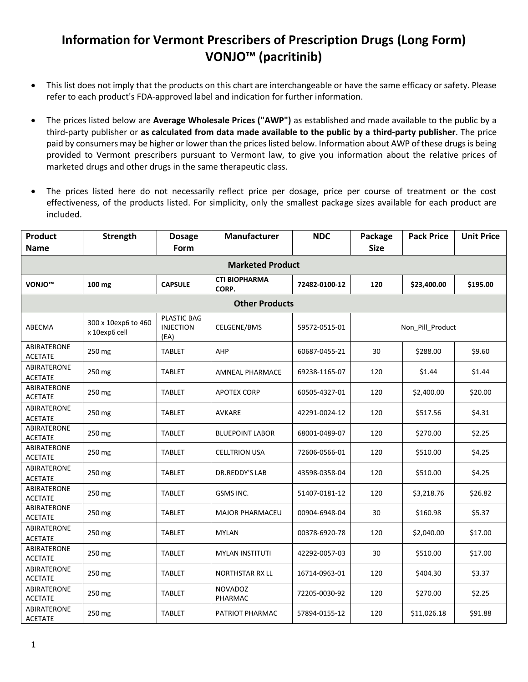## **Information for Vermont Prescribers of Prescription Drugs (Long Form) VONJO™ (pacritinib)**

- This list does not imply that the products on this chart are interchangeable or have the same efficacy or safety. Please refer to each product's FDA-approved label and indication for further information.
- The prices listed below are **Average Wholesale Prices ("AWP")** as established and made available to the public by a third-party publisher or **as calculated from data made available to the public by a third-party publisher**. The price paid by consumers may be higher or lower than the prices listed below. Information about AWP of these drugs is being provided to Vermont prescribers pursuant to Vermont law, to give you information about the relative prices of marketed drugs and other drugs in the same therapeutic class.
- The prices listed here do not necessarily reflect price per dosage, price per course of treatment or the cost effectiveness, of the products listed. For simplicity, only the smallest package sizes available for each product are included.

| <b>Product</b><br><b>Name</b>        | Strength                             | <b>Dosage</b><br>Form                   | <b>Manufacturer</b>           | <b>NDC</b>    | Package<br><b>Size</b> | <b>Pack Price</b> | <b>Unit Price</b> |  |  |  |
|--------------------------------------|--------------------------------------|-----------------------------------------|-------------------------------|---------------|------------------------|-------------------|-------------------|--|--|--|
|                                      |                                      |                                         | <b>Marketed Product</b>       |               |                        |                   |                   |  |  |  |
| VONJO <sup>™</sup>                   | 100 mg                               | <b>CAPSULE</b>                          | <b>CTI BIOPHARMA</b><br>CORP. | 72482-0100-12 | 120                    | \$23,400.00       | \$195.00          |  |  |  |
| <b>Other Products</b>                |                                      |                                         |                               |               |                        |                   |                   |  |  |  |
| ABECMA                               | 300 x 10exp6 to 460<br>x 10exp6 cell | PLASTIC BAG<br><b>INJECTION</b><br>(EA) | CELGENE/BMS                   | 59572-0515-01 |                        | Non Pill Product  |                   |  |  |  |
| <b>ABIRATERONE</b><br><b>ACETATE</b> | 250 mg                               | <b>TABLET</b>                           | AHP                           | 60687-0455-21 | 30                     | \$288.00          | \$9.60            |  |  |  |
| ABIRATERONE<br><b>ACETATE</b>        | 250 mg                               | TABLET                                  | <b>AMNEAL PHARMACE</b>        | 69238-1165-07 | 120                    | \$1.44            | \$1.44            |  |  |  |
| <b>ABIRATERONE</b><br><b>ACETATE</b> | 250 mg                               | <b>TABLET</b>                           | <b>APOTEX CORP</b>            | 60505-4327-01 | 120                    | \$2,400.00        | \$20.00           |  |  |  |
| <b>ABIRATERONE</b><br><b>ACETATE</b> | 250 mg                               | <b>TABLET</b>                           | AVKARE                        | 42291-0024-12 | 120                    | \$517.56          | \$4.31            |  |  |  |
| <b>ABIRATERONE</b><br><b>ACETATE</b> | 250 mg                               | <b>TABLET</b>                           | <b>BLUEPOINT LABOR</b>        | 68001-0489-07 | 120                    | \$270.00          | \$2.25            |  |  |  |
| <b>ABIRATERONE</b><br><b>ACETATE</b> | 250 mg                               | <b>TABLET</b>                           | <b>CELLTRION USA</b>          | 72606-0566-01 | 120                    | \$510.00          | \$4.25            |  |  |  |
| <b>ABIRATERONE</b><br><b>ACETATE</b> | 250 mg                               | <b>TABLET</b>                           | DR.REDDY'S LAB                | 43598-0358-04 | 120                    | \$510.00          | \$4.25            |  |  |  |
| <b>ABIRATERONE</b><br><b>ACETATE</b> | 250 mg                               | <b>TABLET</b>                           | GSMS INC.                     | 51407-0181-12 | 120                    | \$3,218.76        | \$26.82           |  |  |  |
| ABIRATERONE<br><b>ACETATE</b>        | 250 mg                               | <b>TABLET</b>                           | <b>MAJOR PHARMACEU</b>        | 00904-6948-04 | 30                     | \$160.98          | \$5.37            |  |  |  |
| ABIRATERONE<br><b>ACETATE</b>        | 250 mg                               | <b>TABLET</b>                           | <b>MYLAN</b>                  | 00378-6920-78 | 120                    | \$2,040.00        | \$17.00           |  |  |  |
| ABIRATERONE<br><b>ACETATE</b>        | 250 mg                               | <b>TABLET</b>                           | <b>MYLAN INSTITUTI</b>        | 42292-0057-03 | 30                     | \$510.00          | \$17.00           |  |  |  |
| ABIRATERONE<br><b>ACETATE</b>        | 250 mg                               | <b>TABLET</b>                           | <b>NORTHSTAR RX LL</b>        | 16714-0963-01 | 120                    | \$404.30          | \$3.37            |  |  |  |
| ABIRATERONE<br><b>ACETATE</b>        | 250 mg                               | <b>TABLET</b>                           | <b>NOVADOZ</b><br>PHARMAC     | 72205-0030-92 | 120                    | \$270.00          | \$2.25            |  |  |  |
| ABIRATERONE<br><b>ACETATE</b>        | 250 mg                               | <b>TABLET</b>                           | PATRIOT PHARMAC               | 57894-0155-12 | 120                    | \$11,026.18       | \$91.88           |  |  |  |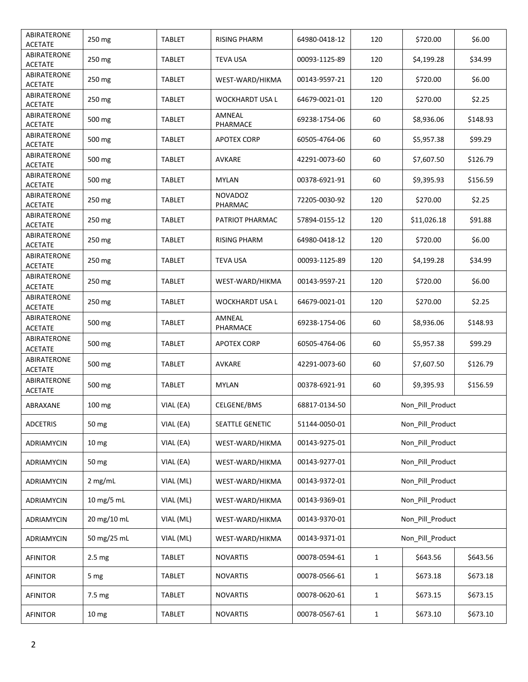| ABIRATERONE<br><b>ACETATE</b> | 250 mg            | TABLET        | <b>RISING PHARM</b>       | 64980-0418-12 | 120          | \$720.00         | \$6.00   |
|-------------------------------|-------------------|---------------|---------------------------|---------------|--------------|------------------|----------|
| ABIRATERONE<br><b>ACETATE</b> | 250 mg            | TABLET        | <b>TEVA USA</b>           | 00093-1125-89 | 120          | \$4,199.28       | \$34.99  |
| ABIRATERONE<br><b>ACETATE</b> | 250 mg            | <b>TABLET</b> | WEST-WARD/HIKMA           | 00143-9597-21 | 120          | \$720.00         | \$6.00   |
| ABIRATERONE<br><b>ACETATE</b> | 250 mg            | TABLET        | WOCKHARDT USA L           | 64679-0021-01 | 120          | \$270.00         | \$2.25   |
| ABIRATERONE<br><b>ACETATE</b> | 500 mg            | TABLET        | AMNEAL<br>PHARMACE        | 69238-1754-06 | 60           | \$8,936.06       | \$148.93 |
| ABIRATERONE<br><b>ACETATE</b> | 500 mg            | TABLET        | <b>APOTEX CORP</b>        | 60505-4764-06 | 60           | \$5,957.38       | \$99.29  |
| ABIRATERONE<br>ACETATE        | 500 mg            | <b>TABLET</b> | AVKARE                    | 42291-0073-60 | 60           | \$7,607.50       | \$126.79 |
| ABIRATERONE<br><b>ACETATE</b> | 500 mg            | TABLET        | <b>MYLAN</b>              | 00378-6921-91 | 60           | \$9,395.93       | \$156.59 |
| ABIRATERONE<br><b>ACETATE</b> | 250 mg            | <b>TABLET</b> | <b>NOVADOZ</b><br>PHARMAC | 72205-0030-92 | 120          | \$270.00         | \$2.25   |
| ABIRATERONE<br><b>ACETATE</b> | 250 mg            | <b>TABLET</b> | PATRIOT PHARMAC           | 57894-0155-12 | 120          | \$11,026.18      | \$91.88  |
| ABIRATERONE<br><b>ACETATE</b> | 250 mg            | TABLET        | <b>RISING PHARM</b>       | 64980-0418-12 | 120          | \$720.00         | \$6.00   |
| ABIRATERONE<br><b>ACETATE</b> | 250 mg            | TABLET        | <b>TEVA USA</b>           | 00093-1125-89 | 120          | \$4,199.28       | \$34.99  |
| ABIRATERONE<br><b>ACETATE</b> | 250 mg            | TABLET        | WEST-WARD/HIKMA           | 00143-9597-21 | 120          | \$720.00         | \$6.00   |
| ABIRATERONE<br><b>ACETATE</b> | 250 mg            | TABLET        | WOCKHARDT USA L           | 64679-0021-01 | 120          | \$270.00         | \$2.25   |
| ABIRATERONE<br><b>ACETATE</b> | 500 mg            | TABLET        | AMNEAL<br>PHARMACE        | 69238-1754-06 | 60           | \$8,936.06       | \$148.93 |
| ABIRATERONE<br><b>ACETATE</b> | 500 mg            | TABLET        | APOTEX CORP               | 60505-4764-06 | 60           | \$5,957.38       | \$99.29  |
| ABIRATERONE<br><b>ACETATE</b> | 500 mg            | TABLET        | <b>AVKARE</b>             | 42291-0073-60 | 60           | \$7,607.50       | \$126.79 |
| ABIRATERONE<br><b>ACETATE</b> | 500 mg            | TABLET        | <b>MYLAN</b>              | 00378-6921-91 | 60           | \$9,395.93       | \$156.59 |
| ABRAXANE                      | 100 mg            | VIAL (EA)     | CELGENE/BMS               | 68817-0134-50 |              | Non_Pill_Product |          |
| <b>ADCETRIS</b>               | 50 mg             | VIAL (EA)     | <b>SEATTLE GENETIC</b>    | 51144-0050-01 |              | Non_Pill_Product |          |
| ADRIAMYCIN                    | 10 <sub>mg</sub>  | VIAL (EA)     | WEST-WARD/HIKMA           | 00143-9275-01 |              | Non_Pill_Product |          |
| ADRIAMYCIN                    | 50 mg             | VIAL (EA)     | WEST-WARD/HIKMA           | 00143-9277-01 |              | Non_Pill_Product |          |
| ADRIAMYCIN                    | 2 mg/mL           | VIAL (ML)     | WEST-WARD/HIKMA           | 00143-9372-01 |              | Non Pill Product |          |
| ADRIAMYCIN                    | 10 mg/5 mL        | VIAL (ML)     | WEST-WARD/HIKMA           | 00143-9369-01 |              | Non_Pill_Product |          |
| ADRIAMYCIN                    | 20 mg/10 mL       | VIAL (ML)     | WEST-WARD/HIKMA           | 00143-9370-01 |              | Non_Pill_Product |          |
| ADRIAMYCIN                    | 50 mg/25 mL       | VIAL (ML)     | WEST-WARD/HIKMA           | 00143-9371-01 |              | Non_Pill_Product |          |
| <b>AFINITOR</b>               | 2.5 <sub>mg</sub> | <b>TABLET</b> | <b>NOVARTIS</b>           | 00078-0594-61 | $\mathbf{1}$ | \$643.56         | \$643.56 |
| AFINITOR                      | 5 mg              | <b>TABLET</b> | NOVARTIS                  | 00078-0566-61 | $\mathbf{1}$ | \$673.18         | \$673.18 |
| <b>AFINITOR</b>               | 7.5 mg            | <b>TABLET</b> | <b>NOVARTIS</b>           | 00078-0620-61 | $\mathbf{1}$ | \$673.15         | \$673.15 |
| AFINITOR                      | 10 <sub>mg</sub>  | TABLET        | <b>NOVARTIS</b>           | 00078-0567-61 | $\mathbf{1}$ | \$673.10         | \$673.10 |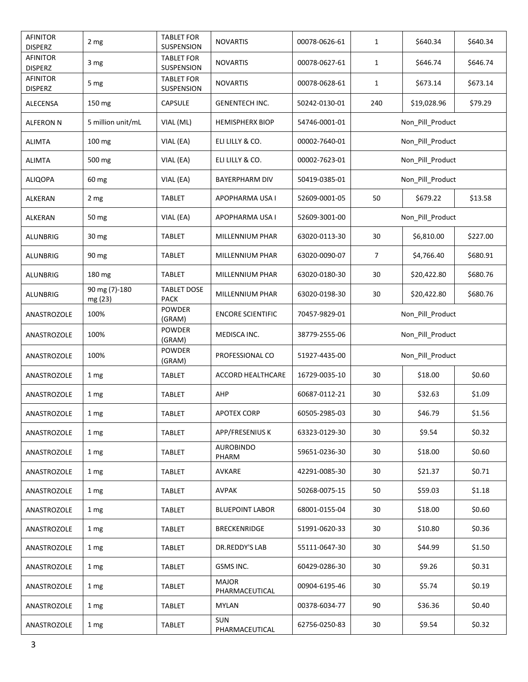| <b>AFINITOR</b><br><b>DISPERZ</b> | 2 mg                     | <b>TABLET FOR</b><br><b>SUSPENSION</b> | <b>NOVARTIS</b>                | 00078-0626-61 | 1                | \$640.34         | \$640.34 |
|-----------------------------------|--------------------------|----------------------------------------|--------------------------------|---------------|------------------|------------------|----------|
| <b>AFINITOR</b><br><b>DISPERZ</b> | 3 mg                     | <b>TABLET FOR</b><br>SUSPENSION        | <b>NOVARTIS</b>                | 00078-0627-61 | $\mathbf{1}$     | \$646.74         | \$646.74 |
| <b>AFINITOR</b><br><b>DISPERZ</b> | 5 mg                     | <b>TABLET FOR</b><br>SUSPENSION        | <b>NOVARTIS</b>                | 00078-0628-61 | $\mathbf{1}$     | \$673.14         | \$673.14 |
| ALECENSA                          | 150 mg                   | CAPSULE                                | <b>GENENTECH INC.</b>          | 50242-0130-01 | 240              | \$19,028.96      | \$79.29  |
| <b>ALFERON N</b>                  | 5 million unit/mL        | VIAL (ML)                              | <b>HEMISPHERX BIOP</b>         | 54746-0001-01 |                  | Non_Pill_Product |          |
| <b>ALIMTA</b>                     | 100 mg                   | VIAL (EA)                              | ELI LILLY & CO.                | 00002-7640-01 |                  | Non_Pill_Product |          |
| <b>ALIMTA</b>                     | 500 mg                   | VIAL (EA)                              | ELI LILLY & CO.                | 00002-7623-01 |                  | Non_Pill_Product |          |
| <b>ALIQOPA</b>                    | 60 mg                    | VIAL (EA)                              | <b>BAYERPHARM DIV</b>          | 50419-0385-01 |                  | Non_Pill_Product |          |
| ALKERAN                           | 2 mg                     | <b>TABLET</b>                          | APOPHARMA USA I                | 52609-0001-05 | 50               | \$679.22         | \$13.58  |
| ALKERAN                           | 50 mg                    | VIAL (EA)                              | APOPHARMA USA I                | 52609-3001-00 |                  | Non_Pill_Product |          |
| <b>ALUNBRIG</b>                   | 30 <sub>mg</sub>         | TABLET                                 | MILLENNIUM PHAR                | 63020-0113-30 | 30               | \$6,810.00       | \$227.00 |
| <b>ALUNBRIG</b>                   | 90 mg                    | TABLET                                 | MILLENNIUM PHAR                | 63020-0090-07 | 7                | \$4,766.40       | \$680.91 |
| <b>ALUNBRIG</b>                   | 180 mg                   | TABLET                                 | MILLENNIUM PHAR                | 63020-0180-30 | 30               | \$20,422.80      | \$680.76 |
| ALUNBRIG                          | 90 mg (7)-180<br>mg (23) | <b>TABLET DOSE</b><br><b>PACK</b>      | MILLENNIUM PHAR                | 63020-0198-30 | 30               | \$20,422.80      | \$680.76 |
| ANASTROZOLE                       | 100%                     | POWDER<br>(GRAM)                       | <b>ENCORE SCIENTIFIC</b>       | 70457-9829-01 | Non_Pill_Product |                  |          |
| ANASTROZOLE                       | 100%                     | <b>POWDER</b><br>(GRAM)                | MEDISCA INC.                   | 38779-2555-06 | Non_Pill_Product |                  |          |
| ANASTROZOLE                       | 100%                     | POWDER<br>(GRAM)                       | PROFESSIONAL CO                | 51927-4435-00 | Non_Pill_Product |                  |          |
| ANASTROZOLE                       | 1 mg                     | <b>TABLET</b>                          | ACCORD HEALTHCARE              | 16729-0035-10 | 30               | \$18.00          | \$0.60   |
| ANASTROZOLE                       | 1 mg                     | TABLET                                 | AHP                            | 60687-0112-21 | 30               | \$32.63          | \$1.09   |
| ANASTROZOLE                       | 1 mg                     | TABLET                                 | <b>APOTEX CORP</b>             | 60505-2985-03 | 30               | \$46.79          | \$1.56   |
| ANASTROZOLE                       | 1 <sub>mg</sub>          | <b>TABLET</b>                          | APP/FRESENIUS K                | 63323-0129-30 | 30               | \$9.54           | \$0.32   |
| ANASTROZOLE                       | 1 <sub>mg</sub>          | <b>TABLET</b>                          | <b>AUROBINDO</b><br>PHARM      | 59651-0236-30 | 30               | \$18.00          | \$0.60   |
| ANASTROZOLE                       | 1 mg                     | <b>TABLET</b>                          | AVKARE                         | 42291-0085-30 | 30               | \$21.37          | \$0.71   |
| ANASTROZOLE                       | 1 <sub>mg</sub>          | <b>TABLET</b>                          | AVPAK                          | 50268-0075-15 | 50               | \$59.03          | \$1.18   |
| ANASTROZOLE                       | 1 <sub>mg</sub>          | TABLET                                 | <b>BLUEPOINT LABOR</b>         | 68001-0155-04 | 30               | \$18.00          | \$0.60   |
| ANASTROZOLE                       | 1 mg                     | TABLET                                 | <b>BRECKENRIDGE</b>            | 51991-0620-33 | 30               | \$10.80          | \$0.36   |
| ANASTROZOLE                       | 1 <sub>mg</sub>          | <b>TABLET</b>                          | DR.REDDY'S LAB                 | 55111-0647-30 | 30               | \$44.99          | \$1.50   |
| ANASTROZOLE                       | 1 <sub>mg</sub>          | <b>TABLET</b>                          | GSMS INC.                      | 60429-0286-30 | 30               | \$9.26           | \$0.31   |
| ANASTROZOLE                       | 1 <sub>mg</sub>          | TABLET                                 | <b>MAJOR</b><br>PHARMACEUTICAL | 00904-6195-46 | 30               | \$5.74           | \$0.19   |
| ANASTROZOLE                       | 1 mg                     | TABLET                                 | <b>MYLAN</b>                   | 00378-6034-77 | 90               | \$36.36          | \$0.40   |
| ANASTROZOLE                       | 1 <sub>mg</sub>          | TABLET                                 | <b>SUN</b><br>PHARMACEUTICAL   | 62756-0250-83 | 30               | \$9.54           | \$0.32   |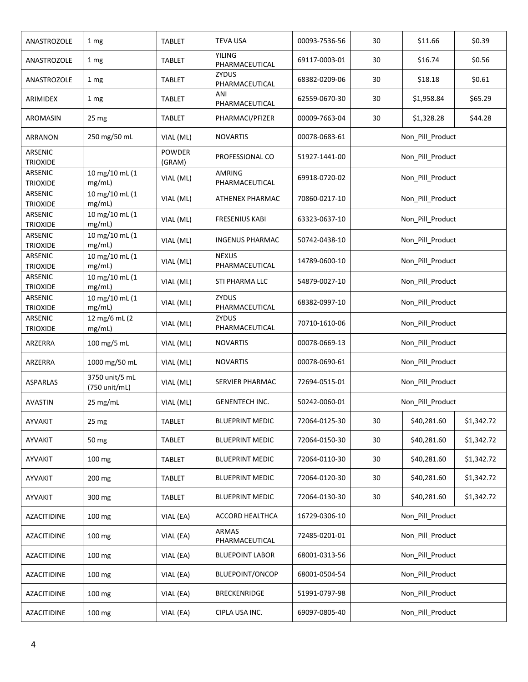| ANASTROZOLE                | 1 mg                            | <b>TABLET</b>    | <b>TEVA USA</b>                 | 00093-7536-56 | 30               | \$11.66          | \$0.39     |  |
|----------------------------|---------------------------------|------------------|---------------------------------|---------------|------------------|------------------|------------|--|
| ANASTROZOLE                | 1 mg                            | <b>TABLET</b>    | <b>YILING</b><br>PHARMACEUTICAL | 69117-0003-01 | 30               | \$16.74          | \$0.56     |  |
| ANASTROZOLE                | 1 mg                            | <b>TABLET</b>    | <b>ZYDUS</b><br>PHARMACEUTICAL  | 68382-0209-06 | 30               | \$18.18          | \$0.61     |  |
| ARIMIDEX                   | 1 mg                            | TABLET           | ANI<br>PHARMACEUTICAL           | 62559-0670-30 | 30               | \$1,958.84       | \$65.29    |  |
| AROMASIN                   | 25 <sub>mg</sub>                | <b>TABLET</b>    | PHARMACI/PFIZER                 | 00009-7663-04 | 30               | \$1,328.28       | \$44.28    |  |
| <b>ARRANON</b>             | 250 mg/50 mL                    | VIAL (ML)        | <b>NOVARTIS</b>                 | 00078-0683-61 |                  | Non_Pill_Product |            |  |
| ARSENIC<br><b>TRIOXIDE</b> |                                 | POWDER<br>(GRAM) | PROFESSIONAL CO                 | 51927-1441-00 |                  | Non Pill Product |            |  |
| ARSENIC<br><b>TRIOXIDE</b> | 10 mg/10 mL (1<br>mg/mL)        | VIAL (ML)        | AMRING<br>PHARMACEUTICAL        | 69918-0720-02 |                  | Non Pill Product |            |  |
| ARSENIC<br><b>TRIOXIDE</b> | 10 mg/10 mL (1<br>mg/mL)        | VIAL (ML)        | ATHENEX PHARMAC                 | 70860-0217-10 |                  | Non Pill Product |            |  |
| ARSENIC<br><b>TRIOXIDE</b> | 10 mg/10 mL (1<br>mg/mL)        | VIAL (ML)        | <b>FRESENIUS KABI</b>           | 63323-0637-10 |                  | Non_Pill_Product |            |  |
| ARSENIC<br><b>TRIOXIDE</b> | 10 mg/10 mL (1<br>mg/mL)        | VIAL (ML)        | <b>INGENUS PHARMAC</b>          | 50742-0438-10 |                  | Non_Pill_Product |            |  |
| ARSENIC<br><b>TRIOXIDE</b> | 10 mg/10 mL (1<br>mg/mL)        | VIAL (ML)        | <b>NEXUS</b><br>PHARMACEUTICAL  | 14789-0600-10 |                  | Non_Pill_Product |            |  |
| ARSENIC<br><b>TRIOXIDE</b> | 10 mg/10 mL (1<br>mg/mL)        | VIAL (ML)        | STI PHARMA LLC                  | 54879-0027-10 | Non_Pill_Product |                  |            |  |
| ARSENIC<br><b>TRIOXIDE</b> | 10 mg/10 mL (1<br>mg/mL)        | VIAL (ML)        | ZYDUS<br>PHARMACEUTICAL         | 68382-0997-10 | Non_Pill_Product |                  |            |  |
| ARSENIC<br><b>TRIOXIDE</b> | 12 mg/6 mL (2<br>mg/mL)         | VIAL (ML)        | <b>ZYDUS</b><br>PHARMACEUTICAL  | 70710-1610-06 | Non_Pill_Product |                  |            |  |
| ARZERRA                    | 100 mg/5 mL                     | VIAL (ML)        | <b>NOVARTIS</b>                 | 00078-0669-13 | Non_Pill_Product |                  |            |  |
| ARZERRA                    | 1000 mg/50 mL                   | VIAL (ML)        | <b>NOVARTIS</b>                 | 00078-0690-61 |                  | Non_Pill_Product |            |  |
| ASPARLAS                   | 3750 unit/5 mL<br>(750 unit/mL) | VIAL (ML)        | SERVIER PHARMAC                 | 72694-0515-01 |                  | Non_Pill_Product |            |  |
| <b>AVASTIN</b>             | 25 mg/mL                        | VIAL (ML)        | <b>GENENTECH INC.</b>           | 50242-0060-01 |                  | Non_Pill_Product |            |  |
| AYVAKIT                    | 25 <sub>mg</sub>                | <b>TABLET</b>    | <b>BLUEPRINT MEDIC</b>          | 72064-0125-30 | 30               | \$40,281.60      | \$1,342.72 |  |
| AYVAKIT                    | 50 mg                           | <b>TABLET</b>    | <b>BLUEPRINT MEDIC</b>          | 72064-0150-30 | 30               | \$40,281.60      | \$1,342.72 |  |
| AYVAKIT                    | 100 mg                          | <b>TABLET</b>    | <b>BLUEPRINT MEDIC</b>          | 72064-0110-30 | 30               | \$40,281.60      | \$1,342.72 |  |
| AYVAKIT                    | 200 mg                          | <b>TABLET</b>    | <b>BLUEPRINT MEDIC</b>          | 72064-0120-30 | 30               | \$40,281.60      | \$1,342.72 |  |
| AYVAKIT                    | 300 mg                          | <b>TABLET</b>    | <b>BLUEPRINT MEDIC</b>          | 72064-0130-30 | 30               | \$40,281.60      | \$1,342.72 |  |
| AZACITIDINE                | 100 mg                          | VIAL (EA)        | ACCORD HEALTHCA                 | 16729-0306-10 |                  | Non_Pill_Product |            |  |
| AZACITIDINE                | 100 mg                          | VIAL (EA)        | <b>ARMAS</b><br>PHARMACEUTICAL  | 72485-0201-01 |                  | Non_Pill_Product |            |  |
| AZACITIDINE                | 100 mg                          | VIAL (EA)        | <b>BLUEPOINT LABOR</b>          | 68001-0313-56 |                  | Non_Pill_Product |            |  |
| AZACITIDINE                | 100 mg                          | VIAL (EA)        | BLUEPOINT/ONCOP                 | 68001-0504-54 |                  | Non_Pill_Product |            |  |
| AZACITIDINE                | 100 mg                          | VIAL (EA)        | <b>BRECKENRIDGE</b>             | 51991-0797-98 |                  | Non_Pill_Product |            |  |
| AZACITIDINE                | 100 mg                          | VIAL (EA)        | CIPLA USA INC.                  | 69097-0805-40 |                  | Non_Pill_Product |            |  |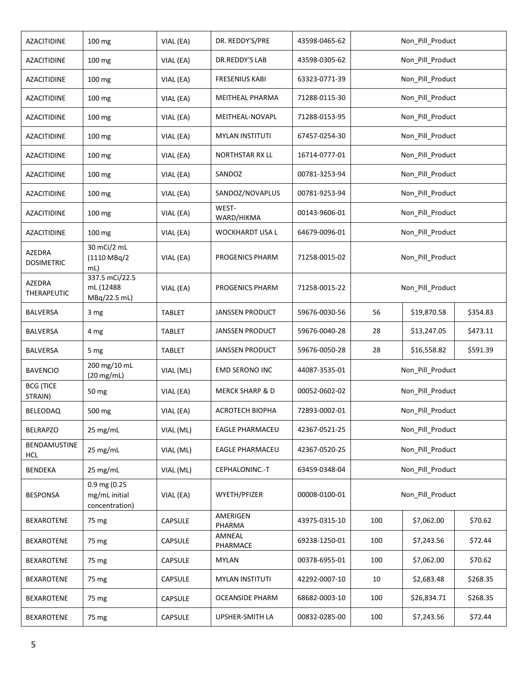| AZACITIDINE                 | 100 mg                                          | VIAL (EA)      | DR. REDDY'S/PRE            | 43598-0465-62 |                  | Non_Pill_Product |          |
|-----------------------------|-------------------------------------------------|----------------|----------------------------|---------------|------------------|------------------|----------|
| AZACITIDINE                 | 100 mg                                          | VIAL (EA)      | DR.REDDY'S LAB             | 43598-0305-62 | Non_Pill_Product |                  |          |
| AZACITIDINE                 | 100 mg                                          | VIAL (EA)      | <b>FRESENIUS KABI</b>      | 63323-0771-39 |                  | Non_Pill_Product |          |
| AZACITIDINE                 | 100 mg                                          | VIAL (EA)      | MEITHEAL PHARMA            | 71288-0115-30 |                  | Non_Pill_Product |          |
| AZACITIDINE                 | 100 mg                                          | VIAL (EA)      | MEITHEAL-NOVAPL            | 71288-0153-95 |                  | Non Pill Product |          |
| AZACITIDINE                 | 100 mg                                          | VIAL (EA)      | <b>MYLAN INSTITUTI</b>     | 67457-0254-30 |                  | Non_Pill_Product |          |
| <b>AZACITIDINE</b>          | 100 mg                                          | VIAL (EA)      | NORTHSTAR RX LL            | 16714-0777-01 |                  | Non_Pill_Product |          |
| AZACITIDINE                 | 100 mg                                          | VIAL (EA)      | SANDOZ                     | 00781-3253-94 |                  | Non_Pill_Product |          |
| AZACITIDINE                 | 100 mg                                          | VIAL (EA)      | SANDOZ/NOVAPLUS            | 00781-9253-94 |                  | Non_Pill_Product |          |
| <b>AZACITIDINE</b>          | 100 mg                                          | VIAL (EA)      | WEST-<br>WARD/HIKMA        | 00143-9606-01 |                  | Non_Pill_Product |          |
| AZACITIDINE                 | 100 mg                                          | VIAL (EA)      | WOCKHARDT USA L            | 64679-0096-01 |                  | Non Pill Product |          |
| AZEDRA<br><b>DOSIMETRIC</b> | 30 mCi/2 mL<br>(1110 MBq/2<br>mL)               | VIAL (EA)      | PROGENICS PHARM            | 71258-0015-02 |                  | Non_Pill_Product |          |
| AZEDRA<br>THERAPEUTIC       | 337.5 mCi/22.5<br>mL (12488<br>MBq/22.5 mL)     | VIAL (EA)      | PROGENICS PHARM            | 71258-0015-22 | Non_Pill_Product |                  |          |
| <b>BALVERSA</b>             | 3 mg                                            | <b>TABLET</b>  | <b>JANSSEN PRODUCT</b>     | 59676-0030-56 | 56               | \$19,870.58      | \$354.83 |
| <b>BALVERSA</b>             | 4 mg                                            | <b>TABLET</b>  | <b>JANSSEN PRODUCT</b>     | 59676-0040-28 | 28               | \$13,247.05      | \$473.11 |
| <b>BALVERSA</b>             | 5 mg                                            | <b>TABLET</b>  | <b>JANSSEN PRODUCT</b>     | 59676-0050-28 | 28               | \$16,558.82      | \$591.39 |
| <b>BAVENCIO</b>             | 200 mg/10 mL<br>$(20 \text{ mg/mL})$            | VIAL (ML)      | <b>EMD SERONO INC</b>      | 44087-3535-01 |                  | Non_Pill_Product |          |
| <b>BCG (TICE</b><br>STRAIN) | 50 mg                                           | VIAL (EA)      | <b>MERCK SHARP &amp; D</b> | 00052-0602-02 |                  | Non_Pill_Product |          |
| BELEODAQ                    | 500 mg                                          | VIAL (EA)      | <b>ACROTECH BIOPHA</b>     | 72893-0002-01 |                  | Non_Pill_Product |          |
| <b>BELRAPZO</b>             | $25 \text{ mg/mL}$                              | VIAL (ML)      | <b>EAGLE PHARMACEU</b>     | 42367-0521-25 |                  | Non Pill Product |          |
| BENDAMUSTINE<br><b>HCL</b>  | 25 mg/mL                                        | VIAL (ML)      | <b>EAGLE PHARMACEU</b>     | 42367-0520-25 |                  | Non_Pill_Product |          |
| <b>BENDEKA</b>              | 25 mg/mL                                        | VIAL (ML)      | CEPHALONINC.-T             | 63459-0348-04 |                  | Non_Pill_Product |          |
| <b>BESPONSA</b>             | 0.9 mg (0.25<br>mg/mL initial<br>concentration) | VIAL (EA)      | WYETH/PFIZER               | 00008-0100-01 |                  | Non Pill Product |          |
| BEXAROTENE                  | 75 mg                                           | <b>CAPSULE</b> | AMERIGEN<br>PHARMA         | 43975-0315-10 | 100              | \$7,062.00       | \$70.62  |
| BEXAROTENE                  | 75 mg                                           | CAPSULE        | AMNEAL<br>PHARMACE         | 69238-1250-01 | 100              | \$7,243.56       | \$72.44  |
| <b>BEXAROTENE</b>           | 75 mg                                           | CAPSULE        | <b>MYLAN</b>               | 00378-6955-01 | 100              | \$7,062.00       | \$70.62  |
| <b>BEXAROTENE</b>           | 75 mg                                           | <b>CAPSULE</b> | <b>MYLAN INSTITUTI</b>     | 42292-0007-10 | 10               | \$2,683.48       | \$268.35 |
| <b>BEXAROTENE</b>           | 75 mg                                           | <b>CAPSULE</b> | <b>OCEANSIDE PHARM</b>     | 68682-0003-10 | 100              | \$26,834.71      | \$268.35 |
| <b>BEXAROTENE</b>           | 75 mg                                           | CAPSULE        | UPSHER-SMITH LA            | 00832-0285-00 | 100              | \$7,243.56       | \$72.44  |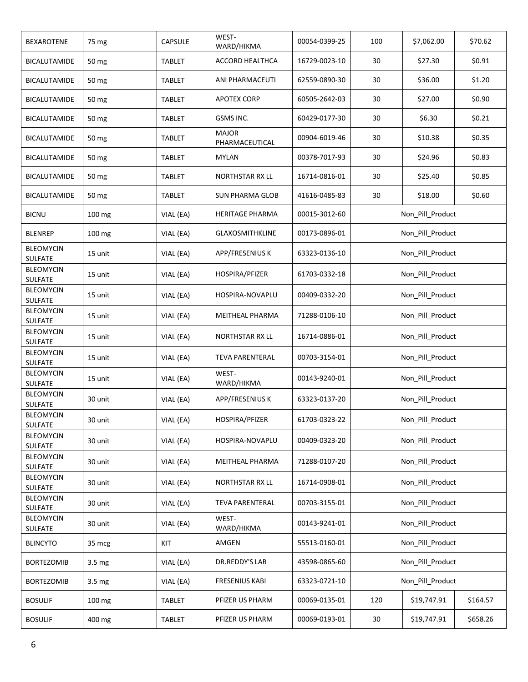| BEXAROTENE                         | 75 mg             | <b>CAPSULE</b> | WEST-<br>WARD/HIKMA            | 00054-0399-25 | 100              | \$7,062.00       | \$70.62  |
|------------------------------------|-------------------|----------------|--------------------------------|---------------|------------------|------------------|----------|
| <b>BICALUTAMIDE</b>                | 50 mg             | <b>TABLET</b>  | ACCORD HEALTHCA                | 16729-0023-10 | 30               | \$27.30          | \$0.91   |
| <b>BICALUTAMIDE</b>                | 50 mg             | <b>TABLET</b>  | ANI PHARMACEUTI                | 62559-0890-30 | 30               | \$36.00          | \$1.20   |
| BICALUTAMIDE                       | 50 mg             | <b>TABLET</b>  | <b>APOTEX CORP</b>             | 60505-2642-03 | 30               | \$27.00          | \$0.90   |
| BICALUTAMIDE                       | 50 mg             | <b>TABLET</b>  | GSMS INC.                      | 60429-0177-30 | 30               | \$6.30           | \$0.21   |
| BICALUTAMIDE                       | 50 mg             | <b>TABLET</b>  | <b>MAJOR</b><br>PHARMACEUTICAL | 00904-6019-46 | 30               | \$10.38          | \$0.35   |
| <b>BICALUTAMIDE</b>                | 50 mg             | <b>TABLET</b>  | <b>MYLAN</b>                   | 00378-7017-93 | 30               | \$24.96          | \$0.83   |
| <b>BICALUTAMIDE</b>                | 50 mg             | TABLET         | <b>NORTHSTAR RX LL</b>         | 16714-0816-01 | 30               | \$25.40          | \$0.85   |
| <b>BICALUTAMIDE</b>                | 50 mg             | <b>TABLET</b>  | <b>SUN PHARMA GLOB</b>         | 41616-0485-83 | 30               | \$18.00          | \$0.60   |
| <b>BICNU</b>                       | 100 mg            | VIAL (EA)      | HERITAGE PHARMA                | 00015-3012-60 |                  | Non_Pill_Product |          |
| <b>BLENREP</b>                     | 100 mg            | VIAL (EA)      | <b>GLAXOSMITHKLINE</b>         | 00173-0896-01 |                  | Non_Pill_Product |          |
| <b>BLEOMYCIN</b><br><b>SULFATE</b> | 15 unit           | VIAL (EA)      | APP/FRESENIUS K                | 63323-0136-10 |                  | Non_Pill_Product |          |
| <b>BLEOMYCIN</b><br><b>SULFATE</b> | 15 unit           | VIAL (EA)      | HOSPIRA/PFIZER                 | 61703-0332-18 | Non Pill Product |                  |          |
| <b>BLEOMYCIN</b><br>SULFATE        | 15 unit           | VIAL (EA)      | HOSPIRA-NOVAPLU                | 00409-0332-20 | Non_Pill_Product |                  |          |
| <b>BLEOMYCIN</b><br>SULFATE        | 15 unit           | VIAL (EA)      | MEITHEAL PHARMA                | 71288-0106-10 | Non_Pill_Product |                  |          |
| <b>BLEOMYCIN</b><br>SULFATE        | 15 unit           | VIAL (EA)      | <b>NORTHSTAR RX LL</b>         | 16714-0886-01 | Non_Pill_Product |                  |          |
| <b>BLEOMYCIN</b><br><b>SULFATE</b> | 15 unit           | VIAL (EA)      | <b>TEVA PARENTERAL</b>         | 00703-3154-01 | Non_Pill_Product |                  |          |
| <b>BLEOMYCIN</b><br>SULFATE        | 15 unit           | VIAL (EA)      | WEST-<br>WARD/HIKMA            | 00143-9240-01 |                  | Non_Pill_Product |          |
| <b>BLEOMYCIN</b><br>SULFATE        | 30 unit           | VIAL (EA)      | APP/FRESENIUS K                | 63323-0137-20 |                  | Non_Pill_Product |          |
| <b>BLEOMYCIN</b><br><b>SULFATE</b> | 30 unit           | VIAL (EA)      | HOSPIRA/PFIZER                 | 61703-0323-22 |                  | Non_Pill_Product |          |
| <b>BLEOMYCIN</b><br>SULFATE        | 30 unit           | VIAL (EA)      | HOSPIRA-NOVAPLU                | 00409-0323-20 |                  | Non Pill Product |          |
| <b>BLEOMYCIN</b><br>SULFATE        | 30 unit           | VIAL (EA)      | MEITHEAL PHARMA                | 71288-0107-20 |                  | Non Pill Product |          |
| <b>BLEOMYCIN</b><br>SULFATE        | 30 unit           | VIAL (EA)      | <b>NORTHSTAR RX LL</b>         | 16714-0908-01 |                  | Non_Pill_Product |          |
| <b>BLEOMYCIN</b><br>SULFATE        | 30 unit           | VIAL (EA)      | <b>TEVA PARENTERAL</b>         | 00703-3155-01 |                  | Non Pill Product |          |
| <b>BLEOMYCIN</b><br>SULFATE        | 30 unit           | VIAL (EA)      | WEST-<br>WARD/HIKMA            | 00143-9241-01 |                  | Non Pill Product |          |
| <b>BLINCYTO</b>                    | 35 mcg            | KIT            | AMGEN                          | 55513-0160-01 |                  | Non_Pill_Product |          |
| <b>BORTEZOMIB</b>                  | 3.5 <sub>mg</sub> | VIAL (EA)      | DR.REDDY'S LAB                 | 43598-0865-60 |                  | Non_Pill_Product |          |
| <b>BORTEZOMIB</b>                  | 3.5 mg            | VIAL (EA)      | <b>FRESENIUS KABI</b>          | 63323-0721-10 |                  | Non_Pill_Product |          |
| <b>BOSULIF</b>                     | 100 mg            | <b>TABLET</b>  | PFIZER US PHARM                | 00069-0135-01 | 120              | \$19,747.91      | \$164.57 |
| <b>BOSULIF</b>                     | 400 mg            | <b>TABLET</b>  | PFIZER US PHARM                | 00069-0193-01 | 30               | \$19,747.91      | \$658.26 |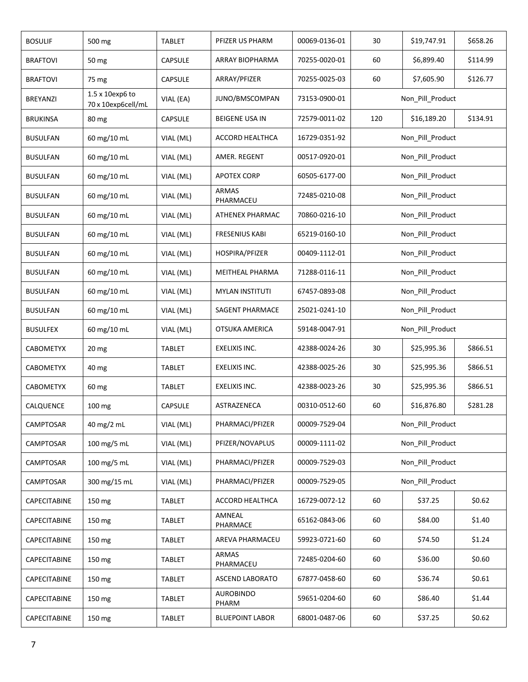| <b>BOSULIF</b>   | 500 mg                                | <b>TABLET</b>  | PFIZER US PHARM           | 00069-0136-01 | 30               | \$19,747.91      | \$658.26 |
|------------------|---------------------------------------|----------------|---------------------------|---------------|------------------|------------------|----------|
| <b>BRAFTOVI</b>  | 50 mg                                 | <b>CAPSULE</b> | ARRAY BIOPHARMA           | 70255-0020-01 | 60               | \$6,899.40       | \$114.99 |
| <b>BRAFTOVI</b>  | 75 mg                                 | CAPSULE        | ARRAY/PFIZER              | 70255-0025-03 | 60               | \$7,605.90       | \$126.77 |
| <b>BREYANZI</b>  | 1.5 x 10exp6 to<br>70 x 10exp6cell/mL | VIAL (EA)      | JUNO/BMSCOMPAN            | 73153-0900-01 |                  | Non_Pill_Product |          |
| <b>BRUKINSA</b>  | 80 mg                                 | <b>CAPSULE</b> | <b>BEIGENE USA IN</b>     | 72579-0011-02 | 120              | \$16,189.20      | \$134.91 |
| <b>BUSULFAN</b>  | 60 mg/10 mL                           | VIAL (ML)      | ACCORD HEALTHCA           | 16729-0351-92 |                  | Non_Pill_Product |          |
| <b>BUSULFAN</b>  | 60 mg/10 mL                           | VIAL (ML)      | AMER. REGENT              | 00517-0920-01 |                  | Non Pill Product |          |
| <b>BUSULFAN</b>  | 60 mg/10 mL                           | VIAL (ML)      | <b>APOTEX CORP</b>        | 60505-6177-00 |                  | Non_Pill_Product |          |
| <b>BUSULFAN</b>  | 60 mg/10 mL                           | VIAL (ML)      | <b>ARMAS</b><br>PHARMACEU | 72485-0210-08 |                  | Non_Pill_Product |          |
| <b>BUSULFAN</b>  | 60 mg/10 mL                           | VIAL (ML)      | ATHENEX PHARMAC           | 70860-0216-10 |                  | Non_Pill_Product |          |
| <b>BUSULFAN</b>  | 60 mg/10 mL                           | VIAL (ML)      | <b>FRESENIUS KABI</b>     | 65219-0160-10 |                  | Non_Pill_Product |          |
| <b>BUSULFAN</b>  | 60 mg/10 mL                           | VIAL (ML)      | HOSPIRA/PFIZER            | 00409-1112-01 |                  | Non_Pill_Product |          |
| <b>BUSULFAN</b>  | 60 mg/10 mL                           | VIAL (ML)      | MEITHEAL PHARMA           | 71288-0116-11 | Non_Pill_Product |                  |          |
| <b>BUSULFAN</b>  | 60 mg/10 mL                           | VIAL (ML)      | <b>MYLAN INSTITUTI</b>    | 67457-0893-08 | Non_Pill_Product |                  |          |
| <b>BUSULFAN</b>  | 60 mg/10 mL                           | VIAL (ML)      | SAGENT PHARMACE           | 25021-0241-10 | Non_Pill_Product |                  |          |
| <b>BUSULFEX</b>  | 60 mg/10 mL                           | VIAL (ML)      | OTSUKA AMERICA            | 59148-0047-91 | Non_Pill_Product |                  |          |
| <b>CABOMETYX</b> | 20 <sub>mg</sub>                      | <b>TABLET</b>  | EXELIXIS INC.             | 42388-0024-26 | 30               | \$25,995.36      | \$866.51 |
| <b>CABOMETYX</b> | 40 mg                                 | <b>TABLET</b>  | EXELIXIS INC.             | 42388-0025-26 | 30               | \$25,995.36      | \$866.51 |
| <b>CABOMETYX</b> | 60 mg                                 | TABLET         | EXELIXIS INC.             | 42388-0023-26 | 30               | \$25,995.36      | \$866.51 |
| CALQUENCE        | 100 mg                                | CAPSULE        | ASTRAZENECA               | 00310-0512-60 | 60               | \$16,876.80      | \$281.28 |
| CAMPTOSAR        | 40 mg/2 mL                            | VIAL (ML)      | PHARMACI/PFIZER           | 00009-7529-04 |                  | Non_Pill_Product |          |
| CAMPTOSAR        | 100 mg/5 mL                           | VIAL (ML)      | PFIZER/NOVAPLUS           | 00009-1111-02 |                  | Non_Pill_Product |          |
| CAMPTOSAR        | 100 mg/5 mL                           | VIAL (ML)      | PHARMACI/PFIZER           | 00009-7529-03 |                  | Non_Pill_Product |          |
| CAMPTOSAR        | 300 mg/15 mL                          | VIAL (ML)      | PHARMACI/PFIZER           | 00009-7529-05 |                  | Non Pill Product |          |
| CAPECITABINE     | 150 mg                                | <b>TABLET</b>  | ACCORD HEALTHCA           | 16729-0072-12 | 60               | \$37.25          | \$0.62   |
| CAPECITABINE     | 150 mg                                | <b>TABLET</b>  | AMNEAL<br>PHARMACE        | 65162-0843-06 | 60               | \$84.00          | \$1.40   |
| CAPECITABINE     | 150 mg                                | <b>TABLET</b>  | AREVA PHARMACEU           | 59923-0721-60 | 60               | \$74.50          | \$1.24   |
| CAPECITABINE     | 150 mg                                | <b>TABLET</b>  | <b>ARMAS</b><br>PHARMACEU | 72485-0204-60 | 60               | \$36.00          | \$0.60   |
| CAPECITABINE     | 150 mg                                | <b>TABLET</b>  | <b>ASCEND LABORATO</b>    | 67877-0458-60 | 60               | \$36.74          | \$0.61   |
| CAPECITABINE     | 150 mg                                | <b>TABLET</b>  | <b>AUROBINDO</b><br>PHARM | 59651-0204-60 | 60               | \$86.40          | \$1.44   |
| CAPECITABINE     | 150 mg                                | TABLET         | <b>BLUEPOINT LABOR</b>    | 68001-0487-06 | 60               | \$37.25          | \$0.62   |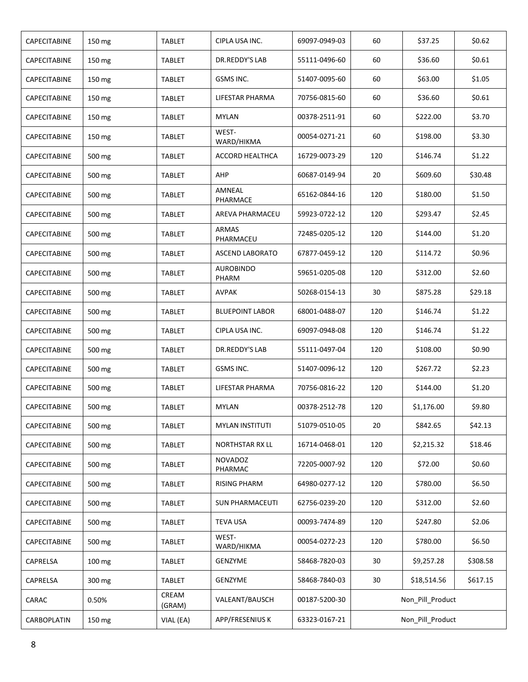| CAPECITABINE | 150 mg | TABLET          | CIPLA USA INC.            | 69097-0949-03 | 60               | \$37.25          | \$0.62   |
|--------------|--------|-----------------|---------------------------|---------------|------------------|------------------|----------|
| CAPECITABINE | 150 mg | TABLET          | DR.REDDY'S LAB            | 55111-0496-60 | 60               | \$36.60          | \$0.61   |
| CAPECITABINE | 150 mg | TABLET          | GSMS INC.                 | 51407-0095-60 | 60               | \$63.00          | \$1.05   |
| CAPECITABINE | 150 mg | TABLET          | LIFESTAR PHARMA           | 70756-0815-60 | 60               | \$36.60          | \$0.61   |
| CAPECITABINE | 150 mg | TABLET          | <b>MYLAN</b>              | 00378-2511-91 | 60               | \$222.00         | \$3.70   |
| CAPECITABINE | 150 mg | <b>TABLET</b>   | WEST-<br>WARD/HIKMA       | 00054-0271-21 | 60               | \$198.00         | \$3.30   |
| CAPECITABINE | 500 mg | TABLET          | ACCORD HEALTHCA           | 16729-0073-29 | 120              | \$146.74         | \$1.22   |
| CAPECITABINE | 500 mg | TABLET          | AHP                       | 60687-0149-94 | 20               | \$609.60         | \$30.48  |
| CAPECITABINE | 500 mg | TABLET          | AMNEAL<br>PHARMACE        | 65162-0844-16 | 120              | \$180.00         | \$1.50   |
| CAPECITABINE | 500 mg | TABLET          | <b>AREVA PHARMACEU</b>    | 59923-0722-12 | 120              | \$293.47         | \$2.45   |
| CAPECITABINE | 500 mg | TABLET          | <b>ARMAS</b><br>PHARMACEU | 72485-0205-12 | 120              | \$144.00         | \$1.20   |
| CAPECITABINE | 500 mg | TABLET          | <b>ASCEND LABORATO</b>    | 67877-0459-12 | 120              | \$114.72         | \$0.96   |
| CAPECITABINE | 500 mg | TABLET          | <b>AUROBINDO</b><br>PHARM | 59651-0205-08 | 120              | \$312.00         | \$2.60   |
| CAPECITABINE | 500 mg | <b>TABLET</b>   | <b>AVPAK</b>              | 50268-0154-13 | 30               | \$875.28         | \$29.18  |
| CAPECITABINE | 500 mg | TABLET          | <b>BLUEPOINT LABOR</b>    | 68001-0488-07 | 120              | \$146.74         | \$1.22   |
| CAPECITABINE | 500 mg | <b>TABLET</b>   | CIPLA USA INC.            | 69097-0948-08 | 120              | \$146.74         | \$1.22   |
| CAPECITABINE | 500 mg | <b>TABLET</b>   | DR.REDDY'S LAB            | 55111-0497-04 | 120              | \$108.00         | \$0.90   |
| CAPECITABINE | 500 mg | TABLET          | GSMS INC.                 | 51407-0096-12 | 120              | \$267.72         | \$2.23   |
| CAPECITABINE | 500 mg | TABLET          | LIFESTAR PHARMA           | 70756-0816-22 | 120              | \$144.00         | \$1.20   |
| CAPECITABINE | 500 mg | <b>TABLET</b>   | <b>MYLAN</b>              | 00378-2512-78 | 120              | \$1,176.00       | \$9.80   |
| CAPECITABINE | 500 mg | <b>TABLET</b>   | <b>MYLAN INSTITUTI</b>    | 51079-0510-05 | 20               | \$842.65         | \$42.13  |
| CAPECITABINE | 500 mg | <b>TABLET</b>   | <b>NORTHSTAR RX LL</b>    | 16714-0468-01 | 120              | \$2,215.32       | \$18.46  |
| CAPECITABINE | 500 mg | <b>TABLET</b>   | <b>NOVADOZ</b><br>PHARMAC | 72205-0007-92 | 120              | \$72.00          | \$0.60   |
| CAPECITABINE | 500 mg | <b>TABLET</b>   | <b>RISING PHARM</b>       | 64980-0277-12 | 120              | \$780.00         | \$6.50   |
| CAPECITABINE | 500 mg | TABLET          | <b>SUN PHARMACEUTI</b>    | 62756-0239-20 | 120              | \$312.00         | \$2.60   |
| CAPECITABINE | 500 mg | TABLET          | <b>TEVA USA</b>           | 00093-7474-89 | 120              | \$247.80         | \$2.06   |
| CAPECITABINE | 500 mg | <b>TABLET</b>   | WEST-<br>WARD/HIKMA       | 00054-0272-23 | 120              | \$780.00         | \$6.50   |
| CAPRELSA     | 100 mg | <b>TABLET</b>   | GENZYME                   | 58468-7820-03 | 30               | \$9,257.28       | \$308.58 |
| CAPRELSA     | 300 mg | TABLET          | GENZYME                   | 58468-7840-03 | 30               | \$18,514.56      | \$617.15 |
| CARAC        | 0.50%  | CREAM<br>(GRAM) | VALEANT/BAUSCH            | 00187-5200-30 | Non_Pill_Product |                  |          |
| CARBOPLATIN  | 150 mg | VIAL (EA)       | APP/FRESENIUS K           | 63323-0167-21 |                  | Non_Pill_Product |          |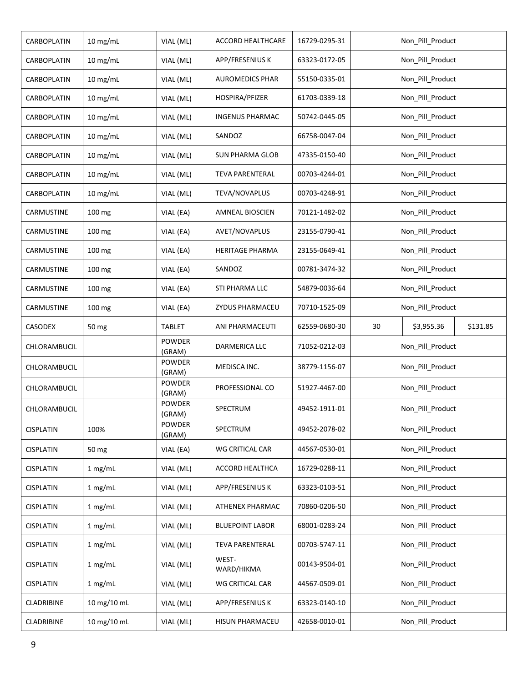| CARBOPLATIN      | 10 mg/mL    | VIAL (ML)               | ACCORD HEALTHCARE      | 16729-0295-31 | Non_Pill_Product             |
|------------------|-------------|-------------------------|------------------------|---------------|------------------------------|
| CARBOPLATIN      | 10 mg/mL    | VIAL (ML)               | APP/FRESENIUS K        | 63323-0172-05 | Non_Pill_Product             |
| CARBOPLATIN      | 10 mg/mL    | VIAL (ML)               | <b>AUROMEDICS PHAR</b> | 55150-0335-01 | Non_Pill_Product             |
| CARBOPLATIN      | 10 mg/mL    | VIAL (ML)               | HOSPIRA/PFIZER         | 61703-0339-18 | Non_Pill_Product             |
| CARBOPLATIN      | 10 mg/mL    | VIAL (ML)               | <b>INGENUS PHARMAC</b> | 50742-0445-05 | Non Pill Product             |
| CARBOPLATIN      | 10 mg/mL    | VIAL (ML)               | SANDOZ                 | 66758-0047-04 | Non_Pill_Product             |
| CARBOPLATIN      | $10$ mg/mL  | VIAL (ML)               | <b>SUN PHARMA GLOB</b> | 47335-0150-40 | Non_Pill_Product             |
| CARBOPLATIN      | 10 mg/mL    | VIAL (ML)               | <b>TEVA PARENTERAL</b> | 00703-4244-01 | Non_Pill_Product             |
| CARBOPLATIN      | 10 mg/mL    | VIAL (ML)               | TEVA/NOVAPLUS          | 00703-4248-91 | Non_Pill_Product             |
| CARMUSTINE       | 100 mg      | VIAL (EA)               | AMNEAL BIOSCIEN        | 70121-1482-02 | Non_Pill_Product             |
| CARMUSTINE       | 100 mg      | VIAL (EA)               | AVET/NOVAPLUS          | 23155-0790-41 | Non_Pill_Product             |
| CARMUSTINE       | 100 mg      | VIAL (EA)               | <b>HERITAGE PHARMA</b> | 23155-0649-41 | Non_Pill_Product             |
| CARMUSTINE       | 100 mg      | VIAL (EA)               | SANDOZ                 | 00781-3474-32 | Non Pill Product             |
| CARMUSTINE       | 100 mg      | VIAL (EA)               | STI PHARMA LLC         | 54879-0036-64 | Non_Pill_Product             |
| CARMUSTINE       | 100 mg      | VIAL (EA)               | ZYDUS PHARMACEU        | 70710-1525-09 | Non_Pill_Product             |
| CASODEX          | 50 mg       | <b>TABLET</b>           | ANI PHARMACEUTI        | 62559-0680-30 | 30<br>\$3,955.36<br>\$131.85 |
| CHLORAMBUCIL     |             | <b>POWDER</b><br>(GRAM) | DARMERICA LLC          | 71052-0212-03 | Non_Pill_Product             |
| CHLORAMBUCIL     |             | <b>POWDER</b><br>(GRAM) | MEDISCA INC.           | 38779-1156-07 | Non_Pill_Product             |
| CHLORAMBUCIL     |             | <b>POWDER</b><br>(GRAM) | PROFESSIONAL CO        | 51927-4467-00 | Non_Pill_Product             |
| CHLORAMBUCIL     |             | POWDER<br>(GRAM)        | SPECTRUM               | 49452-1911-01 | Non_Pill_Product             |
| <b>CISPLATIN</b> | 100%        | POWDER<br>(GRAM)        | SPECTRUM               | 49452-2078-02 | Non_Pill_Product             |
| <b>CISPLATIN</b> | 50 mg       | VIAL (EA)               | WG CRITICAL CAR        | 44567-0530-01 | Non_Pill_Product             |
| <b>CISPLATIN</b> | 1 mg/mL     | VIAL (ML)               | ACCORD HEALTHCA        | 16729-0288-11 | Non_Pill_Product             |
| <b>CISPLATIN</b> | 1 mg/mL     | VIAL (ML)               | APP/FRESENIUS K        | 63323-0103-51 | Non_Pill_Product             |
| <b>CISPLATIN</b> | 1 mg/mL     | VIAL (ML)               | ATHENEX PHARMAC        | 70860-0206-50 | Non_Pill_Product             |
| <b>CISPLATIN</b> | 1 mg/mL     | VIAL (ML)               | <b>BLUEPOINT LABOR</b> | 68001-0283-24 | Non Pill Product             |
| <b>CISPLATIN</b> | 1 mg/mL     | VIAL (ML)               | <b>TEVA PARENTERAL</b> | 00703-5747-11 | Non_Pill_Product             |
|                  |             |                         |                        |               |                              |
| <b>CISPLATIN</b> | 1 mg/mL     | VIAL (ML)               | WEST-<br>WARD/HIKMA    | 00143-9504-01 | Non_Pill_Product             |
| <b>CISPLATIN</b> | 1 mg/mL     | VIAL (ML)               | WG CRITICAL CAR        | 44567-0509-01 | Non_Pill_Product             |
| CLADRIBINE       | 10 mg/10 mL | VIAL (ML)               | APP/FRESENIUS K        | 63323-0140-10 | Non_Pill_Product             |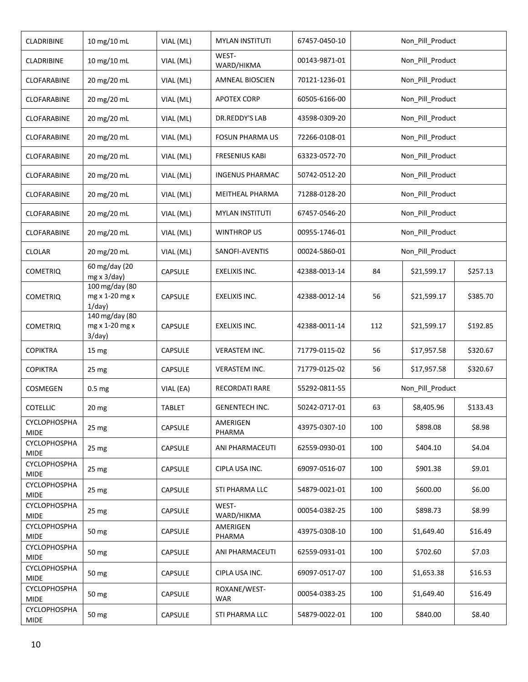| CLADRIBINE                         | 10 mg/10 mL                                                      | VIAL (ML)      | <b>MYLAN INSTITUTI</b>     | 67457-0450-10 |     | Non_Pill_Product |          |
|------------------------------------|------------------------------------------------------------------|----------------|----------------------------|---------------|-----|------------------|----------|
| CLADRIBINE                         | 10 mg/10 mL                                                      | VIAL (ML)      | WEST-<br>WARD/HIKMA        | 00143-9871-01 |     | Non_Pill_Product |          |
| CLOFARABINE                        | 20 mg/20 mL                                                      | VIAL (ML)      | <b>AMNEAL BIOSCIEN</b>     | 70121-1236-01 |     | Non_Pill_Product |          |
| CLOFARABINE                        | 20 mg/20 mL                                                      | VIAL (ML)      | APOTEX CORP                | 60505-6166-00 |     | Non_Pill_Product |          |
| CLOFARABINE                        | 20 mg/20 mL                                                      | VIAL (ML)      | DR.REDDY'S LAB             | 43598-0309-20 |     | Non_Pill_Product |          |
| CLOFARABINE                        | 20 mg/20 mL                                                      | VIAL (ML)      | <b>FOSUN PHARMA US</b>     | 72266-0108-01 |     | Non Pill Product |          |
| CLOFARABINE                        | 20 mg/20 mL                                                      | VIAL (ML)      | <b>FRESENIUS KABI</b>      | 63323-0572-70 |     | Non_Pill_Product |          |
| CLOFARABINE                        | 20 mg/20 mL                                                      | VIAL (ML)      | <b>INGENUS PHARMAC</b>     | 50742-0512-20 |     | Non_Pill_Product |          |
| CLOFARABINE                        | 20 mg/20 mL                                                      | VIAL (ML)      | MEITHEAL PHARMA            | 71288-0128-20 |     | Non_Pill_Product |          |
| CLOFARABINE                        | 20 mg/20 mL                                                      | VIAL (ML)      | <b>MYLAN INSTITUTI</b>     | 67457-0546-20 |     | Non_Pill_Product |          |
| CLOFARABINE                        | 20 mg/20 mL                                                      | VIAL (ML)      | <b>WINTHROP US</b>         | 00955-1746-01 |     | Non_Pill_Product |          |
| <b>CLOLAR</b>                      | 20 mg/20 mL                                                      | VIAL (ML)      | SANOFI-AVENTIS             | 00024-5860-01 |     | Non_Pill_Product |          |
| <b>COMETRIQ</b>                    | 60 mg/day (20<br>$mg \times 3/day)$                              | CAPSULE        | EXELIXIS INC.              | 42388-0013-14 | 84  | \$21,599.17      | \$257.13 |
| <b>COMETRIQ</b>                    | $100 \,\mathrm{mg}/\mathrm{day}$ (80<br>mg x 1-20 mg x<br>1/day) | <b>CAPSULE</b> | EXELIXIS INC.              | 42388-0012-14 | 56  | \$21,599.17      | \$385.70 |
| <b>COMETRIQ</b>                    | 140 mg/day (80<br>mg x 1-20 mg x<br>3/day)                       | <b>CAPSULE</b> | EXELIXIS INC.              | 42388-0011-14 | 112 | \$21,599.17      | \$192.85 |
| <b>COPIKTRA</b>                    | 15 <sub>mg</sub>                                                 | CAPSULE        | <b>VERASTEM INC.</b>       | 71779-0115-02 | 56  | \$17,957.58      | \$320.67 |
| <b>COPIKTRA</b>                    | 25 mg                                                            | CAPSULE        | <b>VERASTEM INC.</b>       | 71779-0125-02 | 56  | \$17,957.58      | \$320.67 |
| COSMEGEN                           | 0.5 <sub>mg</sub>                                                | VIAL (EA)      | <b>RECORDATI RARE</b>      | 55292-0811-55 |     | Non_Pill_Product |          |
| <b>COTELLIC</b>                    | $20 \, mg$                                                       | <b>TABLET</b>  | <b>GENENTECH INC.</b>      | 50242-0717-01 | 63  | \$8,405.96       | \$133.43 |
| <b>CYCLOPHOSPHA</b><br><b>MIDE</b> | 25 mg                                                            | CAPSULE        | AMERIGEN<br>PHARMA         | 43975-0307-10 | 100 | \$898.08         | \$8.98   |
| <b>CYCLOPHOSPHA</b><br><b>MIDE</b> | 25 mg                                                            | <b>CAPSULE</b> | ANI PHARMACEUTI            | 62559-0930-01 | 100 | \$404.10         | \$4.04   |
| <b>CYCLOPHOSPHA</b><br><b>MIDE</b> | 25 <sub>mg</sub>                                                 | <b>CAPSULE</b> | CIPLA USA INC.             | 69097-0516-07 | 100 | \$901.38         | \$9.01   |
| CYCLOPHOSPHA<br><b>MIDE</b>        | 25 <sub>mg</sub>                                                 | <b>CAPSULE</b> | STI PHARMA LLC             | 54879-0021-01 | 100 | \$600.00         | \$6.00   |
| <b>CYCLOPHOSPHA</b><br><b>MIDE</b> | 25 <sub>mg</sub>                                                 | CAPSULE        | WEST-<br>WARD/HIKMA        | 00054-0382-25 | 100 | \$898.73         | \$8.99   |
| <b>CYCLOPHOSPHA</b><br><b>MIDE</b> | 50 mg                                                            | CAPSULE        | AMERIGEN<br>PHARMA         | 43975-0308-10 | 100 | \$1,649.40       | \$16.49  |
| <b>CYCLOPHOSPHA</b><br><b>MIDE</b> | 50 mg                                                            | CAPSULE        | ANI PHARMACEUTI            | 62559-0931-01 | 100 | \$702.60         | \$7.03   |
| <b>CYCLOPHOSPHA</b><br><b>MIDE</b> | 50 mg                                                            | CAPSULE        | CIPLA USA INC.             | 69097-0517-07 | 100 | \$1,653.38       | \$16.53  |
| <b>CYCLOPHOSPHA</b><br><b>MIDE</b> | 50 mg                                                            | CAPSULE        | ROXANE/WEST-<br><b>WAR</b> | 00054-0383-25 | 100 | \$1,649.40       | \$16.49  |
| <b>CYCLOPHOSPHA</b><br>MIDE        | 50 mg                                                            | CAPSULE        | STI PHARMA LLC             | 54879-0022-01 | 100 | \$840.00         | \$8.40   |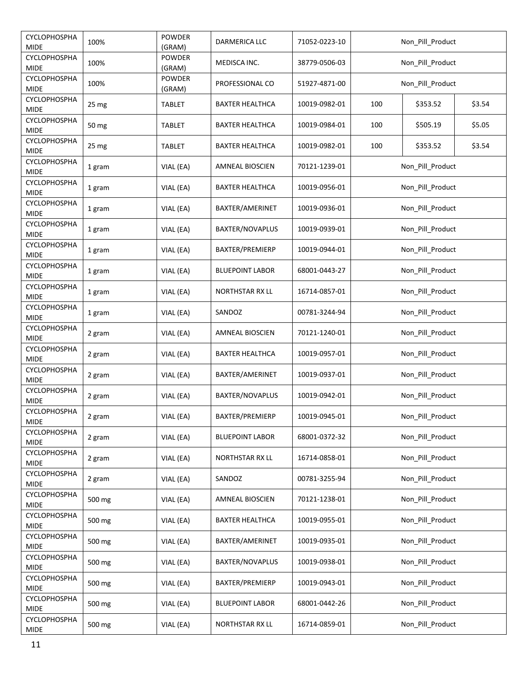| <b>CYCLOPHOSPHA</b><br><b>MIDE</b> | 100%             | <b>POWDER</b><br>(GRAM) | DARMERICA LLC          | 71052-0223-10 |                  | Non_Pill_Product |        |  |
|------------------------------------|------------------|-------------------------|------------------------|---------------|------------------|------------------|--------|--|
| CYCLOPHOSPHA<br><b>MIDE</b>        | 100%             | <b>POWDER</b><br>(GRAM) | MEDISCA INC.           | 38779-0506-03 |                  | Non_Pill_Product |        |  |
| CYCLOPHOSPHA<br><b>MIDE</b>        | 100%             | POWDER<br>(GRAM)        | PROFESSIONAL CO        | 51927-4871-00 |                  | Non_Pill_Product |        |  |
| CYCLOPHOSPHA<br><b>MIDE</b>        | 25 mg            | <b>TABLET</b>           | BAXTER HEALTHCA        | 10019-0982-01 | 100              | \$353.52         | \$3.54 |  |
| CYCLOPHOSPHA<br><b>MIDE</b>        | 50 mg            | <b>TABLET</b>           | BAXTER HEALTHCA        | 10019-0984-01 | 100              | \$505.19         | \$5.05 |  |
| CYCLOPHOSPHA<br><b>MIDE</b>        | 25 <sub>mg</sub> | <b>TABLET</b>           | BAXTER HEALTHCA        | 10019-0982-01 | 100              | \$353.52         | \$3.54 |  |
| CYCLOPHOSPHA<br><b>MIDE</b>        | 1 gram           | VIAL (EA)               | <b>AMNEAL BIOSCIEN</b> | 70121-1239-01 |                  | Non_Pill_Product |        |  |
| CYCLOPHOSPHA<br><b>MIDE</b>        | 1 gram           | VIAL (EA)               | <b>BAXTER HEALTHCA</b> | 10019-0956-01 |                  | Non Pill Product |        |  |
| CYCLOPHOSPHA<br><b>MIDE</b>        | 1 gram           | VIAL (EA)               | BAXTER/AMERINET        | 10019-0936-01 |                  | Non_Pill_Product |        |  |
| <b>CYCLOPHOSPHA</b><br><b>MIDE</b> | 1 gram           | VIAL (EA)               | BAXTER/NOVAPLUS        | 10019-0939-01 |                  | Non Pill Product |        |  |
| CYCLOPHOSPHA<br><b>MIDE</b>        | 1 gram           | VIAL (EA)               | BAXTER/PREMIERP        | 10019-0944-01 |                  | Non_Pill_Product |        |  |
| CYCLOPHOSPHA<br><b>MIDE</b>        | 1 gram           | VIAL (EA)               | <b>BLUEPOINT LABOR</b> | 68001-0443-27 |                  | Non_Pill_Product |        |  |
| CYCLOPHOSPHA<br><b>MIDE</b>        | 1 gram           | VIAL (EA)               | NORTHSTAR RX LL        | 16714-0857-01 | Non_Pill_Product |                  |        |  |
| CYCLOPHOSPHA<br><b>MIDE</b>        | 1 gram           | VIAL (EA)               | SANDOZ                 | 00781-3244-94 | Non_Pill_Product |                  |        |  |
| CYCLOPHOSPHA<br><b>MIDE</b>        | 2 gram           | VIAL (EA)               | <b>AMNEAL BIOSCIEN</b> | 70121-1240-01 | Non_Pill_Product |                  |        |  |
| CYCLOPHOSPHA<br><b>MIDE</b>        | 2 gram           | VIAL (EA)               | <b>BAXTER HEALTHCA</b> | 10019-0957-01 |                  | Non_Pill_Product |        |  |
| CYCLOPHOSPHA<br><b>MIDE</b>        | 2 gram           | VIAL (EA)               | BAXTER/AMERINET        | 10019-0937-01 |                  | Non_Pill_Product |        |  |
| CYCLOPHOSPHA<br><b>MIDE</b>        | 2 gram           | VIAL (EA)               | <b>BAXTER/NOVAPLUS</b> | 10019-0942-01 |                  | Non_Pill_Product |        |  |
| CYCLOPHOSPHA<br><b>MIDE</b>        | 2 gram           | VIAL (EA)               | BAXTER/PREMIERP        | 10019-0945-01 |                  | Non Pill Product |        |  |
| <b>CYCLOPHOSPHA</b><br><b>MIDE</b> | 2 gram           | VIAL (EA)               | <b>BLUEPOINT LABOR</b> | 68001-0372-32 |                  | Non Pill Product |        |  |
| CYCLOPHOSPHA<br><b>MIDE</b>        | 2 gram           | VIAL (EA)               | NORTHSTAR RX LL        | 16714-0858-01 |                  | Non_Pill_Product |        |  |
| CYCLOPHOSPHA<br><b>MIDE</b>        | 2 gram           | VIAL (EA)               | SANDOZ                 | 00781-3255-94 |                  | Non_Pill_Product |        |  |
| CYCLOPHOSPHA<br><b>MIDE</b>        | 500 mg           | VIAL (EA)               | <b>AMNEAL BIOSCIEN</b> | 70121-1238-01 |                  | Non_Pill_Product |        |  |
| CYCLOPHOSPHA<br><b>MIDE</b>        | 500 mg           | VIAL (EA)               | BAXTER HEALTHCA        | 10019-0955-01 |                  | Non_Pill_Product |        |  |
| CYCLOPHOSPHA<br><b>MIDE</b>        | 500 mg           | VIAL (EA)               | BAXTER/AMERINET        | 10019-0935-01 |                  | Non_Pill_Product |        |  |
| CYCLOPHOSPHA<br><b>MIDE</b>        | 500 mg           | VIAL (EA)               | BAXTER/NOVAPLUS        | 10019-0938-01 |                  | Non Pill Product |        |  |
| CYCLOPHOSPHA<br><b>MIDE</b>        | 500 mg           | VIAL (EA)               | BAXTER/PREMIERP        | 10019-0943-01 |                  | Non Pill Product |        |  |
| CYCLOPHOSPHA<br><b>MIDE</b>        | 500 mg           | VIAL (EA)               | <b>BLUEPOINT LABOR</b> | 68001-0442-26 |                  | Non_Pill_Product |        |  |
| CYCLOPHOSPHA<br><b>MIDE</b>        | 500 mg           | VIAL (EA)               | <b>NORTHSTAR RX LL</b> | 16714-0859-01 |                  | Non_Pill_Product |        |  |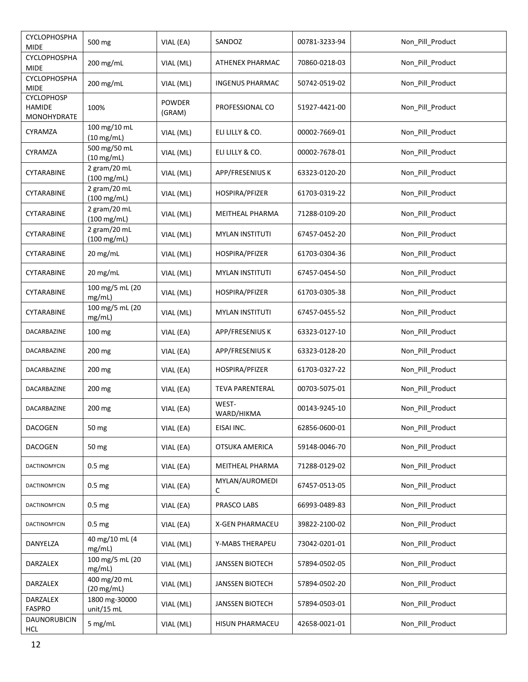| <b>CYCLOPHOSPHA</b><br><b>MIDE</b>                | 500 mg                                | VIAL (EA)               | SANDOZ                 | 00781-3233-94 | Non_Pill_Product |
|---------------------------------------------------|---------------------------------------|-------------------------|------------------------|---------------|------------------|
| CYCLOPHOSPHA<br><b>MIDE</b>                       | 200 mg/mL                             | VIAL (ML)               | <b>ATHENEX PHARMAC</b> | 70860-0218-03 | Non_Pill_Product |
| CYCLOPHOSPHA<br><b>MIDE</b>                       | 200 mg/mL                             | VIAL (ML)               | <b>INGENUS PHARMAC</b> | 50742-0519-02 | Non_Pill_Product |
| <b>CYCLOPHOSP</b><br><b>HAMIDE</b><br>MONOHYDRATE | 100%                                  | <b>POWDER</b><br>(GRAM) | PROFESSIONAL CO        | 51927-4421-00 | Non_Pill_Product |
| CYRAMZA                                           | 100 mg/10 mL<br>$(10 \text{ mg/mL})$  | VIAL (ML)               | ELI LILLY & CO.        | 00002-7669-01 | Non_Pill_Product |
| CYRAMZA                                           | 500 mg/50 mL<br>$(10 \text{ mg/mL})$  | VIAL (ML)               | ELI LILLY & CO.        | 00002-7678-01 | Non_Pill_Product |
| CYTARABINE                                        | 2 gram/20 mL<br>$(100 \text{ mg/mL})$ | VIAL (ML)               | APP/FRESENIUS K        | 63323-0120-20 | Non_Pill_Product |
| CYTARABINE                                        | 2 gram/20 mL<br>$(100 \text{ mg/mL})$ | VIAL (ML)               | HOSPIRA/PFIZER         | 61703-0319-22 | Non_Pill_Product |
| CYTARABINE                                        | 2 gram/20 mL<br>$(100 \text{ mg/mL})$ | VIAL (ML)               | MEITHEAL PHARMA        | 71288-0109-20 | Non_Pill_Product |
| CYTARABINE                                        | 2 gram/20 mL<br>$(100 \text{ mg/mL})$ | VIAL (ML)               | <b>MYLAN INSTITUTI</b> | 67457-0452-20 | Non_Pill_Product |
| CYTARABINE                                        | 20 mg/mL                              | VIAL (ML)               | HOSPIRA/PFIZER         | 61703-0304-36 | Non_Pill_Product |
| CYTARABINE                                        | 20 mg/mL                              | VIAL (ML)               | <b>MYLAN INSTITUTI</b> | 67457-0454-50 | Non Pill Product |
| CYTARABINE                                        | 100 mg/5 mL (20<br>mg/mL)             | VIAL (ML)               | HOSPIRA/PFIZER         | 61703-0305-38 | Non_Pill_Product |
| CYTARABINE                                        | 100 mg/5 mL (20<br>mg/mL)             | VIAL (ML)               | <b>MYLAN INSTITUTI</b> | 67457-0455-52 | Non_Pill_Product |
| DACARBAZINE                                       | 100 mg                                | VIAL (EA)               | APP/FRESENIUS K        | 63323-0127-10 | Non_Pill_Product |
| DACARBAZINE                                       | 200 mg                                | VIAL (EA)               | APP/FRESENIUS K        | 63323-0128-20 | Non_Pill_Product |
| DACARBAZINE                                       | 200 mg                                | VIAL (EA)               | HOSPIRA/PFIZER         | 61703-0327-22 | Non_Pill_Product |
| DACARBAZINE                                       | 200 mg                                | VIAL (EA)               | <b>TEVA PARENTERAL</b> | 00703-5075-01 | Non_Pill_Product |
| DACARBAZINE                                       | 200 mg                                | VIAL (EA)               | WEST-<br>WARD/HIKMA    | 00143-9245-10 | Non Pill Product |
| <b>DACOGEN</b>                                    | 50 mg                                 | VIAL (EA)               | EISAI INC.             | 62856-0600-01 | Non_Pill_Product |
| <b>DACOGEN</b>                                    | 50 mg                                 | VIAL (EA)               | OTSUKA AMERICA         | 59148-0046-70 | Non_Pill_Product |
| DACTINOMYCIN                                      | 0.5 <sub>mg</sub>                     | VIAL (EA)               | MEITHEAL PHARMA        | 71288-0129-02 | Non_Pill_Product |
| DACTINOMYCIN                                      | 0.5 <sub>mg</sub>                     | VIAL (EA)               | MYLAN/AUROMEDI<br>С    | 67457-0513-05 | Non_Pill_Product |
| DACTINOMYCIN                                      | 0.5 <sub>mg</sub>                     | VIAL (EA)               | PRASCO LABS            | 66993-0489-83 | Non_Pill_Product |
| DACTINOMYCIN                                      | 0.5 <sub>mg</sub>                     | VIAL (EA)               | <b>X-GEN PHARMACEU</b> | 39822-2100-02 | Non_Pill_Product |
| DANYELZA                                          | 40 mg/10 mL (4<br>mg/mL)              | VIAL (ML)               | Y-MABS THERAPEU        | 73042-0201-01 | Non_Pill_Product |
| DARZALEX                                          | 100 mg/5 mL (20<br>mg/mL)             | VIAL (ML)               | <b>JANSSEN BIOTECH</b> | 57894-0502-05 | Non_Pill_Product |
| DARZALEX                                          | 400 mg/20 mL<br>$(20 \text{ mg/mL})$  | VIAL (ML)               | <b>JANSSEN BIOTECH</b> | 57894-0502-20 | Non_Pill_Product |
| DARZALEX<br><b>FASPRO</b>                         | 1800 mg-30000<br>unit/15 mL           | VIAL (ML)               | JANSSEN BIOTECH        | 57894-0503-01 | Non_Pill_Product |
| DAUNORUBICIN<br>HCL                               | 5 mg/mL                               | VIAL (ML)               | HISUN PHARMACEU        | 42658-0021-01 | Non_Pill_Product |
|                                                   |                                       |                         |                        |               |                  |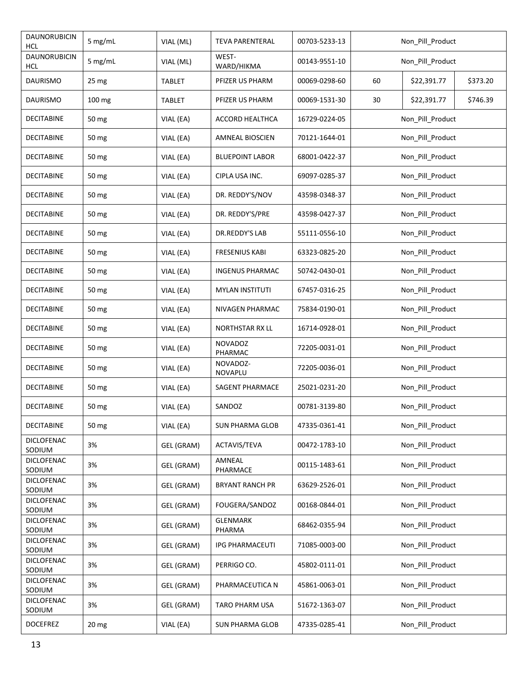| DAUNORUBICIN<br>HCL         | 5 mg/mL         | VIAL (ML)     | <b>TEVA PARENTERAL</b>    | 00703-5233-13 |                  | Non_Pill_Product |          |  |
|-----------------------------|-----------------|---------------|---------------------------|---------------|------------------|------------------|----------|--|
| DAUNORUBICIN<br>HCL         | 5 mg/mL         | VIAL (ML)     | WEST-<br>WARD/HIKMA       | 00143-9551-10 |                  | Non_Pill_Product |          |  |
| <b>DAURISMO</b>             | 25 mg           | <b>TABLET</b> | PFIZER US PHARM           | 00069-0298-60 | 60               | \$22,391.77      | \$373.20 |  |
| <b>DAURISMO</b>             | 100 mg          | <b>TABLET</b> | PFIZER US PHARM           | 00069-1531-30 | 30               | \$22,391.77      | \$746.39 |  |
| DECITABINE                  | 50 mg           | VIAL (EA)     | ACCORD HEALTHCA           | 16729-0224-05 |                  | Non_Pill_Product |          |  |
| DECITABINE                  | 50 mg           | VIAL (EA)     | <b>AMNEAL BIOSCIEN</b>    | 70121-1644-01 |                  | Non_Pill_Product |          |  |
| <b>DECITABINE</b>           | 50 mg           | VIAL (EA)     | <b>BLUEPOINT LABOR</b>    | 68001-0422-37 |                  | Non_Pill_Product |          |  |
| <b>DECITABINE</b>           | 50 mg           | VIAL (EA)     | CIPLA USA INC.            | 69097-0285-37 |                  | Non_Pill_Product |          |  |
| <b>DECITABINE</b>           | 50 mg           | VIAL (EA)     | DR. REDDY'S/NOV           | 43598-0348-37 |                  | Non_Pill_Product |          |  |
| DECITABINE                  | 50 mg           | VIAL (EA)     | DR. REDDY'S/PRE           | 43598-0427-37 |                  | Non_Pill_Product |          |  |
| DECITABINE                  | 50 mg           | VIAL (EA)     | DR.REDDY'S LAB            | 55111-0556-10 |                  | Non_Pill_Product |          |  |
| <b>DECITABINE</b>           | 50 mg           | VIAL (EA)     | <b>FRESENIUS KABI</b>     | 63323-0825-20 |                  | Non_Pill_Product |          |  |
| <b>DECITABINE</b>           | 50 mg           | VIAL (EA)     | <b>INGENUS PHARMAC</b>    | 50742-0430-01 | Non_Pill_Product |                  |          |  |
| <b>DECITABINE</b>           | 50 mg           | VIAL (EA)     | <b>MYLAN INSTITUTI</b>    | 67457-0316-25 | Non_Pill_Product |                  |          |  |
| <b>DECITABINE</b>           | 50 mg           | VIAL (EA)     | NIVAGEN PHARMAC           | 75834-0190-01 | Non_Pill_Product |                  |          |  |
| <b>DECITABINE</b>           | 50 mg           | VIAL (EA)     | <b>NORTHSTAR RX LL</b>    | 16714-0928-01 | Non_Pill_Product |                  |          |  |
| <b>DECITABINE</b>           | 50 mg           | VIAL (EA)     | <b>NOVADOZ</b><br>PHARMAC | 72205-0031-01 | Non_Pill_Product |                  |          |  |
| <b>DECITABINE</b>           | 50 mg           | VIAL (EA)     | NOVADOZ-<br>NOVAPLU       | 72205-0036-01 |                  | Non_Pill_Product |          |  |
| <b>DECITABINE</b>           | 50 mg           | VIAL (EA)     | SAGENT PHARMACE           | 25021-0231-20 |                  | Non_Pill_Product |          |  |
| <b>DECITABINE</b>           | 50 mg           | VIAL (EA)     | SANDOZ                    | 00781-3139-80 |                  | Non_Pill_Product |          |  |
| <b>DECITABINE</b>           | 50 mg           | VIAL (EA)     | <b>SUN PHARMA GLOB</b>    | 47335-0361-41 |                  | Non_Pill_Product |          |  |
| <b>DICLOFENAC</b><br>SODIUM | 3%              | GEL (GRAM)    | ACTAVIS/TEVA              | 00472-1783-10 |                  | Non_Pill_Product |          |  |
| <b>DICLOFENAC</b><br>SODIUM | 3%              | GEL (GRAM)    | AMNEAL<br>PHARMACE        | 00115-1483-61 |                  | Non_Pill_Product |          |  |
| <b>DICLOFENAC</b><br>SODIUM | 3%              | GEL (GRAM)    | <b>BRYANT RANCH PR</b>    | 63629-2526-01 |                  | Non_Pill_Product |          |  |
| <b>DICLOFENAC</b><br>SODIUM | 3%              | GEL (GRAM)    | FOUGERA/SANDOZ            | 00168-0844-01 |                  | Non_Pill_Product |          |  |
| <b>DICLOFENAC</b><br>SODIUM | 3%              | GEL (GRAM)    | <b>GLENMARK</b><br>PHARMA | 68462-0355-94 |                  | Non_Pill_Product |          |  |
| <b>DICLOFENAC</b><br>SODIUM | 3%              | GEL (GRAM)    | <b>IPG PHARMACEUTI</b>    | 71085-0003-00 |                  | Non_Pill_Product |          |  |
| <b>DICLOFENAC</b><br>SODIUM | 3%              | GEL (GRAM)    | PERRIGO CO.               | 45802-0111-01 |                  | Non_Pill_Product |          |  |
| <b>DICLOFENAC</b><br>SODIUM | 3%              | GEL (GRAM)    | PHARMACEUTICA N           | 45861-0063-01 |                  | Non_Pill_Product |          |  |
| <b>DICLOFENAC</b><br>SODIUM | 3%              | GEL (GRAM)    | TARO PHARM USA            | 51672-1363-07 |                  | Non Pill Product |          |  |
| <b>DOCEFREZ</b>             | $20 \text{ mg}$ | VIAL (EA)     | <b>SUN PHARMA GLOB</b>    | 47335-0285-41 |                  | Non_Pill_Product |          |  |
|                             |                 |               |                           |               |                  |                  |          |  |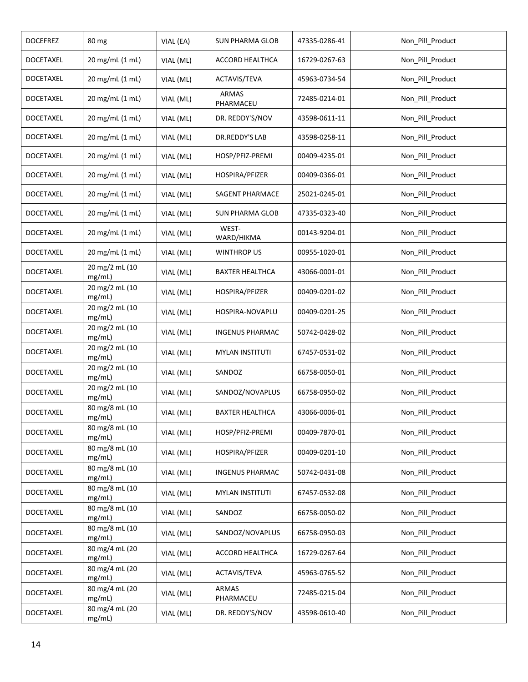| <b>DOCEFREZ</b>  | 80 mg                    | VIAL (EA) | SUN PHARMA GLOB           | 47335-0286-41 | Non_Pill_Product |
|------------------|--------------------------|-----------|---------------------------|---------------|------------------|
| <b>DOCETAXEL</b> | 20 mg/mL (1 mL)          | VIAL (ML) | ACCORD HEALTHCA           | 16729-0267-63 | Non_Pill_Product |
| <b>DOCETAXEL</b> | 20 mg/mL (1 mL)          | VIAL (ML) | ACTAVIS/TEVA              | 45963-0734-54 | Non_Pill_Product |
| <b>DOCETAXEL</b> | 20 mg/mL (1 mL)          | VIAL (ML) | <b>ARMAS</b><br>PHARMACEU | 72485-0214-01 | Non_Pill_Product |
| DOCETAXEL        | 20 mg/mL (1 mL)          | VIAL (ML) | DR. REDDY'S/NOV           | 43598-0611-11 | Non_Pill_Product |
| <b>DOCETAXEL</b> | 20 mg/mL (1 mL)          | VIAL (ML) | DR.REDDY'S LAB            | 43598-0258-11 | Non_Pill_Product |
| <b>DOCETAXEL</b> | 20 mg/mL (1 mL)          | VIAL (ML) | HOSP/PFIZ-PREMI           | 00409-4235-01 | Non_Pill_Product |
| <b>DOCETAXEL</b> | 20 mg/mL (1 mL)          | VIAL (ML) | HOSPIRA/PFIZER            | 00409-0366-01 | Non_Pill_Product |
| <b>DOCETAXEL</b> | 20 mg/mL (1 mL)          | VIAL (ML) | SAGENT PHARMACE           | 25021-0245-01 | Non_Pill_Product |
| <b>DOCETAXEL</b> | 20 mg/mL (1 mL)          | VIAL (ML) | <b>SUN PHARMA GLOB</b>    | 47335-0323-40 | Non_Pill_Product |
| <b>DOCETAXEL</b> | 20 mg/mL (1 mL)          | VIAL (ML) | WEST-<br>WARD/HIKMA       | 00143-9204-01 | Non_Pill_Product |
| DOCETAXEL        | 20 mg/mL (1 mL)          | VIAL (ML) | <b>WINTHROP US</b>        | 00955-1020-01 | Non_Pill_Product |
| <b>DOCETAXEL</b> | 20 mg/2 mL (10<br>mg/mL) | VIAL (ML) | <b>BAXTER HEALTHCA</b>    | 43066-0001-01 | Non_Pill_Product |
| <b>DOCETAXEL</b> | 20 mg/2 mL (10<br>mg/mL) | VIAL (ML) | HOSPIRA/PFIZER            | 00409-0201-02 | Non_Pill_Product |
| <b>DOCETAXEL</b> | 20 mg/2 mL (10<br>mg/mL) | VIAL (ML) | HOSPIRA-NOVAPLU           | 00409-0201-25 | Non_Pill_Product |
| <b>DOCETAXEL</b> | 20 mg/2 mL (10<br>mg/mL) | VIAL (ML) | <b>INGENUS PHARMAC</b>    | 50742-0428-02 | Non_Pill_Product |
| <b>DOCETAXEL</b> | 20 mg/2 mL (10<br>mg/mL) | VIAL (ML) | <b>MYLAN INSTITUTI</b>    | 67457-0531-02 | Non_Pill_Product |
| <b>DOCETAXEL</b> | 20 mg/2 mL (10<br>mg/mL) | VIAL (ML) | SANDOZ                    | 66758-0050-01 | Non Pill Product |
| <b>DOCETAXEL</b> | 20 mg/2 mL (10<br>mg/mL) | VIAL (ML) | SANDOZ/NOVAPLUS           | 66758-0950-02 | Non_Pill_Product |
| <b>DOCETAXEL</b> | 80 mg/8 mL (10<br>mg/mL) | VIAL (ML) | <b>BAXTER HEALTHCA</b>    | 43066-0006-01 | Non Pill Product |
| <b>DOCETAXEL</b> | 80 mg/8 mL (10<br>mg/mL) | VIAL (ML) | HOSP/PFIZ-PREMI           | 00409-7870-01 | Non_Pill_Product |
| <b>DOCETAXEL</b> | 80 mg/8 mL (10<br>mg/mL) | VIAL (ML) | HOSPIRA/PFIZER            | 00409-0201-10 | Non_Pill_Product |
| <b>DOCETAXEL</b> | 80 mg/8 mL (10<br>mg/mL) | VIAL (ML) | <b>INGENUS PHARMAC</b>    | 50742-0431-08 | Non Pill Product |
| <b>DOCETAXEL</b> | 80 mg/8 mL (10<br>mg/mL) | VIAL (ML) | <b>MYLAN INSTITUTI</b>    | 67457-0532-08 | Non Pill Product |
| <b>DOCETAXEL</b> | 80 mg/8 mL (10<br>mg/mL) | VIAL (ML) | SANDOZ                    | 66758-0050-02 | Non_Pill_Product |
| <b>DOCETAXEL</b> | 80 mg/8 mL (10<br>mg/mL) | VIAL (ML) | SANDOZ/NOVAPLUS           | 66758-0950-03 | Non_Pill_Product |
| <b>DOCETAXEL</b> | 80 mg/4 mL (20<br>mg/mL) | VIAL (ML) | ACCORD HEALTHCA           | 16729-0267-64 | Non_Pill_Product |
| DOCETAXEL        | 80 mg/4 mL (20<br>mg/mL) | VIAL (ML) | ACTAVIS/TEVA              | 45963-0765-52 | Non_Pill_Product |
| <b>DOCETAXEL</b> | 80 mg/4 mL (20<br>mg/mL) | VIAL (ML) | <b>ARMAS</b><br>PHARMACEU | 72485-0215-04 | Non_Pill_Product |
| <b>DOCETAXEL</b> | 80 mg/4 mL (20<br>mg/mL) | VIAL (ML) | DR. REDDY'S/NOV           | 43598-0610-40 | Non_Pill_Product |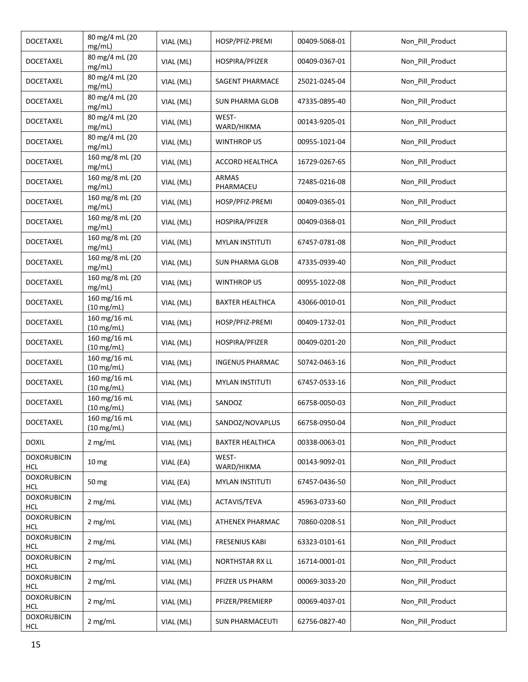| <b>DOCETAXEL</b>                 | 80 mg/4 mL (20<br>mg/mL)             | VIAL (ML) | HOSP/PFIZ-PREMI           | 00409-5068-01 | Non_Pill_Product |
|----------------------------------|--------------------------------------|-----------|---------------------------|---------------|------------------|
| <b>DOCETAXEL</b>                 | 80 mg/4 mL (20<br>mg/mL)             | VIAL (ML) | HOSPIRA/PFIZER            | 00409-0367-01 | Non_Pill_Product |
| <b>DOCETAXEL</b>                 | 80 mg/4 mL (20<br>mg/mL)             | VIAL (ML) | SAGENT PHARMACE           | 25021-0245-04 | Non_Pill_Product |
| <b>DOCETAXEL</b>                 | 80 mg/4 mL (20<br>mg/mL)             | VIAL (ML) | <b>SUN PHARMA GLOB</b>    | 47335-0895-40 | Non_Pill_Product |
| <b>DOCETAXEL</b>                 | 80 mg/4 mL (20<br>mg/mL)             | VIAL (ML) | WEST-<br>WARD/HIKMA       | 00143-9205-01 | Non_Pill_Product |
| <b>DOCETAXEL</b>                 | 80 mg/4 mL (20<br>mg/mL)             | VIAL (ML) | <b>WINTHROP US</b>        | 00955-1021-04 | Non_Pill_Product |
| <b>DOCETAXEL</b>                 | 160 mg/8 mL (20<br>mg/mL)            | VIAL (ML) | ACCORD HEALTHCA           | 16729-0267-65 | Non_Pill_Product |
| <b>DOCETAXEL</b>                 | 160 mg/8 mL (20<br>mg/mL)            | VIAL (ML) | <b>ARMAS</b><br>PHARMACEU | 72485-0216-08 | Non_Pill_Product |
| DOCETAXEL                        | 160 mg/8 mL (20<br>mg/mL)            | VIAL (ML) | HOSP/PFIZ-PREMI           | 00409-0365-01 | Non_Pill_Product |
| <b>DOCETAXEL</b>                 | 160 mg/8 mL (20<br>mg/mL)            | VIAL (ML) | HOSPIRA/PFIZER            | 00409-0368-01 | Non_Pill_Product |
| DOCETAXEL                        | 160 mg/8 mL (20<br>mg/mL)            | VIAL (ML) | <b>MYLAN INSTITUTI</b>    | 67457-0781-08 | Non_Pill_Product |
| <b>DOCETAXEL</b>                 | 160 mg/8 mL (20<br>mg/mL)            | VIAL (ML) | <b>SUN PHARMA GLOB</b>    | 47335-0939-40 | Non_Pill_Product |
| <b>DOCETAXEL</b>                 | 160 mg/8 mL (20<br>mg/mL)            | VIAL (ML) | <b>WINTHROP US</b>        | 00955-1022-08 | Non_Pill_Product |
| <b>DOCETAXEL</b>                 | 160 mg/16 mL<br>$(10 \text{ mg/mL})$ | VIAL (ML) | <b>BAXTER HEALTHCA</b>    | 43066-0010-01 | Non_Pill_Product |
| <b>DOCETAXEL</b>                 | 160 mg/16 mL<br>$(10 \text{ mg/mL})$ | VIAL (ML) | HOSP/PFIZ-PREMI           | 00409-1732-01 | Non_Pill_Product |
| <b>DOCETAXEL</b>                 | 160 mg/16 mL<br>$(10 \text{ mg/mL})$ | VIAL (ML) | HOSPIRA/PFIZER            | 00409-0201-20 | Non_Pill_Product |
| <b>DOCETAXEL</b>                 | 160 mg/16 mL<br>$(10 \text{ mg/mL})$ | VIAL (ML) | <b>INGENUS PHARMAC</b>    | 50742-0463-16 | Non_Pill_Product |
| <b>DOCETAXEL</b>                 | 160 mg/16 mL<br>$(10 \text{ mg/mL})$ | VIAL (ML) | <b>MYLAN INSTITUTI</b>    | 67457-0533-16 | Non_Pill_Product |
| <b>DOCETAXEL</b>                 | 160 mg/16 mL<br>$(10 \text{ mg/mL})$ | VIAL (ML) | SANDOZ                    | 66758-0050-03 | Non_Pill_Product |
| <b>DOCETAXEL</b>                 | 160 mg/16 mL<br>$(10 \text{ mg/mL})$ | VIAL (ML) | SANDOZ/NOVAPLUS           | 66758-0950-04 | Non_Pill_Product |
| <b>DOXIL</b>                     | 2 mg/mL                              | VIAL (ML) | <b>BAXTER HEALTHCA</b>    | 00338-0063-01 | Non_Pill_Product |
| <b>DOXORUBICIN</b><br><b>HCL</b> | 10 <sub>mg</sub>                     | VIAL (EA) | WEST-<br>WARD/HIKMA       | 00143-9092-01 | Non_Pill_Product |
| <b>DOXORUBICIN</b><br><b>HCL</b> | 50 mg                                | VIAL (EA) | <b>MYLAN INSTITUTI</b>    | 67457-0436-50 | Non Pill Product |
| <b>DOXORUBICIN</b><br><b>HCL</b> | 2 mg/mL                              | VIAL (ML) | ACTAVIS/TEVA              | 45963-0733-60 | Non_Pill_Product |
| <b>DOXORUBICIN</b><br><b>HCL</b> | 2 mg/mL                              | VIAL (ML) | ATHENEX PHARMAC           | 70860-0208-51 | Non_Pill_Product |
| <b>DOXORUBICIN</b><br><b>HCL</b> | 2 mg/mL                              | VIAL (ML) | <b>FRESENIUS KABI</b>     | 63323-0101-61 | Non_Pill_Product |
| <b>DOXORUBICIN</b><br><b>HCL</b> | 2 mg/mL                              | VIAL (ML) | NORTHSTAR RX LL           | 16714-0001-01 | Non_Pill_Product |
| <b>DOXORUBICIN</b><br><b>HCL</b> | 2 mg/mL                              | VIAL (ML) | PFIZER US PHARM           | 00069-3033-20 | Non_Pill_Product |
| <b>DOXORUBICIN</b><br><b>HCL</b> | 2 mg/mL                              | VIAL (ML) | PFIZER/PREMIERP           | 00069-4037-01 | Non_Pill_Product |
| <b>DOXORUBICIN</b><br>HCL        | 2 mg/mL                              | VIAL (ML) | <b>SUN PHARMACEUTI</b>    | 62756-0827-40 | Non_Pill_Product |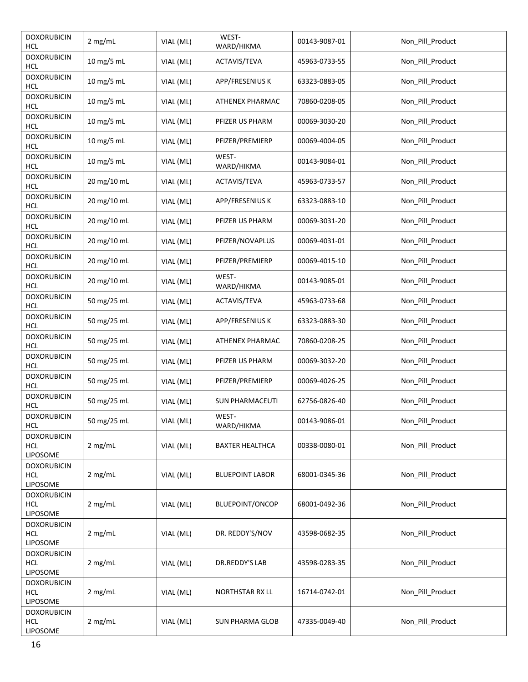| <b>DOXORUBICIN</b><br>HCL                    | 2 mg/mL     | VIAL (ML) | WEST-<br>WARD/HIKMA    | 00143-9087-01 | Non_Pill_Product |
|----------------------------------------------|-------------|-----------|------------------------|---------------|------------------|
| <b>DOXORUBICIN</b><br><b>HCL</b>             | 10 mg/5 mL  | VIAL (ML) | ACTAVIS/TEVA           | 45963-0733-55 | Non Pill Product |
| <b>DOXORUBICIN</b><br><b>HCL</b>             | 10 mg/5 mL  | VIAL (ML) | APP/FRESENIUS K        | 63323-0883-05 | Non_Pill_Product |
| <b>DOXORUBICIN</b><br><b>HCL</b>             | 10 mg/5 mL  | VIAL (ML) | ATHENEX PHARMAC        | 70860-0208-05 | Non_Pill_Product |
| <b>DOXORUBICIN</b><br>HCL                    | 10 mg/5 mL  | VIAL (ML) | PFIZER US PHARM        | 00069-3030-20 | Non_Pill_Product |
| <b>DOXORUBICIN</b><br><b>HCL</b>             | 10 mg/5 mL  | VIAL (ML) | PFIZER/PREMIERP        | 00069-4004-05 | Non_Pill_Product |
| <b>DOXORUBICIN</b><br><b>HCL</b>             | 10 mg/5 mL  | VIAL (ML) | WEST-<br>WARD/HIKMA    | 00143-9084-01 | Non_Pill_Product |
| <b>DOXORUBICIN</b><br>HCL                    | 20 mg/10 mL | VIAL (ML) | ACTAVIS/TEVA           | 45963-0733-57 | Non_Pill_Product |
| <b>DOXORUBICIN</b><br><b>HCL</b>             | 20 mg/10 mL | VIAL (ML) | <b>APP/FRESENIUS K</b> | 63323-0883-10 | Non_Pill_Product |
| <b>DOXORUBICIN</b><br><b>HCL</b>             | 20 mg/10 mL | VIAL (ML) | PFIZER US PHARM        | 00069-3031-20 | Non_Pill_Product |
| <b>DOXORUBICIN</b><br><b>HCL</b>             | 20 mg/10 mL | VIAL (ML) | PFIZER/NOVAPLUS        | 00069-4031-01 | Non_Pill_Product |
| <b>DOXORUBICIN</b><br>HCL                    | 20 mg/10 mL | VIAL (ML) | PFIZER/PREMIERP        | 00069-4015-10 | Non_Pill_Product |
| <b>DOXORUBICIN</b><br><b>HCL</b>             | 20 mg/10 mL | VIAL (ML) | WEST-<br>WARD/HIKMA    | 00143-9085-01 | Non_Pill_Product |
| <b>DOXORUBICIN</b><br><b>HCL</b>             | 50 mg/25 mL | VIAL (ML) | ACTAVIS/TEVA           | 45963-0733-68 | Non_Pill_Product |
| <b>DOXORUBICIN</b><br><b>HCL</b>             | 50 mg/25 mL | VIAL (ML) | APP/FRESENIUS K        | 63323-0883-30 | Non_Pill_Product |
| <b>DOXORUBICIN</b><br>HCL                    | 50 mg/25 mL | VIAL (ML) | ATHENEX PHARMAC        | 70860-0208-25 | Non_Pill_Product |
| <b>DOXORUBICIN</b><br><b>HCL</b>             | 50 mg/25 mL | VIAL (ML) | PFIZER US PHARM        | 00069-3032-20 | Non_Pill_Product |
| <b>DOXORUBICIN</b><br><b>HCL</b>             | 50 mg/25 mL | VIAL (ML) | PFIZER/PREMIERP        | 00069-4026-25 | Non_Pill_Product |
| <b>DOXORUBICIN</b><br>HCL                    | 50 mg/25 mL | VIAL (ML) | <b>SUN PHARMACEUTI</b> | 62756-0826-40 | Non_Pill_Product |
| <b>DOXORUBICIN</b><br>HCL                    | 50 mg/25 mL | VIAL (ML) | WEST-<br>WARD/HIKMA    | 00143-9086-01 | Non_Pill_Product |
| <b>DOXORUBICIN</b><br><b>HCL</b><br>LIPOSOME | 2 mg/mL     | VIAL (ML) | <b>BAXTER HEALTHCA</b> | 00338-0080-01 | Non_Pill_Product |
| <b>DOXORUBICIN</b><br><b>HCL</b><br>LIPOSOME | 2 mg/mL     | VIAL (ML) | <b>BLUEPOINT LABOR</b> | 68001-0345-36 | Non_Pill_Product |
| <b>DOXORUBICIN</b><br><b>HCL</b><br>LIPOSOME | 2 mg/mL     | VIAL (ML) | BLUEPOINT/ONCOP        | 68001-0492-36 | Non_Pill_Product |
| <b>DOXORUBICIN</b><br><b>HCL</b><br>LIPOSOME | 2 mg/mL     | VIAL (ML) | DR. REDDY'S/NOV        | 43598-0682-35 | Non_Pill_Product |
| <b>DOXORUBICIN</b><br><b>HCL</b><br>LIPOSOME | 2 mg/mL     | VIAL (ML) | DR.REDDY'S LAB         | 43598-0283-35 | Non_Pill_Product |
| <b>DOXORUBICIN</b><br><b>HCL</b><br>LIPOSOME | 2 mg/mL     | VIAL (ML) | <b>NORTHSTAR RX LL</b> | 16714-0742-01 | Non_Pill_Product |
| <b>DOXORUBICIN</b><br><b>HCL</b><br>LIPOSOME | 2 mg/mL     | VIAL (ML) | <b>SUN PHARMA GLOB</b> | 47335-0049-40 | Non_Pill_Product |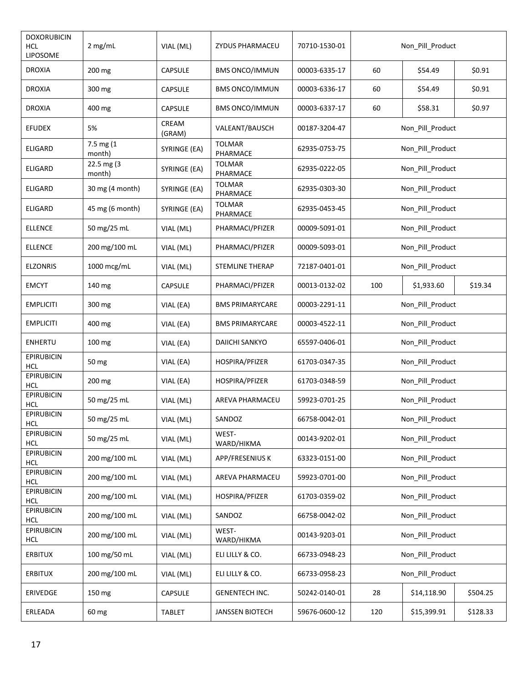| <b>DOXORUBICIN</b><br>HCL<br>LIPOSOME | $2$ mg/mL            | VIAL (ML)       | ZYDUS PHARMACEU           | 70710-1530-01 |                  | Non_Pill_Product |          |  |
|---------------------------------------|----------------------|-----------------|---------------------------|---------------|------------------|------------------|----------|--|
| <b>DROXIA</b>                         | 200 mg               | <b>CAPSULE</b>  | <b>BMS ONCO/IMMUN</b>     | 00003-6335-17 | 60               | \$54.49          | \$0.91   |  |
| <b>DROXIA</b>                         | 300 mg               | <b>CAPSULE</b>  | <b>BMS ONCO/IMMUN</b>     | 00003-6336-17 | 60               | \$54.49          | \$0.91   |  |
| <b>DROXIA</b>                         | 400 mg               | <b>CAPSULE</b>  | <b>BMS ONCO/IMMUN</b>     | 00003-6337-17 | 60               | \$58.31          | \$0.97   |  |
| <b>EFUDEX</b>                         | 5%                   | CREAM<br>(GRAM) | VALEANT/BAUSCH            | 00187-3204-47 |                  | Non_Pill_Product |          |  |
| ELIGARD                               | 7.5 mg (1<br>month)  | SYRINGE (EA)    | <b>TOLMAR</b><br>PHARMACE | 62935-0753-75 |                  | Non_Pill_Product |          |  |
| <b>ELIGARD</b>                        | 22.5 mg (3<br>month) | SYRINGE (EA)    | <b>TOLMAR</b><br>PHARMACE | 62935-0222-05 |                  | Non_Pill_Product |          |  |
| <b>ELIGARD</b>                        | 30 mg (4 month)      | SYRINGE (EA)    | <b>TOLMAR</b><br>PHARMACE | 62935-0303-30 |                  | Non_Pill_Product |          |  |
| <b>ELIGARD</b>                        | 45 mg (6 month)      | SYRINGE (EA)    | TOLMAR<br>PHARMACE        | 62935-0453-45 |                  | Non_Pill_Product |          |  |
| <b>ELLENCE</b>                        | 50 mg/25 mL          | VIAL (ML)       | PHARMACI/PFIZER           | 00009-5091-01 |                  | Non_Pill_Product |          |  |
| <b>ELLENCE</b>                        | 200 mg/100 mL        | VIAL (ML)       | PHARMACI/PFIZER           | 00009-5093-01 |                  | Non_Pill_Product |          |  |
| <b>ELZONRIS</b>                       | 1000 mcg/mL          | VIAL (ML)       | <b>STEMLINE THERAP</b>    | 72187-0401-01 | Non Pill Product |                  |          |  |
| <b>EMCYT</b>                          | 140 mg               | CAPSULE         | PHARMACI/PFIZER           | 00013-0132-02 | 100              | \$1,933.60       | \$19.34  |  |
| <b>EMPLICITI</b>                      | 300 mg               | VIAL (EA)       | <b>BMS PRIMARYCARE</b>    | 00003-2291-11 | Non_Pill_Product |                  |          |  |
| <b>EMPLICITI</b>                      | 400 mg               | VIAL (EA)       | <b>BMS PRIMARYCARE</b>    | 00003-4522-11 | Non_Pill_Product |                  |          |  |
| <b>ENHERTU</b>                        | 100 mg               | VIAL (EA)       | <b>DAIICHI SANKYO</b>     | 65597-0406-01 |                  | Non_Pill_Product |          |  |
| <b>EPIRUBICIN</b><br><b>HCL</b>       | 50 mg                | VIAL (EA)       | HOSPIRA/PFIZER            | 61703-0347-35 |                  | Non_Pill_Product |          |  |
| <b>EPIRUBICIN</b><br><b>HCL</b>       | 200 mg               | VIAL (EA)       | HOSPIRA/PFIZER            | 61703-0348-59 |                  | Non_Pill_Product |          |  |
| <b>EPIRUBICIN</b><br>HCL              | 50 mg/25 mL          | VIAL (ML)       | AREVA PHARMACEU           | 59923-0701-25 |                  | Non_Pill_Product |          |  |
| <b>EPIRUBICIN</b><br><b>HCL</b>       | 50 mg/25 mL          | VIAL (ML)       | SANDOZ                    | 66758-0042-01 |                  | Non_Pill_Product |          |  |
| <b>EPIRUBICIN</b><br><b>HCL</b>       | 50 mg/25 mL          | VIAL (ML)       | WEST-<br>WARD/HIKMA       | 00143-9202-01 |                  | Non_Pill_Product |          |  |
| <b>EPIRUBICIN</b><br><b>HCL</b>       | 200 mg/100 mL        | VIAL (ML)       | APP/FRESENIUS K           | 63323-0151-00 |                  | Non_Pill_Product |          |  |
| <b>EPIRUBICIN</b><br><b>HCL</b>       | 200 mg/100 mL        | VIAL (ML)       | AREVA PHARMACEU           | 59923-0701-00 |                  | Non_Pill_Product |          |  |
| <b>EPIRUBICIN</b><br><b>HCL</b>       | 200 mg/100 mL        | VIAL (ML)       | HOSPIRA/PFIZER            | 61703-0359-02 |                  | Non_Pill_Product |          |  |
| <b>EPIRUBICIN</b><br><b>HCL</b>       | 200 mg/100 mL        | VIAL (ML)       | SANDOZ                    | 66758-0042-02 |                  | Non_Pill_Product |          |  |
| <b>EPIRUBICIN</b><br><b>HCL</b>       | 200 mg/100 mL        | VIAL (ML)       | WEST-<br>WARD/HIKMA       | 00143-9203-01 |                  | Non_Pill_Product |          |  |
| <b>ERBITUX</b>                        | 100 mg/50 mL         | VIAL (ML)       | ELI LILLY & CO.           | 66733-0948-23 |                  | Non_Pill_Product |          |  |
| <b>ERBITUX</b>                        | 200 mg/100 mL        | VIAL (ML)       | ELI LILLY & CO.           | 66733-0958-23 |                  | Non_Pill_Product |          |  |
| ERIVEDGE                              | 150 mg               | CAPSULE         | <b>GENENTECH INC.</b>     | 50242-0140-01 | 28               | \$14,118.90      | \$504.25 |  |
| ERLEADA                               | 60 mg                | <b>TABLET</b>   | <b>JANSSEN BIOTECH</b>    | 59676-0600-12 | 120              | \$15,399.91      | \$128.33 |  |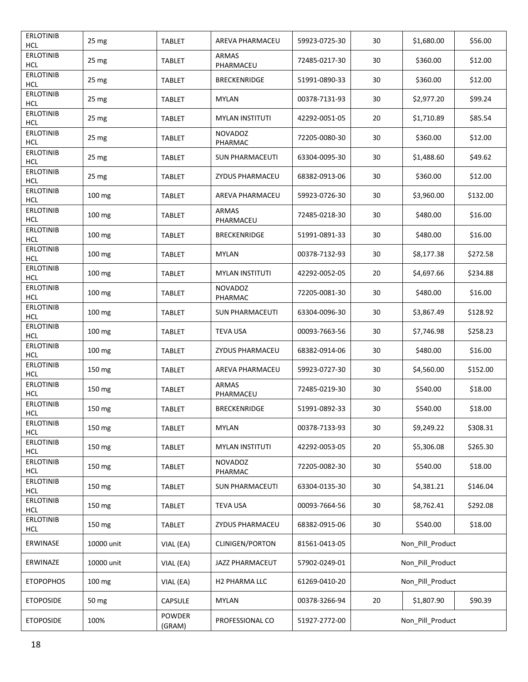| <b>ERLOTINIB</b><br><b>HCL</b> | 25 mg            | <b>TABLET</b>    | AREVA PHARMACEU           | 59923-0725-30 | 30 | \$1,680.00       | \$56.00  |
|--------------------------------|------------------|------------------|---------------------------|---------------|----|------------------|----------|
| <b>ERLOTINIB</b><br><b>HCL</b> | 25 <sub>mg</sub> | <b>TABLET</b>    | <b>ARMAS</b><br>PHARMACEU | 72485-0217-30 | 30 | \$360.00         | \$12.00  |
| <b>ERLOTINIB</b><br><b>HCL</b> | 25 mg            | <b>TABLET</b>    | <b>BRECKENRIDGE</b>       | 51991-0890-33 | 30 | \$360.00         | \$12.00  |
| <b>ERLOTINIB</b><br>HCL        | 25 mg            | <b>TABLET</b>    | <b>MYLAN</b>              | 00378-7131-93 | 30 | \$2,977.20       | \$99.24  |
| <b>ERLOTINIB</b><br><b>HCL</b> | 25 <sub>mg</sub> | <b>TABLET</b>    | <b>MYLAN INSTITUTI</b>    | 42292-0051-05 | 20 | \$1,710.89       | \$85.54  |
| <b>ERLOTINIB</b><br>HCL        | 25 mg            | <b>TABLET</b>    | <b>NOVADOZ</b><br>PHARMAC | 72205-0080-30 | 30 | \$360.00         | \$12.00  |
| <b>ERLOTINIB</b><br>HCL        | 25 mg            | <b>TABLET</b>    | <b>SUN PHARMACEUTI</b>    | 63304-0095-30 | 30 | \$1,488.60       | \$49.62  |
| <b>ERLOTINIB</b><br><b>HCL</b> | 25 <sub>mg</sub> | <b>TABLET</b>    | <b>ZYDUS PHARMACEU</b>    | 68382-0913-06 | 30 | \$360.00         | \$12.00  |
| <b>ERLOTINIB</b><br><b>HCL</b> | 100 mg           | <b>TABLET</b>    | AREVA PHARMACEU           | 59923-0726-30 | 30 | \$3,960.00       | \$132.00 |
| <b>ERLOTINIB</b><br>HCL        | 100 mg           | <b>TABLET</b>    | <b>ARMAS</b><br>PHARMACEU | 72485-0218-30 | 30 | \$480.00         | \$16.00  |
| <b>ERLOTINIB</b><br><b>HCL</b> | 100 mg           | <b>TABLET</b>    | <b>BRECKENRIDGE</b>       | 51991-0891-33 | 30 | \$480.00         | \$16.00  |
| <b>ERLOTINIB</b><br><b>HCL</b> | 100 mg           | <b>TABLET</b>    | <b>MYLAN</b>              | 00378-7132-93 | 30 | \$8,177.38       | \$272.58 |
| <b>ERLOTINIB</b><br><b>HCL</b> | 100 mg           | <b>TABLET</b>    | <b>MYLAN INSTITUTI</b>    | 42292-0052-05 | 20 | \$4,697.66       | \$234.88 |
| <b>ERLOTINIB</b><br>HCL        | 100 mg           | <b>TABLET</b>    | <b>NOVADOZ</b><br>PHARMAC | 72205-0081-30 | 30 | \$480.00         | \$16.00  |
| <b>ERLOTINIB</b><br>HCL        | 100 mg           | <b>TABLET</b>    | <b>SUN PHARMACEUTI</b>    | 63304-0096-30 | 30 | \$3,867.49       | \$128.92 |
| <b>ERLOTINIB</b><br>HCL        | 100 mg           | <b>TABLET</b>    | <b>TEVA USA</b>           | 00093-7663-56 | 30 | \$7,746.98       | \$258.23 |
| <b>ERLOTINIB</b><br><b>HCL</b> | 100 mg           | <b>TABLET</b>    | ZYDUS PHARMACEU           | 68382-0914-06 | 30 | \$480.00         | \$16.00  |
| <b>ERLOTINIB</b><br><b>HCL</b> | 150 mg           | <b>TABLET</b>    | AREVA PHARMACEU           | 59923-0727-30 | 30 | \$4,560.00       | \$152.00 |
| <b>ERLOTINIB</b><br><b>HCL</b> | 150 mg           | <b>TABLET</b>    | ARMAS<br>PHARMACEU        | 72485-0219-30 | 30 | \$540.00         | \$18.00  |
| <b>ERLOTINIB</b><br><b>HCL</b> | 150 mg           | <b>TABLET</b>    | <b>BRECKENRIDGE</b>       | 51991-0892-33 | 30 | \$540.00         | \$18.00  |
| <b>ERLOTINIB</b><br><b>HCL</b> | 150 mg           | <b>TABLET</b>    | MYLAN                     | 00378-7133-93 | 30 | \$9,249.22       | \$308.31 |
| <b>ERLOTINIB</b><br><b>HCL</b> | 150 mg           | <b>TABLET</b>    | <b>MYLAN INSTITUTI</b>    | 42292-0053-05 | 20 | \$5,306.08       | \$265.30 |
| <b>ERLOTINIB</b><br><b>HCL</b> | 150 mg           | <b>TABLET</b>    | <b>NOVADOZ</b><br>PHARMAC | 72205-0082-30 | 30 | \$540.00         | \$18.00  |
| <b>ERLOTINIB</b><br><b>HCL</b> | 150 mg           | <b>TABLET</b>    | <b>SUN PHARMACEUTI</b>    | 63304-0135-30 | 30 | \$4,381.21       | \$146.04 |
| <b>ERLOTINIB</b><br><b>HCL</b> | 150 mg           | <b>TABLET</b>    | <b>TEVA USA</b>           | 00093-7664-56 | 30 | \$8,762.41       | \$292.08 |
| <b>ERLOTINIB</b><br><b>HCL</b> | 150 mg           | <b>TABLET</b>    | ZYDUS PHARMACEU           | 68382-0915-06 | 30 | \$540.00         | \$18.00  |
| ERWINASE                       | 10000 unit       | VIAL (EA)        | <b>CLINIGEN/PORTON</b>    | 81561-0413-05 |    | Non Pill Product |          |
| ERWINAZE                       | 10000 unit       | VIAL (EA)        | JAZZ PHARMACEUT           | 57902-0249-01 |    | Non_Pill_Product |          |
| <b>ETOPOPHOS</b>               | 100 mg           | VIAL (EA)        | H2 PHARMA LLC             | 61269-0410-20 |    | Non_Pill_Product |          |
| <b>ETOPOSIDE</b>               | 50 mg            | <b>CAPSULE</b>   | <b>MYLAN</b>              | 00378-3266-94 | 20 | \$1,807.90       | \$90.39  |
| <b>ETOPOSIDE</b>               | 100%             | POWDER<br>(GRAM) | PROFESSIONAL CO           | 51927-2772-00 |    | Non_Pill_Product |          |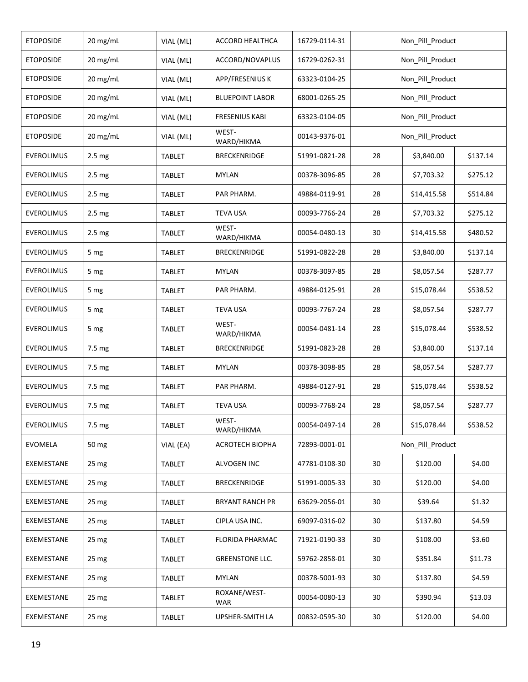| <b>ETOPOSIDE</b>  | 20 mg/mL          | VIAL (ML)     | ACCORD HEALTHCA            | 16729-0114-31 | Non_Pill_Product |                        |          |  |
|-------------------|-------------------|---------------|----------------------------|---------------|------------------|------------------------|----------|--|
| <b>ETOPOSIDE</b>  | 20 mg/mL          | VIAL (ML)     | ACCORD/NOVAPLUS            | 16729-0262-31 |                  | Non_Pill_Product       |          |  |
| <b>ETOPOSIDE</b>  | 20 mg/mL          | VIAL (ML)     | APP/FRESENIUS K            | 63323-0104-25 |                  | Non_Pill_Product       |          |  |
| <b>ETOPOSIDE</b>  | 20 mg/mL          | VIAL (ML)     | <b>BLUEPOINT LABOR</b>     | 68001-0265-25 |                  | Non_Pill_Product       |          |  |
| <b>ETOPOSIDE</b>  | 20 mg/mL          | VIAL (ML)     | <b>FRESENIUS KABI</b>      | 63323-0104-05 |                  | Non_Pill_Product       |          |  |
| <b>ETOPOSIDE</b>  | 20 mg/mL          | VIAL (ML)     | WEST-<br>WARD/HIKMA        | 00143-9376-01 |                  | Non_Pill_Product       |          |  |
| <b>EVEROLIMUS</b> | 2.5 <sub>mg</sub> | <b>TABLET</b> | <b>BRECKENRIDGE</b>        | 51991-0821-28 | 28               | \$3,840.00             | \$137.14 |  |
| EVEROLIMUS        | 2.5 <sub>mg</sub> | TABLET        | <b>MYLAN</b>               | 00378-3096-85 | 28               | \$7,703.32             | \$275.12 |  |
| EVEROLIMUS        | 2.5 <sub>mg</sub> | TABLET        | PAR PHARM.                 | 49884-0119-91 | 28               | \$14,415.58            | \$514.84 |  |
| <b>EVEROLIMUS</b> | 2.5 <sub>mg</sub> | <b>TABLET</b> | <b>TEVA USA</b>            | 00093-7766-24 | 28               | \$7,703.32             | \$275.12 |  |
| EVEROLIMUS        | 2.5 mg            | TABLET        | WEST-<br>WARD/HIKMA        | 00054-0480-13 | 30               | \$14,415.58            | \$480.52 |  |
| <b>EVEROLIMUS</b> | 5 mg              | <b>TABLET</b> | <b>BRECKENRIDGE</b>        | 51991-0822-28 | 28               | \$3,840.00             | \$137.14 |  |
| <b>EVEROLIMUS</b> | 5 mg              | TABLET        | <b>MYLAN</b>               | 00378-3097-85 | 28               | \$8,057.54             | \$287.77 |  |
| <b>EVEROLIMUS</b> | 5 mg              | TABLET        | PAR PHARM.                 | 49884-0125-91 | 28               | \$15,078.44            | \$538.52 |  |
| EVEROLIMUS        | 5 mg              | <b>TABLET</b> | <b>TEVA USA</b>            | 00093-7767-24 | 28               | \$8,057.54             | \$287.77 |  |
| <b>EVEROLIMUS</b> | 5 mg              | TABLET        | WEST-<br>WARD/HIKMA        | 00054-0481-14 | 28               | \$15,078.44            | \$538.52 |  |
| <b>EVEROLIMUS</b> | 7.5 mg            | <b>TABLET</b> | <b>BRECKENRIDGE</b>        | 51991-0823-28 | 28               | \$3,840.00<br>\$137.14 |          |  |
| <b>EVEROLIMUS</b> | 7.5 mg            | TABLET        | <b>MYLAN</b>               | 00378-3098-85 | 28               | \$8,057.54             | \$287.77 |  |
| EVEROLIMUS        | 7.5 mg            | TABLET        | PAR PHARM.                 | 49884-0127-91 | 28               | \$15,078.44            | \$538.52 |  |
| <b>EVEROLIMUS</b> | 7.5 mg            | <b>TABLET</b> | <b>TEVA USA</b>            | 00093-7768-24 | 28               | \$8,057.54             | \$287.77 |  |
| <b>EVEROLIMUS</b> | 7.5 mg            | <b>TABLET</b> | WEST-<br>WARD/HIKMA        | 00054-0497-14 | 28               | \$15,078.44            | \$538.52 |  |
| EVOMELA           | 50 mg             | VIAL (EA)     | ACROTECH BIOPHA            | 72893-0001-01 |                  | Non_Pill_Product       |          |  |
| EXEMESTANE        | 25 <sub>mg</sub>  | <b>TABLET</b> | ALVOGEN INC                | 47781-0108-30 | 30               | \$120.00               | \$4.00   |  |
| EXEMESTANE        | 25 mg             | TABLET        | BRECKENRIDGE               | 51991-0005-33 | 30               | \$120.00               | \$4.00   |  |
| EXEMESTANE        | 25 <sub>mg</sub>  | <b>TABLET</b> | <b>BRYANT RANCH PR</b>     | 63629-2056-01 | 30               | \$39.64                | \$1.32   |  |
| EXEMESTANE        | 25 mg             | <b>TABLET</b> | CIPLA USA INC.             | 69097-0316-02 | 30               | \$137.80               | \$4.59   |  |
| EXEMESTANE        | 25 <sub>mg</sub>  | TABLET        | <b>FLORIDA PHARMAC</b>     | 71921-0190-33 | 30               | \$108.00               | \$3.60   |  |
| EXEMESTANE        | 25 <sub>mg</sub>  | <b>TABLET</b> | <b>GREENSTONE LLC.</b>     | 59762-2858-01 | 30               | \$351.84               | \$11.73  |  |
| EXEMESTANE        | 25 <sub>mg</sub>  | <b>TABLET</b> | <b>MYLAN</b>               | 00378-5001-93 | 30               | \$137.80               | \$4.59   |  |
| EXEMESTANE        | 25 mg             | <b>TABLET</b> | ROXANE/WEST-<br><b>WAR</b> | 00054-0080-13 | 30               | \$390.94               | \$13.03  |  |
| EXEMESTANE        | 25 mg             | <b>TABLET</b> | UPSHER-SMITH LA            | 00832-0595-30 | 30               | \$120.00               | \$4.00   |  |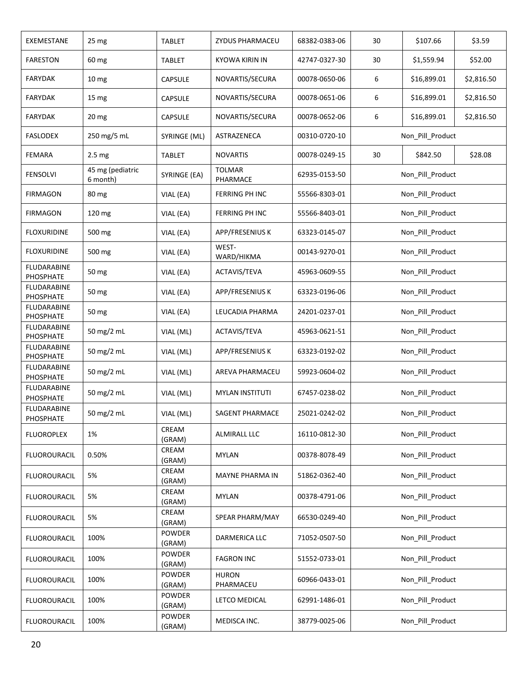| EXEMESTANE                      | 25 mg                        | <b>TABLET</b>           | ZYDUS PHARMACEU           | 68382-0383-06 | 30               | \$107.66         | \$3.59     |  |
|---------------------------------|------------------------------|-------------------------|---------------------------|---------------|------------------|------------------|------------|--|
| <b>FARESTON</b>                 | 60 mg                        | <b>TABLET</b>           | <b>KYOWA KIRIN IN</b>     | 42747-0327-30 | 30               | \$1,559.94       | \$52.00    |  |
| <b>FARYDAK</b>                  | 10 <sub>mg</sub>             | CAPSULE                 | NOVARTIS/SECURA           | 00078-0650-06 | 6                | \$16,899.01      | \$2,816.50 |  |
| FARYDAK                         | 15 mg                        | <b>CAPSULE</b>          | NOVARTIS/SECURA           | 00078-0651-06 | 6                | \$16,899.01      | \$2,816.50 |  |
| <b>FARYDAK</b>                  | 20 <sub>mg</sub>             | <b>CAPSULE</b>          | NOVARTIS/SECURA           | 00078-0652-06 | 6                | \$16,899.01      | \$2,816.50 |  |
| <b>FASLODEX</b>                 | 250 mg/5 mL                  | SYRINGE (ML)            | ASTRAZENECA               | 00310-0720-10 |                  | Non_Pill_Product |            |  |
| <b>FEMARA</b>                   | 2.5 <sub>mg</sub>            | <b>TABLET</b>           | <b>NOVARTIS</b>           | 00078-0249-15 | 30               | \$842.50         | \$28.08    |  |
| <b>FENSOLVI</b>                 | 45 mg (pediatric<br>6 month) | SYRINGE (EA)            | <b>TOLMAR</b><br>PHARMACE | 62935-0153-50 |                  | Non_Pill_Product |            |  |
| <b>FIRMAGON</b>                 | 80 mg                        | VIAL (EA)               | FERRING PH INC            | 55566-8303-01 |                  | Non_Pill_Product |            |  |
| <b>FIRMAGON</b>                 | 120 mg                       | VIAL (EA)               | FERRING PH INC            | 55566-8403-01 |                  | Non_Pill_Product |            |  |
| <b>FLOXURIDINE</b>              | 500 mg                       | VIAL (EA)               | APP/FRESENIUS K           | 63323-0145-07 |                  | Non_Pill_Product |            |  |
| <b>FLOXURIDINE</b>              | 500 mg                       | VIAL (EA)               | WEST-<br>WARD/HIKMA       | 00143-9270-01 |                  | Non_Pill_Product |            |  |
| <b>FLUDARABINE</b><br>PHOSPHATE | 50 mg                        | VIAL (EA)               | ACTAVIS/TEVA              | 45963-0609-55 | Non_Pill_Product |                  |            |  |
| <b>FLUDARABINE</b><br>PHOSPHATE | 50 mg                        | VIAL (EA)               | APP/FRESENIUS K           | 63323-0196-06 | Non_Pill_Product |                  |            |  |
| <b>FLUDARABINE</b><br>PHOSPHATE | 50 mg                        | VIAL (EA)               | LEUCADIA PHARMA           | 24201-0237-01 | Non Pill Product |                  |            |  |
| <b>FLUDARABINE</b><br>PHOSPHATE | 50 mg/2 mL                   | VIAL (ML)               | ACTAVIS/TEVA              | 45963-0621-51 | Non_Pill_Product |                  |            |  |
| <b>FLUDARABINE</b><br>PHOSPHATE | 50 mg/2 mL                   | VIAL (ML)               | APP/FRESENIUS K           | 63323-0192-02 | Non_Pill_Product |                  |            |  |
| <b>FLUDARABINE</b><br>PHOSPHATE | 50 mg/2 mL                   | VIAL (ML)               | AREVA PHARMACEU           | 59923-0604-02 |                  | Non Pill Product |            |  |
| <b>FLUDARABINE</b><br>PHOSPHATE | 50 mg/2 mL                   | VIAL (ML)               | <b>MYLAN INSTITUTI</b>    | 67457-0238-02 |                  | Non_Pill_Product |            |  |
| FLUDARABINE<br>PHOSPHATE        | 50 mg/2 mL                   | VIAL (ML)               | SAGENT PHARMACE           | 25021-0242-02 |                  | Non Pill Product |            |  |
| <b>FLUOROPLEX</b>               | 1%                           | CREAM<br>(GRAM)         | <b>ALMIRALL LLC</b>       | 16110-0812-30 |                  | Non_Pill_Product |            |  |
| <b>FLUOROURACIL</b>             | 0.50%                        | CREAM<br>(GRAM)         | <b>MYLAN</b>              | 00378-8078-49 |                  | Non_Pill_Product |            |  |
| <b>FLUOROURACIL</b>             | 5%                           | CREAM<br>(GRAM)         | MAYNE PHARMA IN           | 51862-0362-40 |                  | Non_Pill_Product |            |  |
| <b>FLUOROURACIL</b>             | 5%                           | CREAM<br>(GRAM)         | <b>MYLAN</b>              | 00378-4791-06 |                  | Non_Pill_Product |            |  |
| <b>FLUOROURACIL</b>             | 5%                           | CREAM<br>(GRAM)         | SPEAR PHARM/MAY           | 66530-0249-40 |                  | Non_Pill_Product |            |  |
| <b>FLUOROURACIL</b>             | 100%                         | <b>POWDER</b><br>(GRAM) | DARMERICA LLC             | 71052-0507-50 |                  | Non_Pill_Product |            |  |
| <b>FLUOROURACIL</b>             | 100%                         | <b>POWDER</b><br>(GRAM) | <b>FAGRON INC</b>         | 51552-0733-01 |                  | Non_Pill_Product |            |  |
| <b>FLUOROURACIL</b>             | 100%                         | POWDER<br>(GRAM)        | <b>HURON</b><br>PHARMACEU | 60966-0433-01 |                  | Non_Pill_Product |            |  |
| <b>FLUOROURACIL</b>             | 100%                         | POWDER<br>(GRAM)        | LETCO MEDICAL             | 62991-1486-01 |                  | Non_Pill_Product |            |  |
| <b>FLUOROURACIL</b>             | 100%                         | POWDER<br>(GRAM)        | MEDISCA INC.              | 38779-0025-06 |                  | Non_Pill_Product |            |  |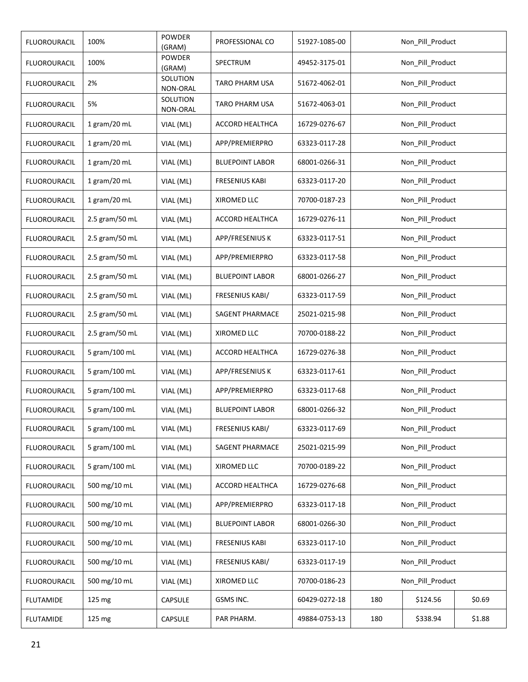| <b>FLUOROURACIL</b> | 100%           | <b>POWDER</b><br>(GRAM) | PROFESSIONAL CO        | 51927-1085-00 |                  | Non_Pill_Product |        |  |
|---------------------|----------------|-------------------------|------------------------|---------------|------------------|------------------|--------|--|
| <b>FLUOROURACIL</b> | 100%           | <b>POWDER</b><br>(GRAM) | <b>SPECTRUM</b>        | 49452-3175-01 |                  | Non_Pill_Product |        |  |
| <b>FLUOROURACIL</b> | 2%             | SOLUTION<br>NON-ORAL    | <b>TARO PHARM USA</b>  | 51672-4062-01 |                  | Non_Pill_Product |        |  |
| <b>FLUOROURACIL</b> | 5%             | SOLUTION<br>NON-ORAL    | <b>TARO PHARM USA</b>  | 51672-4063-01 |                  | Non_Pill_Product |        |  |
| <b>FLUOROURACIL</b> | 1 gram/20 mL   | VIAL (ML)               | ACCORD HEALTHCA        | 16729-0276-67 |                  | Non_Pill_Product |        |  |
| FLUOROURACIL        | 1 gram/20 mL   | VIAL (ML)               | APP/PREMIERPRO         | 63323-0117-28 |                  | Non_Pill_Product |        |  |
| <b>FLUOROURACIL</b> | 1 gram/20 mL   | VIAL (ML)               | <b>BLUEPOINT LABOR</b> | 68001-0266-31 |                  | Non_Pill_Product |        |  |
| <b>FLUOROURACIL</b> | 1 gram/20 mL   | VIAL (ML)               | <b>FRESENIUS KABI</b>  | 63323-0117-20 |                  | Non_Pill_Product |        |  |
| <b>FLUOROURACIL</b> | 1 gram/20 mL   | VIAL (ML)               | XIROMED LLC            | 70700-0187-23 |                  | Non Pill Product |        |  |
| <b>FLUOROURACIL</b> | 2.5 gram/50 mL | VIAL (ML)               | ACCORD HEALTHCA        | 16729-0276-11 |                  | Non Pill Product |        |  |
| <b>FLUOROURACIL</b> | 2.5 gram/50 mL | VIAL (ML)               | APP/FRESENIUS K        | 63323-0117-51 | Non_Pill_Product |                  |        |  |
| <b>FLUOROURACIL</b> | 2.5 gram/50 mL | VIAL (ML)               | APP/PREMIERPRO         | 63323-0117-58 | Non_Pill_Product |                  |        |  |
| FLUOROURACIL        | 2.5 gram/50 mL | VIAL (ML)               | <b>BLUEPOINT LABOR</b> | 68001-0266-27 | Non_Pill_Product |                  |        |  |
| <b>FLUOROURACIL</b> | 2.5 gram/50 mL | VIAL (ML)               | FRESENIUS KABI/        | 63323-0117-59 | Non_Pill_Product |                  |        |  |
| <b>FLUOROURACIL</b> | 2.5 gram/50 mL | VIAL (ML)               | SAGENT PHARMACE        | 25021-0215-98 | Non_Pill_Product |                  |        |  |
| <b>FLUOROURACIL</b> | 2.5 gram/50 mL | VIAL (ML)               | XIROMED LLC            | 70700-0188-22 | Non_Pill_Product |                  |        |  |
| <b>FLUOROURACIL</b> | 5 gram/100 mL  | VIAL (ML)               | ACCORD HEALTHCA        | 16729-0276-38 | Non_Pill_Product |                  |        |  |
| <b>FLUOROURACIL</b> | 5 gram/100 mL  | VIAL (ML)               | APP/FRESENIUS K        | 63323-0117-61 |                  | Non_Pill_Product |        |  |
| <b>FLUOROURACIL</b> | 5 gram/100 mL  | VIAL (ML)               | APP/PREMIERPRO         | 63323-0117-68 |                  | Non Pill Product |        |  |
| <b>FLUOROURACIL</b> | 5 gram/100 mL  | VIAL (ML)               | <b>BLUEPOINT LABOR</b> | 68001-0266-32 |                  | Non_Pill_Product |        |  |
| <b>FLUOROURACIL</b> | 5 gram/100 mL  | VIAL (ML)               | FRESENIUS KABI/        | 63323-0117-69 |                  | Non_Pill_Product |        |  |
| FLUOROURACIL        | 5 gram/100 mL  | VIAL (ML)               | SAGENT PHARMACE        | 25021-0215-99 |                  | Non_Pill_Product |        |  |
| <b>FLUOROURACIL</b> | 5 gram/100 mL  | VIAL (ML)               | XIROMED LLC            | 70700-0189-22 |                  | Non_Pill_Product |        |  |
| FLUOROURACIL        | 500 mg/10 mL   | VIAL (ML)               | ACCORD HEALTHCA        | 16729-0276-68 |                  | Non_Pill_Product |        |  |
| FLUOROURACIL        | 500 mg/10 mL   | VIAL (ML)               | APP/PREMIERPRO         | 63323-0117-18 |                  | Non_Pill_Product |        |  |
| <b>FLUOROURACIL</b> | 500 mg/10 mL   | VIAL (ML)               | <b>BLUEPOINT LABOR</b> | 68001-0266-30 |                  | Non_Pill_Product |        |  |
| <b>FLUOROURACIL</b> | 500 mg/10 mL   | VIAL (ML)               | <b>FRESENIUS KABI</b>  | 63323-0117-10 |                  | Non_Pill_Product |        |  |
| FLUOROURACIL        | 500 mg/10 mL   | VIAL (ML)               | FRESENIUS KABI/        | 63323-0117-19 |                  | Non_Pill_Product |        |  |
| <b>FLUOROURACIL</b> | 500 mg/10 mL   | VIAL (ML)               | XIROMED LLC            | 70700-0186-23 |                  | Non_Pill_Product |        |  |
| <b>FLUTAMIDE</b>    | 125 mg         | CAPSULE                 | GSMS INC.              | 60429-0272-18 | 180              | \$124.56         | \$0.69 |  |
| <b>FLUTAMIDE</b>    | 125 mg         | CAPSULE                 | PAR PHARM.             | 49884-0753-13 | 180              | \$338.94         | \$1.88 |  |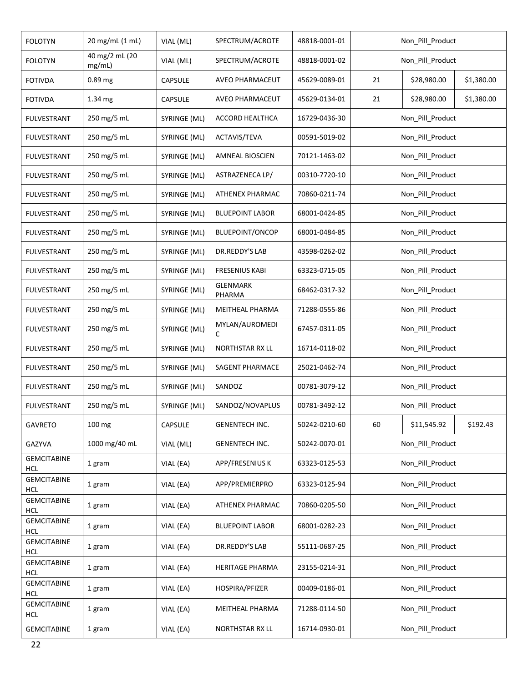| <b>FOLOTYN</b>                   | 20 mg/mL (1 mL)          | VIAL (ML)    | SPECTRUM/ACROTE           | 48818-0001-01 |                  | Non_Pill_Product |            |  |
|----------------------------------|--------------------------|--------------|---------------------------|---------------|------------------|------------------|------------|--|
| <b>FOLOTYN</b>                   | 40 mg/2 mL (20<br>mg/mL) | VIAL (ML)    | SPECTRUM/ACROTE           | 48818-0001-02 |                  | Non_Pill_Product |            |  |
| <b>FOTIVDA</b>                   | 0.89 mg                  | CAPSULE      | AVEO PHARMACEUT           | 45629-0089-01 | 21               | \$28,980.00      | \$1,380.00 |  |
| <b>FOTIVDA</b>                   | 1.34 mg                  | CAPSULE      | AVEO PHARMACEUT           | 45629-0134-01 | 21               | \$28,980.00      | \$1,380.00 |  |
| FULVESTRANT                      | 250 mg/5 mL              | SYRINGE (ML) | ACCORD HEALTHCA           | 16729-0436-30 |                  | Non_Pill_Product |            |  |
| <b>FULVESTRANT</b>               | 250 mg/5 mL              | SYRINGE (ML) | ACTAVIS/TEVA              | 00591-5019-02 |                  | Non_Pill_Product |            |  |
| <b>FULVESTRANT</b>               | 250 mg/5 mL              | SYRINGE (ML) | <b>AMNEAL BIOSCIEN</b>    | 70121-1463-02 |                  | Non_Pill_Product |            |  |
| <b>FULVESTRANT</b>               | 250 mg/5 mL              | SYRINGE (ML) | ASTRAZENECA LP/           | 00310-7720-10 |                  | Non_Pill_Product |            |  |
| <b>FULVESTRANT</b>               | 250 mg/5 mL              | SYRINGE (ML) | ATHENEX PHARMAC           | 70860-0211-74 |                  | Non_Pill_Product |            |  |
| <b>FULVESTRANT</b>               | 250 mg/5 mL              | SYRINGE (ML) | <b>BLUEPOINT LABOR</b>    | 68001-0424-85 |                  | Non Pill Product |            |  |
| <b>FULVESTRANT</b>               | 250 mg/5 mL              | SYRINGE (ML) | <b>BLUEPOINT/ONCOP</b>    | 68001-0484-85 |                  | Non_Pill_Product |            |  |
| <b>FULVESTRANT</b>               | 250 mg/5 mL              | SYRINGE (ML) | DR.REDDY'S LAB            | 43598-0262-02 |                  | Non_Pill_Product |            |  |
| <b>FULVESTRANT</b>               | 250 mg/5 mL              | SYRINGE (ML) | <b>FRESENIUS KABI</b>     | 63323-0715-05 | Non_Pill_Product |                  |            |  |
| <b>FULVESTRANT</b>               | 250 mg/5 mL              | SYRINGE (ML) | <b>GLENMARK</b><br>PHARMA | 68462-0317-32 | Non_Pill_Product |                  |            |  |
| <b>FULVESTRANT</b>               | 250 mg/5 mL              | SYRINGE (ML) | MEITHEAL PHARMA           | 71288-0555-86 | Non_Pill_Product |                  |            |  |
| FULVESTRANT                      | 250 mg/5 mL              | SYRINGE (ML) | MYLAN/AUROMEDI            | 67457-0311-05 | Non_Pill_Product |                  |            |  |
| <b>FULVESTRANT</b>               | 250 mg/5 mL              | SYRINGE (ML) | NORTHSTAR RX LL           | 16714-0118-02 | Non_Pill_Product |                  |            |  |
| <b>FULVESTRANT</b>               | 250 mg/5 mL              | SYRINGE (ML) | SAGENT PHARMACE           | 25021-0462-74 | Non_Pill_Product |                  |            |  |
| <b>FULVESTRANT</b>               | 250 mg/5 mL              | SYRINGE (ML) | SANDOZ                    | 00781-3079-12 |                  | Non_Pill_Product |            |  |
| <b>FULVESTRANT</b>               | 250 mg/5 mL              | SYRINGE (ML) | SANDOZ/NOVAPLUS           | 00781-3492-12 |                  | Non_Pill_Product |            |  |
| <b>GAVRETO</b>                   | 100 mg                   | CAPSULE      | <b>GENENTECH INC.</b>     | 50242-0210-60 | 60               | \$11,545.92      | \$192.43   |  |
| GAZYVA                           | 1000 mg/40 mL            | VIAL (ML)    | GENENTECH INC.            | 50242-0070-01 |                  | Non_Pill_Product |            |  |
| <b>GEMCITABINE</b><br><b>HCL</b> | 1 gram                   | VIAL (EA)    | APP/FRESENIUS K           | 63323-0125-53 |                  | Non_Pill_Product |            |  |
| <b>GEMCITABINE</b><br><b>HCL</b> | 1 gram                   | VIAL (EA)    | APP/PREMIERPRO            | 63323-0125-94 |                  | Non_Pill_Product |            |  |
| <b>GEMCITABINE</b><br><b>HCL</b> | 1 gram                   | VIAL (EA)    | ATHENEX PHARMAC           | 70860-0205-50 |                  | Non_Pill_Product |            |  |
| <b>GEMCITABINE</b><br><b>HCL</b> | 1 gram                   | VIAL (EA)    | <b>BLUEPOINT LABOR</b>    | 68001-0282-23 |                  | Non_Pill_Product |            |  |
| <b>GEMCITABINE</b><br><b>HCL</b> | 1 gram                   | VIAL (EA)    | DR.REDDY'S LAB            | 55111-0687-25 |                  | Non_Pill_Product |            |  |
| <b>GEMCITABINE</b>               | 1 gram                   | VIAL (EA)    | HERITAGE PHARMA           | 23155-0214-31 |                  | Non_Pill_Product |            |  |
| <b>HCL</b><br><b>GEMCITABINE</b> | 1 gram                   | VIAL (EA)    | HOSPIRA/PFIZER            | 00409-0186-01 |                  | Non_Pill_Product |            |  |
| <b>HCL</b><br><b>GEMCITABINE</b> | 1 gram                   | VIAL (EA)    | MEITHEAL PHARMA           | 71288-0114-50 |                  | Non_Pill_Product |            |  |
| <b>HCL</b>                       |                          |              |                           | 16714-0930-01 |                  | Non_Pill_Product |            |  |
| <b>GEMCITABINE</b>               | 1 gram                   | VIAL (EA)    | NORTHSTAR RX LL           |               |                  |                  |            |  |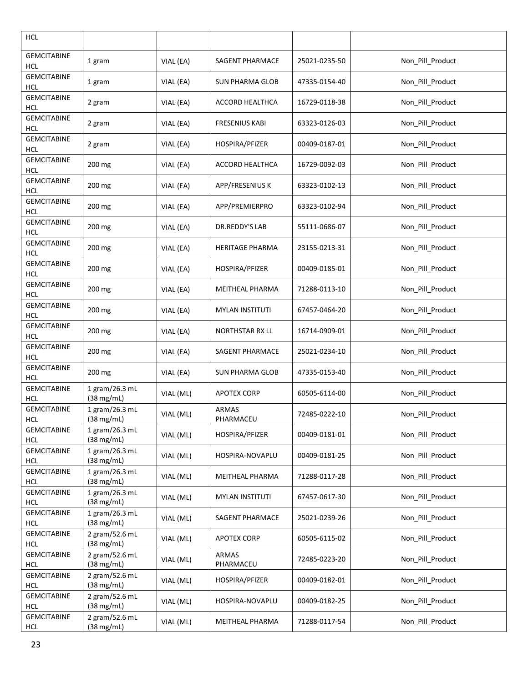| <b>HCL</b>                       |                                        |           |                           |               |                  |
|----------------------------------|----------------------------------------|-----------|---------------------------|---------------|------------------|
| <b>GEMCITABINE</b><br><b>HCL</b> | 1 gram                                 | VIAL (EA) | SAGENT PHARMACE           | 25021-0235-50 | Non_Pill_Product |
| <b>GEMCITABINE</b><br><b>HCL</b> | 1 gram                                 | VIAL (EA) | <b>SUN PHARMA GLOB</b>    | 47335-0154-40 | Non_Pill_Product |
| <b>GEMCITABINE</b><br><b>HCL</b> | 2 gram                                 | VIAL (EA) | ACCORD HEALTHCA           | 16729-0118-38 | Non_Pill_Product |
| <b>GEMCITABINE</b><br><b>HCL</b> | 2 gram                                 | VIAL (EA) | <b>FRESENIUS KABI</b>     | 63323-0126-03 | Non_Pill_Product |
| <b>GEMCITABINE</b><br><b>HCL</b> | 2 gram                                 | VIAL (EA) | HOSPIRA/PFIZER            | 00409-0187-01 | Non_Pill_Product |
| <b>GEMCITABINE</b><br><b>HCL</b> | 200 mg                                 | VIAL (EA) | ACCORD HEALTHCA           | 16729-0092-03 | Non_Pill_Product |
| <b>GEMCITABINE</b><br><b>HCL</b> | 200 mg                                 | VIAL (EA) | APP/FRESENIUS K           | 63323-0102-13 | Non_Pill_Product |
| <b>GEMCITABINE</b><br><b>HCL</b> | 200 mg                                 | VIAL (EA) | APP/PREMIERPRO            | 63323-0102-94 | Non_Pill_Product |
| <b>GEMCITABINE</b><br><b>HCL</b> | 200 mg                                 | VIAL (EA) | DR.REDDY'S LAB            | 55111-0686-07 | Non_Pill_Product |
| <b>GEMCITABINE</b><br><b>HCL</b> | 200 mg                                 | VIAL (EA) | <b>HERITAGE PHARMA</b>    | 23155-0213-31 | Non_Pill_Product |
| <b>GEMCITABINE</b><br><b>HCL</b> | 200 mg                                 | VIAL (EA) | HOSPIRA/PFIZER            | 00409-0185-01 | Non_Pill_Product |
| <b>GEMCITABINE</b><br><b>HCL</b> | 200 mg                                 | VIAL (EA) | MEITHEAL PHARMA           | 71288-0113-10 | Non_Pill_Product |
| <b>GEMCITABINE</b><br><b>HCL</b> | 200 mg                                 | VIAL (EA) | <b>MYLAN INSTITUTI</b>    | 67457-0464-20 | Non_Pill_Product |
| <b>GEMCITABINE</b><br><b>HCL</b> | 200 mg                                 | VIAL (EA) | NORTHSTAR RX LL           | 16714-0909-01 | Non_Pill_Product |
| <b>GEMCITABINE</b><br><b>HCL</b> | 200 mg                                 | VIAL (EA) | SAGENT PHARMACE           | 25021-0234-10 | Non_Pill_Product |
| <b>GEMCITABINE</b><br><b>HCL</b> | 200 mg                                 | VIAL (EA) | <b>SUN PHARMA GLOB</b>    | 47335-0153-40 | Non_Pill_Product |
| <b>GEMCITABINE</b><br><b>HCL</b> | 1 gram/26.3 mL<br>(38 mg/mL)           | VIAL (ML) | <b>APOTEX CORP</b>        | 60505-6114-00 | Non_Pill_Product |
| <b>GEMCITABINE</b><br>HCL        | 1 gram/26.3 mL<br>$(38 \text{ mg/mL})$ | VIAL (ML) | ARMAS<br>PHARMACEU        | 72485-0222-10 | Non_Pill_Product |
| <b>GEMCITABINE</b><br><b>HCL</b> | 1 gram/26.3 mL<br>(38 mg/mL)           | VIAL (ML) | HOSPIRA/PFIZER            | 00409-0181-01 | Non_Pill_Product |
| <b>GEMCITABINE</b><br><b>HCL</b> | 1 gram/26.3 mL<br>$(38 \text{ mg/mL})$ | VIAL (ML) | HOSPIRA-NOVAPLU           | 00409-0181-25 | Non_Pill_Product |
| <b>GEMCITABINE</b><br><b>HCL</b> | 1 gram/26.3 mL<br>$(38 \text{ mg/mL})$ | VIAL (ML) | MEITHEAL PHARMA           | 71288-0117-28 | Non_Pill_Product |
| <b>GEMCITABINE</b><br><b>HCL</b> | 1 gram/26.3 mL<br>(38 mg/mL)           | VIAL (ML) | <b>MYLAN INSTITUTI</b>    | 67457-0617-30 | Non_Pill_Product |
| <b>GEMCITABINE</b><br><b>HCL</b> | 1 gram/26.3 mL<br>(38 mg/mL)           | VIAL (ML) | <b>SAGENT PHARMACE</b>    | 25021-0239-26 | Non_Pill_Product |
| <b>GEMCITABINE</b><br><b>HCL</b> | 2 gram/52.6 mL<br>$(38 \text{ mg/mL})$ | VIAL (ML) | <b>APOTEX CORP</b>        | 60505-6115-02 | Non_Pill_Product |
| <b>GEMCITABINE</b><br><b>HCL</b> | 2 gram/52.6 mL<br>$(38 \text{ mg/mL})$ | VIAL (ML) | <b>ARMAS</b><br>PHARMACEU | 72485-0223-20 | Non_Pill_Product |
| <b>GEMCITABINE</b><br><b>HCL</b> | 2 gram/52.6 mL<br>$(38 \text{ mg/mL})$ | VIAL (ML) | HOSPIRA/PFIZER            | 00409-0182-01 | Non_Pill_Product |
| <b>GEMCITABINE</b><br><b>HCL</b> | 2 gram/52.6 mL<br>(38 mg/mL)           | VIAL (ML) | HOSPIRA-NOVAPLU           | 00409-0182-25 | Non_Pill_Product |
| <b>GEMCITABINE</b><br><b>HCL</b> | 2 gram/52.6 mL<br>(38 mg/mL)           | VIAL (ML) | MEITHEAL PHARMA           | 71288-0117-54 | Non_Pill_Product |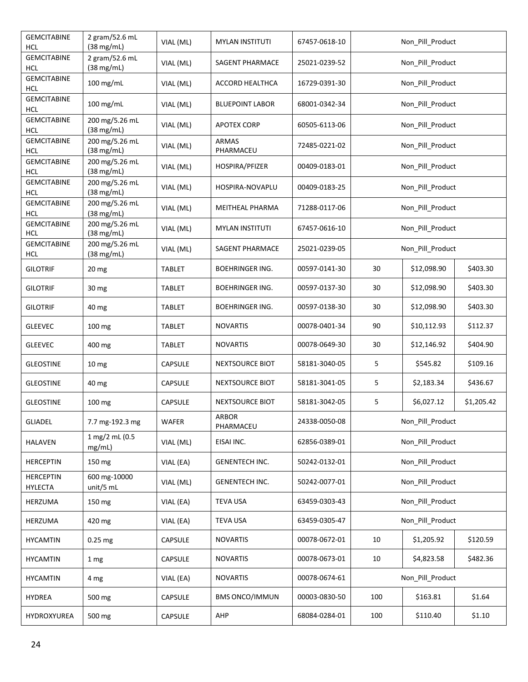| <b>GEMCITABINE</b><br><b>HCL</b>   | 2 gram/52.6 mL<br>$(38 \text{ mg/mL})$ | VIAL (ML)      | <b>MYLAN INSTITUTI</b>    | 67457-0618-10 |     | Non_Pill_Product |            |  |
|------------------------------------|----------------------------------------|----------------|---------------------------|---------------|-----|------------------|------------|--|
| <b>GEMCITABINE</b><br><b>HCL</b>   | 2 gram/52.6 mL<br>(38 mg/mL)           | VIAL (ML)      | SAGENT PHARMACE           | 25021-0239-52 |     | Non Pill Product |            |  |
| <b>GEMCITABINE</b><br><b>HCL</b>   | 100 mg/mL                              | VIAL (ML)      | <b>ACCORD HEALTHCA</b>    | 16729-0391-30 |     | Non_Pill_Product |            |  |
| <b>GEMCITABINE</b><br><b>HCL</b>   | 100 mg/mL                              | VIAL (ML)      | <b>BLUEPOINT LABOR</b>    | 68001-0342-34 |     | Non_Pill_Product |            |  |
| <b>GEMCITABINE</b><br><b>HCL</b>   | 200 mg/5.26 mL<br>(38 mg/mL)           | VIAL (ML)      | <b>APOTEX CORP</b>        | 60505-6113-06 |     | Non_Pill_Product |            |  |
| <b>GEMCITABINE</b><br><b>HCL</b>   | 200 mg/5.26 mL<br>(38 mg/mL)           | VIAL (ML)      | <b>ARMAS</b><br>PHARMACEU | 72485-0221-02 |     | Non_Pill_Product |            |  |
| <b>GEMCITABINE</b><br><b>HCL</b>   | 200 mg/5.26 mL<br>(38 mg/mL)           | VIAL (ML)      | HOSPIRA/PFIZER            | 00409-0183-01 |     | Non_Pill_Product |            |  |
| <b>GEMCITABINE</b><br><b>HCL</b>   | 200 mg/5.26 mL<br>(38 mg/mL)           | VIAL (ML)      | HOSPIRA-NOVAPLU           | 00409-0183-25 |     | Non_Pill_Product |            |  |
| <b>GEMCITABINE</b><br><b>HCL</b>   | 200 mg/5.26 mL<br>(38 mg/mL)           | VIAL (ML)      | MEITHEAL PHARMA           | 71288-0117-06 |     | Non_Pill_Product |            |  |
| <b>GEMCITABINE</b><br><b>HCL</b>   | 200 mg/5.26 mL<br>(38 mg/mL)           | VIAL (ML)      | <b>MYLAN INSTITUTI</b>    | 67457-0616-10 |     | Non Pill Product |            |  |
| <b>GEMCITABINE</b><br><b>HCL</b>   | 200 mg/5.26 mL<br>(38 mg/mL)           | VIAL (ML)      | <b>SAGENT PHARMACE</b>    | 25021-0239-05 |     | Non_Pill_Product |            |  |
| <b>GILOTRIF</b>                    | 20 <sub>mg</sub>                       | TABLET         | <b>BOEHRINGER ING.</b>    | 00597-0141-30 | 30  | \$12,098.90      | \$403.30   |  |
| <b>GILOTRIF</b>                    | 30 mg                                  | TABLET         | <b>BOEHRINGER ING.</b>    | 00597-0137-30 | 30  | \$12,098.90      | \$403.30   |  |
| <b>GILOTRIF</b>                    | 40 mg                                  | <b>TABLET</b>  | <b>BOEHRINGER ING.</b>    | 00597-0138-30 | 30  | \$12,098.90      | \$403.30   |  |
| <b>GLEEVEC</b>                     | 100 mg                                 | TABLET         | <b>NOVARTIS</b>           | 00078-0401-34 | 90  | \$10,112.93      | \$112.37   |  |
| <b>GLEEVEC</b>                     | 400 mg                                 | TABLET         | <b>NOVARTIS</b>           | 00078-0649-30 | 30  | \$12,146.92      | \$404.90   |  |
| <b>GLEOSTINE</b>                   | 10 <sub>mg</sub>                       | <b>CAPSULE</b> | NEXTSOURCE BIOT           | 58181-3040-05 | 5   | \$545.82         | \$109.16   |  |
| <b>GLEOSTINE</b>                   | 40 mg                                  | <b>CAPSULE</b> | NEXTSOURCE BIOT           | 58181-3041-05 | 5   | \$2,183.34       | \$436.67   |  |
| <b>GLEOSTINE</b>                   | 100 mg                                 | <b>CAPSULE</b> | NEXTSOURCE BIOT           | 58181-3042-05 | 5   | \$6,027.12       | \$1,205.42 |  |
| <b>GLIADEL</b>                     | 7.7 mg-192.3 mg                        | WAFER          | ARBOR<br>PHARMACEU        | 24338-0050-08 |     | Non_Pill_Product |            |  |
| HALAVEN                            | 1 mg/2 mL (0.5<br>mg/mL)               | VIAL (ML)      | EISAI INC.                | 62856-0389-01 |     | Non_Pill_Product |            |  |
| <b>HERCEPTIN</b>                   | 150 mg                                 | VIAL (EA)      | <b>GENENTECH INC.</b>     | 50242-0132-01 |     | Non Pill Product |            |  |
| <b>HERCEPTIN</b><br><b>HYLECTA</b> | 600 mg-10000<br>unit/5 mL              | VIAL (ML)      | GENENTECH INC.            | 50242-0077-01 |     | Non Pill Product |            |  |
| HERZUMA                            | 150 mg                                 | VIAL (EA)      | <b>TEVA USA</b>           | 63459-0303-43 |     | Non_Pill_Product |            |  |
| HERZUMA                            | 420 mg                                 | VIAL (EA)      | <b>TEVA USA</b>           | 63459-0305-47 |     | Non_Pill_Product |            |  |
| <b>HYCAMTIN</b>                    | 0.25 mg                                | CAPSULE        | <b>NOVARTIS</b>           | 00078-0672-01 | 10  | \$1,205.92       | \$120.59   |  |
| HYCAMTIN                           | 1 mg                                   | <b>CAPSULE</b> | <b>NOVARTIS</b>           | 00078-0673-01 | 10  | \$4,823.58       | \$482.36   |  |
| <b>HYCAMTIN</b>                    | 4 mg                                   | VIAL (EA)      | <b>NOVARTIS</b>           | 00078-0674-61 |     | Non_Pill_Product |            |  |
| <b>HYDREA</b>                      | 500 mg                                 | <b>CAPSULE</b> | <b>BMS ONCO/IMMUN</b>     | 00003-0830-50 | 100 | \$163.81         | \$1.64     |  |
| HYDROXYUREA                        | 500 mg                                 | CAPSULE        | AHP                       | 68084-0284-01 | 100 | \$110.40         | \$1.10     |  |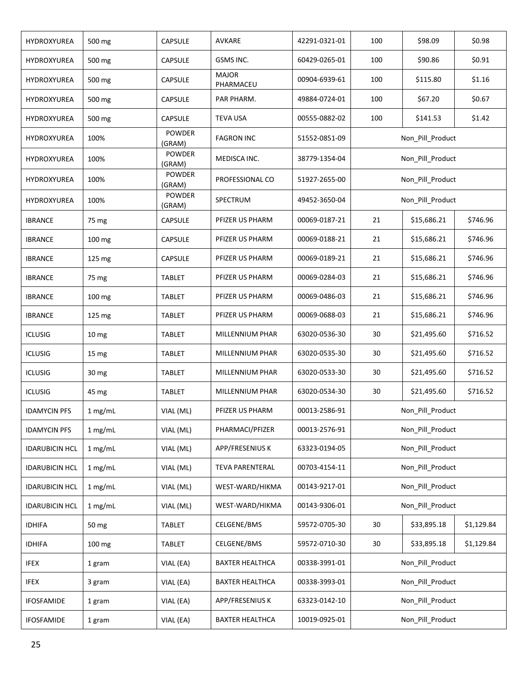| HYDROXYUREA           | 500 mg           | CAPSULE                 | AVKARE                    | 42291-0321-01 | 100              | \$98.09          | \$0.98     |
|-----------------------|------------------|-------------------------|---------------------------|---------------|------------------|------------------|------------|
| HYDROXYUREA           | 500 mg           | CAPSULE                 | GSMS INC.                 | 60429-0265-01 | 100              | \$90.86          | \$0.91     |
| HYDROXYUREA           | 500 mg           | CAPSULE                 | <b>MAJOR</b><br>PHARMACEU | 00904-6939-61 | 100              | \$115.80         | \$1.16     |
| HYDROXYUREA           | 500 mg           | CAPSULE                 | PAR PHARM.                | 49884-0724-01 | 100              | \$67.20          | \$0.67     |
| HYDROXYUREA           | 500 mg           | <b>CAPSULE</b>          | <b>TEVA USA</b>           | 00555-0882-02 | 100              | \$141.53         | \$1.42     |
| HYDROXYUREA           | 100%             | <b>POWDER</b><br>(GRAM) | <b>FAGRON INC</b>         | 51552-0851-09 |                  | Non_Pill_Product |            |
| HYDROXYUREA           | 100%             | <b>POWDER</b><br>(GRAM) | MEDISCA INC.              | 38779-1354-04 |                  | Non_Pill_Product |            |
| HYDROXYUREA           | 100%             | <b>POWDER</b><br>(GRAM) | PROFESSIONAL CO           | 51927-2655-00 |                  | Non_Pill_Product |            |
| <b>HYDROXYUREA</b>    | 100%             | <b>POWDER</b><br>(GRAM) | SPECTRUM                  | 49452-3650-04 |                  | Non_Pill_Product |            |
| <b>IBRANCE</b>        | 75 mg            | <b>CAPSULE</b>          | PFIZER US PHARM           | 00069-0187-21 | 21               | \$15,686.21      | \$746.96   |
| <b>IBRANCE</b>        | 100 mg           | <b>CAPSULE</b>          | PFIZER US PHARM           | 00069-0188-21 | 21               | \$15,686.21      | \$746.96   |
| <b>IBRANCE</b>        | 125 mg           | <b>CAPSULE</b>          | PFIZER US PHARM           | 00069-0189-21 | 21               | \$15,686.21      | \$746.96   |
| <b>IBRANCE</b>        | 75 mg            | <b>TABLET</b>           | PFIZER US PHARM           | 00069-0284-03 | 21               | \$15,686.21      | \$746.96   |
| <b>IBRANCE</b>        | 100 mg           | <b>TABLET</b>           | PFIZER US PHARM           | 00069-0486-03 | 21               | \$15,686.21      | \$746.96   |
| <b>IBRANCE</b>        | 125 mg           | TABLET                  | PFIZER US PHARM           | 00069-0688-03 | 21               | \$15,686.21      | \$746.96   |
| <b>ICLUSIG</b>        | 10 <sub>mg</sub> | <b>TABLET</b>           | MILLENNIUM PHAR           | 63020-0536-30 | 30               | \$21,495.60      | \$716.52   |
| <b>ICLUSIG</b>        | 15 mg            | TABLET                  | MILLENNIUM PHAR           | 63020-0535-30 | 30               | \$21,495.60      | \$716.52   |
| <b>ICLUSIG</b>        | 30 mg            | TABLET                  | MILLENNIUM PHAR           | 63020-0533-30 | 30               | \$21,495.60      | \$716.52   |
| <b>ICLUSIG</b>        | 45 mg            | TABLET                  | MILLENNIUM PHAR           | 63020-0534-30 | 30               | \$21,495.60      | \$716.52   |
| <b>IDAMYCIN PFS</b>   | 1 mg/mL          | VIAL (ML)               | PFIZER US PHARM           | 00013-2586-91 |                  | Non_Pill_Product |            |
| <b>IDAMYCIN PFS</b>   | 1 mg/mL          | VIAL (ML)               | PHARMACI/PFIZER           | 00013-2576-91 |                  | Non_Pill_Product |            |
| <b>IDARUBICIN HCL</b> | 1 mg/mL          | VIAL (ML)               | APP/FRESENIUS K           | 63323-0194-05 |                  | Non_Pill_Product |            |
| <b>IDARUBICIN HCL</b> | 1 mg/mL          | VIAL (ML)               | <b>TEVA PARENTERAL</b>    | 00703-4154-11 |                  | Non_Pill_Product |            |
| <b>IDARUBICIN HCL</b> | 1 mg/mL          | VIAL (ML)               | WEST-WARD/HIKMA           | 00143-9217-01 |                  | Non_Pill_Product |            |
| <b>IDARUBICIN HCL</b> | 1 mg/mL          | VIAL (ML)               | WEST-WARD/HIKMA           | 00143-9306-01 |                  | Non_Pill_Product |            |
| <b>IDHIFA</b>         | 50 mg            | <b>TABLET</b>           | CELGENE/BMS               | 59572-0705-30 | 30               | \$33,895.18      | \$1,129.84 |
| <b>IDHIFA</b>         | $100 \text{ mg}$ | <b>TABLET</b>           | CELGENE/BMS               | 59572-0710-30 | 30               | \$33,895.18      | \$1,129.84 |
| <b>IFEX</b>           | 1 gram           | VIAL (EA)               | <b>BAXTER HEALTHCA</b>    | 00338-3991-01 |                  | Non_Pill_Product |            |
| <b>IFEX</b>           | 3 gram           | VIAL (EA)               | <b>BAXTER HEALTHCA</b>    | 00338-3993-01 | Non_Pill_Product |                  |            |
| <b>IFOSFAMIDE</b>     | 1 gram           | VIAL (EA)               | APP/FRESENIUS K           | 63323-0142-10 | Non_Pill_Product |                  |            |
| <b>IFOSFAMIDE</b>     | 1 gram           | VIAL (EA)               | <b>BAXTER HEALTHCA</b>    | 10019-0925-01 |                  | Non_Pill_Product |            |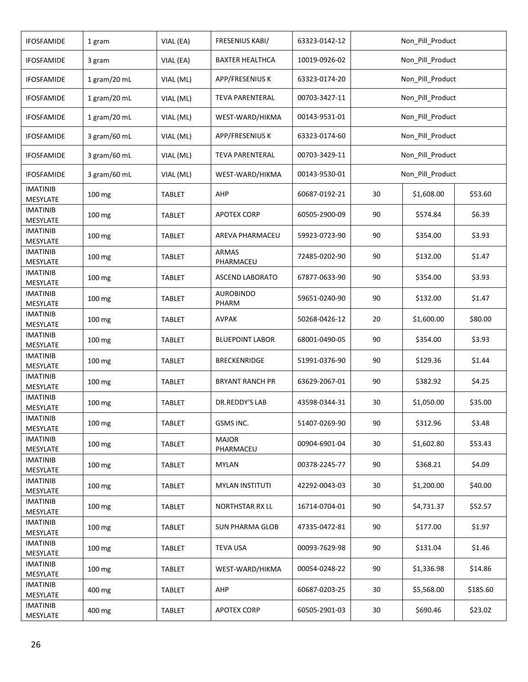| <b>IFOSFAMIDE</b>                       | 1 gram       | VIAL (EA)     | FRESENIUS KABI/           | 63323-0142-12 |    | Non_Pill_Product |          |  |
|-----------------------------------------|--------------|---------------|---------------------------|---------------|----|------------------|----------|--|
| <b>IFOSFAMIDE</b>                       | 3 gram       | VIAL (EA)     | <b>BAXTER HEALTHCA</b>    | 10019-0926-02 |    | Non_Pill_Product |          |  |
| <b>IFOSFAMIDE</b>                       | 1 gram/20 mL | VIAL (ML)     | APP/FRESENIUS K           | 63323-0174-20 |    | Non_Pill_Product |          |  |
| <b>IFOSFAMIDE</b>                       | 1 gram/20 mL | VIAL (ML)     | <b>TEVA PARENTERAL</b>    | 00703-3427-11 |    | Non_Pill_Product |          |  |
| <b>IFOSFAMIDE</b>                       | 1 gram/20 mL | VIAL (ML)     | WEST-WARD/HIKMA           | 00143-9531-01 |    | Non_Pill_Product |          |  |
| <b>IFOSFAMIDE</b>                       | 3 gram/60 mL | VIAL (ML)     | APP/FRESENIUS K           | 63323-0174-60 |    | Non Pill Product |          |  |
| <b>IFOSFAMIDE</b>                       | 3 gram/60 mL | VIAL (ML)     | <b>TEVA PARENTERAL</b>    | 00703-3429-11 |    | Non_Pill_Product |          |  |
| <b>IFOSFAMIDE</b>                       | 3 gram/60 mL | VIAL (ML)     | WEST-WARD/HIKMA           | 00143-9530-01 |    | Non_Pill_Product |          |  |
| <b>IMATINIB</b><br>MESYLATE             | 100 mg       | <b>TABLET</b> | AHP                       | 60687-0192-21 | 30 | \$1,608.00       | \$53.60  |  |
| <b>IMATINIB</b><br>MESYLATE             | 100 mg       | <b>TABLET</b> | <b>APOTEX CORP</b>        | 60505-2900-09 | 90 | \$574.84         | \$6.39   |  |
| IMATINIB<br>MESYLATE                    | 100 mg       | <b>TABLET</b> | AREVA PHARMACEU           | 59923-0723-90 | 90 | \$354.00         | \$3.93   |  |
| <b>IMATINIB</b><br>MESYLATE             | 100 mg       | <b>TABLET</b> | <b>ARMAS</b><br>PHARMACEU | 72485-0202-90 | 90 | \$132.00         | \$1.47   |  |
| <b>IMATINIB</b><br>MESYLATE             | 100 mg       | <b>TABLET</b> | <b>ASCEND LABORATO</b>    | 67877-0633-90 | 90 | \$354.00         | \$3.93   |  |
| <b>IMATINIB</b><br>MESYLATE             | 100 mg       | TABLET        | <b>AUROBINDO</b><br>PHARM | 59651-0240-90 | 90 | \$132.00         | \$1.47   |  |
| <b>IMATINIB</b><br>MESYLATE             | 100 mg       | TABLET        | <b>AVPAK</b>              | 50268-0426-12 | 20 | \$1,600.00       | \$80.00  |  |
| <b>IMATINIB</b>                         | 100 mg       | TABLET        | <b>BLUEPOINT LABOR</b>    | 68001-0490-05 | 90 | \$354.00         | \$3.93   |  |
| MESYLATE<br><b>IMATINIB</b><br>MESYLATE | 100 mg       | TABLET        | <b>BRECKENRIDGE</b>       | 51991-0376-90 | 90 | \$129.36         | \$1.44   |  |
| <b>IMATINIB</b><br>MESYLATE             | 100 mg       | TABLET        | <b>BRYANT RANCH PR</b>    | 63629-2067-01 | 90 | \$382.92         | \$4.25   |  |
| <b>IMATINIB</b><br>MESYLATE             | 100 mg       | <b>TABLET</b> | DR.REDDY'S LAB            | 43598-0344-31 | 30 | \$1,050.00       | \$35.00  |  |
| <b>IMATINIB</b><br>MESYLATE             | 100 mg       | <b>TABLET</b> | GSMS INC.                 | 51407-0269-90 | 90 | \$312.96         | \$3.48   |  |
| <b>IMATINIB</b><br>MESYLATE             | 100 mg       | TABLET        | <b>MAJOR</b><br>PHARMACEU | 00904-6901-04 | 30 | \$1,602.80       | \$53.43  |  |
| <b>IMATINIB</b><br>MESYLATE             | 100 mg       | TABLET        | <b>MYLAN</b>              | 00378-2245-77 | 90 | \$368.21         | \$4.09   |  |
| <b>IMATINIB</b><br>MESYLATE             | 100 mg       | <b>TABLET</b> | <b>MYLAN INSTITUTI</b>    | 42292-0043-03 | 30 | \$1,200.00       | \$40.00  |  |
| <b>IMATINIB</b><br>MESYLATE             | 100 mg       | <b>TABLET</b> | <b>NORTHSTAR RX LL</b>    | 16714-0704-01 | 90 | \$4,731.37       | \$52.57  |  |
| IMATINIB<br>MESYLATE                    | 100 mg       | <b>TABLET</b> | <b>SUN PHARMA GLOB</b>    | 47335-0472-81 | 90 | \$177.00         | \$1.97   |  |
| IMATINIB                                | 100 mg       | <b>TABLET</b> | <b>TEVA USA</b>           | 00093-7629-98 | 90 | \$131.04         | \$1.46   |  |
| MESYLATE<br>IMATINIB                    | 100 mg       | <b>TABLET</b> | WEST-WARD/HIKMA           | 00054-0248-22 | 90 | \$1,336.98       | \$14.86  |  |
| MESYLATE<br><b>IMATINIB</b>             | 400 mg       | TABLET        | AHP                       | 60687-0203-25 | 30 | \$5,568.00       | \$185.60 |  |
| MESYLATE<br>IMATINIB                    | 400 mg       | <b>TABLET</b> | <b>APOTEX CORP</b>        | 60505-2901-03 | 30 | \$690.46         | \$23.02  |  |
| MESYLATE                                |              |               |                           |               |    |                  |          |  |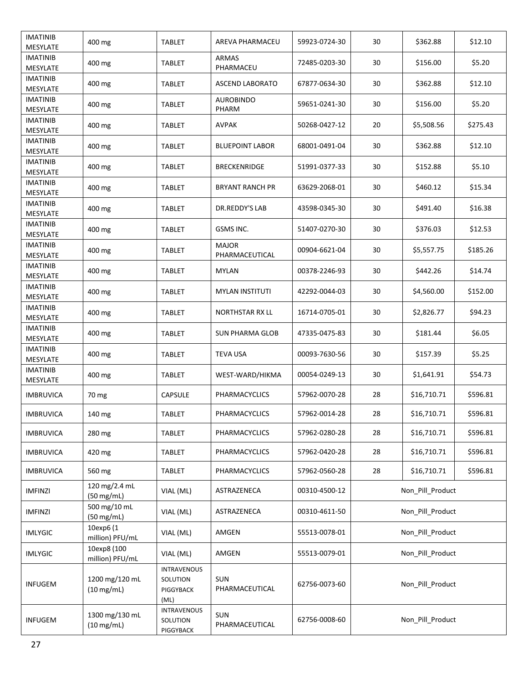| <b>IMATINIB</b><br>MESYLATE | 400 mg                                 | TABLET                                              | AREVA PHARMACEU                | 59923-0724-30 | 30               | \$362.88         | \$12.10  |
|-----------------------------|----------------------------------------|-----------------------------------------------------|--------------------------------|---------------|------------------|------------------|----------|
| <b>IMATINIB</b><br>MESYLATE | 400 mg                                 | TABLET                                              | ARMAS<br>PHARMACEU             | 72485-0203-30 | 30               | \$156.00         | \$5.20   |
| <b>IMATINIB</b><br>MESYLATE | 400 mg                                 | TABLET                                              | <b>ASCEND LABORATO</b>         | 67877-0634-30 | 30               | \$362.88         | \$12.10  |
| <b>IMATINIB</b><br>MESYLATE | 400 mg                                 | <b>TABLET</b>                                       | <b>AUROBINDO</b><br>PHARM      | 59651-0241-30 | 30               | \$156.00         | \$5.20   |
| <b>IMATINIB</b><br>MESYLATE | 400 mg                                 | TABLET                                              | AVPAK                          | 50268-0427-12 | 20               | \$5,508.56       | \$275.43 |
| <b>IMATINIB</b><br>MESYLATE | 400 mg                                 | TABLET                                              | <b>BLUEPOINT LABOR</b>         | 68001-0491-04 | 30               | \$362.88         | \$12.10  |
| <b>IMATINIB</b><br>MESYLATE | 400 mg                                 | TABLET                                              | <b>BRECKENRIDGE</b>            | 51991-0377-33 | 30               | \$152.88         | \$5.10   |
| IMATINIB<br>MESYLATE        | 400 mg                                 | TABLET                                              | <b>BRYANT RANCH PR</b>         | 63629-2068-01 | 30               | \$460.12         | \$15.34  |
| <b>IMATINIB</b><br>MESYLATE | 400 mg                                 | TABLET                                              | DR.REDDY'S LAB                 | 43598-0345-30 | 30               | \$491.40         | \$16.38  |
| IMATINIB<br>MESYLATE        | 400 mg                                 | TABLET                                              | GSMS INC.                      | 51407-0270-30 | 30               | \$376.03         | \$12.53  |
| IMATINIB<br>MESYLATE        | 400 mg                                 | TABLET                                              | <b>MAJOR</b><br>PHARMACEUTICAL | 00904-6621-04 | 30               | \$5,557.75       | \$185.26 |
| <b>IMATINIB</b><br>MESYLATE | 400 mg                                 | <b>TABLET</b>                                       | <b>MYLAN</b>                   | 00378-2246-93 | 30               | \$442.26         | \$14.74  |
| <b>IMATINIB</b><br>MESYLATE | 400 mg                                 | TABLET                                              | <b>MYLAN INSTITUTI</b>         | 42292-0044-03 | 30               | \$4,560.00       | \$152.00 |
| <b>IMATINIB</b><br>MESYLATE | 400 mg                                 | TABLET                                              | <b>NORTHSTAR RX LL</b>         | 16714-0705-01 | 30               | \$2,826.77       | \$94.23  |
| <b>IMATINIB</b><br>MESYLATE | 400 mg                                 | <b>TABLET</b>                                       | <b>SUN PHARMA GLOB</b>         | 47335-0475-83 | 30               | \$181.44         | \$6.05   |
| <b>IMATINIB</b><br>MESYLATE | 400 mg                                 | <b>TABLET</b>                                       | TEVA USA                       | 00093-7630-56 | 30               | \$157.39         | \$5.25   |
| <b>IMATINIB</b><br>MESYLATE | 400 mg                                 | <b>TABLET</b>                                       | WEST-WARD/HIKMA                | 00054-0249-13 | 30               | \$1,641.91       | \$54.73  |
| <b>IMBRUVICA</b>            | 70 mg                                  | <b>CAPSULE</b>                                      | <b>PHARMACYCLICS</b>           | 57962-0070-28 | 28               | \$16,710.71      | \$596.81 |
| <b>IMBRUVICA</b>            | 140 mg                                 | <b>TABLET</b>                                       | PHARMACYCLICS                  | 57962-0014-28 | 28               | \$16,710.71      | \$596.81 |
| <b>IMBRUVICA</b>            | 280 mg                                 | <b>TABLET</b>                                       | PHARMACYCLICS                  | 57962-0280-28 | 28               | \$16,710.71      | \$596.81 |
| <b>IMBRUVICA</b>            | 420 mg                                 | TABLET                                              | PHARMACYCLICS                  | 57962-0420-28 | 28               | \$16,710.71      | \$596.81 |
| <b>IMBRUVICA</b>            | 560 mg                                 | TABLET                                              | PHARMACYCLICS                  | 57962-0560-28 | 28               | \$16,710.71      | \$596.81 |
| <b>IMFINZI</b>              | 120 mg/2.4 mL<br>(50 mg/mL)            | VIAL (ML)                                           | ASTRAZENECA                    | 00310-4500-12 |                  | Non Pill Product |          |
| <b>IMFINZI</b>              | 500 mg/10 mL<br>(50 mg/mL)             | VIAL (ML)                                           | ASTRAZENECA                    | 00310-4611-50 |                  | Non_Pill_Product |          |
| <b>IMLYGIC</b>              | 10exp6 (1<br>million) PFU/mL           | VIAL (ML)                                           | AMGEN                          | 55513-0078-01 |                  | Non_Pill_Product |          |
| <b>IMLYGIC</b>              | 10exp8 (100<br>million) PFU/mL         | VIAL (ML)                                           | AMGEN                          | 55513-0079-01 |                  | Non_Pill_Product |          |
| INFUGEM                     | 1200 mg/120 mL<br>$(10 \text{ mg/mL})$ | <b>INTRAVENOUS</b><br>SOLUTION<br>PIGGYBACK<br>(ML) | <b>SUN</b><br>PHARMACEUTICAL   | 62756-0073-60 | Non_Pill_Product |                  |          |
| <b>INFUGEM</b>              | 1300 mg/130 mL<br>$(10 \text{ mg/mL})$ | <b>INTRAVENOUS</b><br>SOLUTION<br>PIGGYBACK         | SUN<br>PHARMACEUTICAL          | 62756-0008-60 |                  | Non_Pill_Product |          |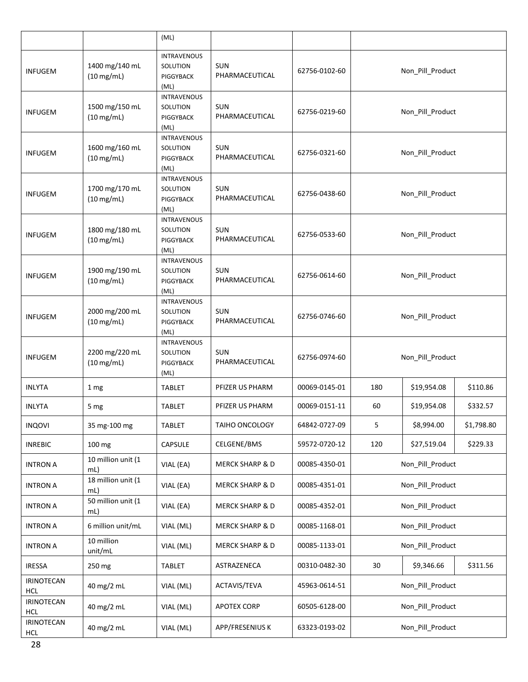|                          |                                        | (ML)                                                       |                              |               |                  |                  |            |  |
|--------------------------|----------------------------------------|------------------------------------------------------------|------------------------------|---------------|------------------|------------------|------------|--|
| <b>INFUGEM</b>           | 1400 mg/140 mL<br>$(10 \text{ mg/mL})$ | <b>INTRAVENOUS</b><br>SOLUTION<br>PIGGYBACK<br>(ML)        | <b>SUN</b><br>PHARMACEUTICAL | 62756-0102-60 |                  | Non_Pill_Product |            |  |
| <b>INFUGEM</b>           | 1500 mg/150 mL<br>$(10 \text{ mg/mL})$ | <b>INTRAVENOUS</b><br>SOLUTION<br>PIGGYBACK<br>(ML)        | <b>SUN</b><br>PHARMACEUTICAL | 62756-0219-60 |                  | Non_Pill_Product |            |  |
| <b>INFUGEM</b>           | 1600 mg/160 mL<br>$(10 \text{ mg/mL})$ | <b>INTRAVENOUS</b><br>SOLUTION<br>PIGGYBACK<br>(ML)        | <b>SUN</b><br>PHARMACEUTICAL | 62756-0321-60 |                  | Non_Pill_Product |            |  |
| <b>INFUGEM</b>           | 1700 mg/170 mL<br>$(10 \text{ mg/mL})$ | <b>INTRAVENOUS</b><br>SOLUTION<br><b>PIGGYBACK</b><br>(ML) | <b>SUN</b><br>PHARMACEUTICAL | 62756-0438-60 |                  | Non_Pill_Product |            |  |
| <b>INFUGEM</b>           | 1800 mg/180 mL<br>$(10 \text{ mg/mL})$ | <b>INTRAVENOUS</b><br>SOLUTION<br>PIGGYBACK<br>(ML)        | <b>SUN</b><br>PHARMACEUTICAL | 62756-0533-60 |                  | Non_Pill_Product |            |  |
| <b>INFUGEM</b>           | 1900 mg/190 mL<br>$(10 \text{ mg/mL})$ | <b>INTRAVENOUS</b><br>SOLUTION<br>PIGGYBACK<br>(ML)        | SUN<br>PHARMACEUTICAL        | 62756-0614-60 |                  | Non_Pill_Product |            |  |
| <b>INFUGEM</b>           | 2000 mg/200 mL<br>$(10 \text{ mg/mL})$ | <b>INTRAVENOUS</b><br>SOLUTION<br>PIGGYBACK<br>(ML)        | SUN<br>PHARMACEUTICAL        | 62756-0746-60 | Non_Pill_Product |                  |            |  |
| <b>INFUGEM</b>           | 2200 mg/220 mL<br>$(10 \text{ mg/mL})$ | <b>INTRAVENOUS</b><br>SOLUTION<br>PIGGYBACK<br>(ML)        | <b>SUN</b><br>PHARMACEUTICAL | 62756-0974-60 | Non_Pill_Product |                  |            |  |
| <b>INLYTA</b>            | 1 mg                                   | <b>TABLET</b>                                              | PFIZER US PHARM              | 00069-0145-01 | 180              | \$19,954.08      | \$110.86   |  |
| <b>INLYTA</b>            | 5 mg                                   | TABLET                                                     | PFIZER US PHARM              | 00069-0151-11 | 60               | \$19,954.08      | \$332.57   |  |
| <b>INQOVI</b>            | 35 mg-100 mg                           | <b>TABLET</b>                                              | TAIHO ONCOLOGY               | 64842-0727-09 | 5                | \$8,994.00       | \$1,798.80 |  |
| <b>INREBIC</b>           | 100 mg                                 | CAPSULE                                                    | CELGENE/BMS                  | 59572-0720-12 | 120              | \$27,519.04      | \$229.33   |  |
| <b>INTRON A</b>          | 10 million unit (1<br>mL)              | VIAL (EA)                                                  | MERCK SHARP & D              | 00085-4350-01 |                  | Non_Pill_Product |            |  |
| <b>INTRON A</b>          | 18 million unit (1<br>mL)              | VIAL (EA)                                                  | <b>MERCK SHARP &amp; D</b>   | 00085-4351-01 |                  | Non_Pill_Product |            |  |
| <b>INTRON A</b>          | 50 million unit (1<br>mL)              | VIAL (EA)                                                  | <b>MERCK SHARP &amp; D</b>   | 00085-4352-01 |                  | Non Pill Product |            |  |
| <b>INTRON A</b>          | 6 million unit/mL                      | VIAL (ML)                                                  | MERCK SHARP & D              | 00085-1168-01 |                  | Non_Pill_Product |            |  |
| <b>INTRON A</b>          | 10 million<br>unit/mL                  | VIAL (ML)                                                  | MERCK SHARP & D              | 00085-1133-01 |                  | Non_Pill_Product |            |  |
| <b>IRESSA</b>            | 250 mg                                 | <b>TABLET</b>                                              | ASTRAZENECA                  | 00310-0482-30 | 30               | \$9,346.66       | \$311.56   |  |
| IRINOTECAN<br><b>HCL</b> | 40 mg/2 mL                             | VIAL (ML)                                                  | ACTAVIS/TEVA                 | 45963-0614-51 |                  | Non_Pill_Product |            |  |
| IRINOTECAN<br><b>HCL</b> | 40 mg/2 mL                             | VIAL (ML)                                                  | <b>APOTEX CORP</b>           | 60505-6128-00 | Non_Pill_Product |                  |            |  |
| IRINOTECAN<br>HCL        | 40 mg/2 mL                             | VIAL (ML)                                                  | APP/FRESENIUS K              | 63323-0193-02 |                  | Non_Pill_Product |            |  |
|                          |                                        |                                                            |                              |               |                  |                  |            |  |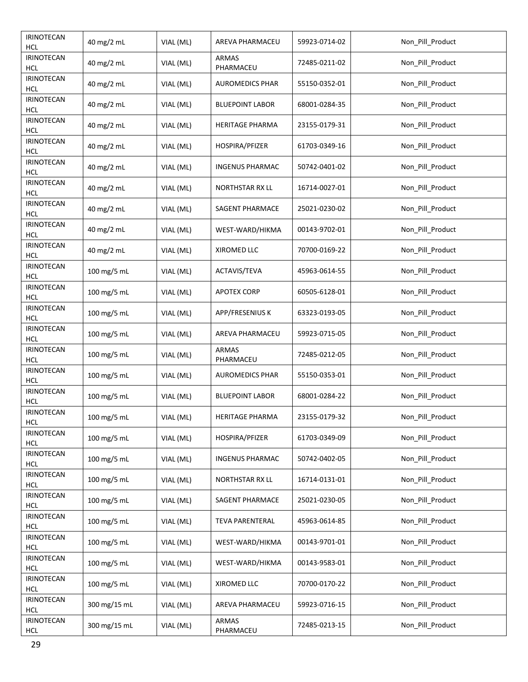| <b>IRINOTECAN</b><br><b>HCL</b> | 40 mg/2 mL   | VIAL (ML) | AREVA PHARMACEU           | 59923-0714-02 | Non_Pill_Product |
|---------------------------------|--------------|-----------|---------------------------|---------------|------------------|
| <b>IRINOTECAN</b><br><b>HCL</b> | 40 mg/2 mL   | VIAL (ML) | <b>ARMAS</b><br>PHARMACEU | 72485-0211-02 | Non_Pill_Product |
| <b>IRINOTECAN</b><br><b>HCL</b> | 40 mg/2 mL   | VIAL (ML) | <b>AUROMEDICS PHAR</b>    | 55150-0352-01 | Non_Pill_Product |
| <b>IRINOTECAN</b><br><b>HCL</b> | 40 mg/2 mL   | VIAL (ML) | <b>BLUEPOINT LABOR</b>    | 68001-0284-35 | Non_Pill_Product |
| <b>IRINOTECAN</b><br><b>HCL</b> | 40 mg/2 mL   | VIAL (ML) | <b>HERITAGE PHARMA</b>    | 23155-0179-31 | Non Pill Product |
| <b>IRINOTECAN</b><br><b>HCL</b> | 40 mg/2 mL   | VIAL (ML) | HOSPIRA/PFIZER            | 61703-0349-16 | Non_Pill_Product |
| <b>IRINOTECAN</b><br><b>HCL</b> | 40 mg/2 mL   | VIAL (ML) | <b>INGENUS PHARMAC</b>    | 50742-0401-02 | Non_Pill_Product |
| <b>IRINOTECAN</b><br><b>HCL</b> | 40 mg/2 mL   | VIAL (ML) | <b>NORTHSTAR RX LL</b>    | 16714-0027-01 | Non_Pill_Product |
| <b>IRINOTECAN</b><br><b>HCL</b> | 40 mg/2 mL   | VIAL (ML) | SAGENT PHARMACE           | 25021-0230-02 | Non_Pill_Product |
| <b>IRINOTECAN</b><br><b>HCL</b> | 40 mg/2 mL   | VIAL (ML) | WEST-WARD/HIKMA           | 00143-9702-01 | Non_Pill_Product |
| <b>IRINOTECAN</b><br><b>HCL</b> | 40 mg/2 mL   | VIAL (ML) | XIROMED LLC               | 70700-0169-22 | Non_Pill_Product |
| <b>IRINOTECAN</b><br><b>HCL</b> | 100 mg/5 mL  | VIAL (ML) | ACTAVIS/TEVA              | 45963-0614-55 | Non_Pill_Product |
| <b>IRINOTECAN</b><br><b>HCL</b> | 100 mg/5 mL  | VIAL (ML) | <b>APOTEX CORP</b>        | 60505-6128-01 | Non_Pill_Product |
| <b>IRINOTECAN</b><br><b>HCL</b> | 100 mg/5 mL  | VIAL (ML) | APP/FRESENIUS K           | 63323-0193-05 | Non_Pill_Product |
| <b>IRINOTECAN</b><br><b>HCL</b> | 100 mg/5 mL  | VIAL (ML) | AREVA PHARMACEU           | 59923-0715-05 | Non_Pill_Product |
| <b>IRINOTECAN</b><br><b>HCL</b> | 100 mg/5 mL  | VIAL (ML) | <b>ARMAS</b><br>PHARMACEU | 72485-0212-05 | Non_Pill_Product |
| <b>IRINOTECAN</b><br><b>HCL</b> | 100 mg/5 mL  | VIAL (ML) | <b>AUROMEDICS PHAR</b>    | 55150-0353-01 | Non_Pill_Product |
| <b>IRINOTECAN</b><br><b>HCL</b> | 100 mg/5 mL  | VIAL (ML) | <b>BLUEPOINT LABOR</b>    | 68001-0284-22 | Non_Pill_Product |
| <b>IRINOTECAN</b><br><b>HCL</b> | 100 mg/5 mL  | VIAL (ML) | <b>HERITAGE PHARMA</b>    | 23155-0179-32 | Non_Pill_Product |
| <b>IRINOTECAN</b><br><b>HCL</b> | 100 mg/5 mL  | VIAL (ML) | HOSPIRA/PFIZER            | 61703-0349-09 | Non_Pill_Product |
| <b>IRINOTECAN</b><br><b>HCL</b> | 100 mg/5 mL  | VIAL (ML) | <b>INGENUS PHARMAC</b>    | 50742-0402-05 | Non Pill Product |
| <b>IRINOTECAN</b><br><b>HCL</b> | 100 mg/5 mL  | VIAL (ML) | <b>NORTHSTAR RX LL</b>    | 16714-0131-01 | Non_Pill_Product |
| <b>IRINOTECAN</b><br><b>HCL</b> | 100 mg/5 mL  | VIAL (ML) | SAGENT PHARMACE           | 25021-0230-05 | Non_Pill_Product |
| <b>IRINOTECAN</b><br><b>HCL</b> | 100 mg/5 mL  | VIAL (ML) | <b>TEVA PARENTERAL</b>    | 45963-0614-85 | Non_Pill_Product |
| <b>IRINOTECAN</b><br><b>HCL</b> | 100 mg/5 mL  | VIAL (ML) | WEST-WARD/HIKMA           | 00143-9701-01 | Non_Pill_Product |
| <b>IRINOTECAN</b><br><b>HCL</b> | 100 mg/5 mL  | VIAL (ML) | WEST-WARD/HIKMA           | 00143-9583-01 | Non_Pill_Product |
| <b>IRINOTECAN</b><br><b>HCL</b> | 100 mg/5 mL  | VIAL (ML) | XIROMED LLC               | 70700-0170-22 | Non_Pill_Product |
| <b>IRINOTECAN</b><br><b>HCL</b> | 300 mg/15 mL | VIAL (ML) | AREVA PHARMACEU           | 59923-0716-15 | Non_Pill_Product |
| <b>IRINOTECAN</b><br>HCL        | 300 mg/15 mL | VIAL (ML) | ARMAS<br>PHARMACEU        | 72485-0213-15 | Non_Pill_Product |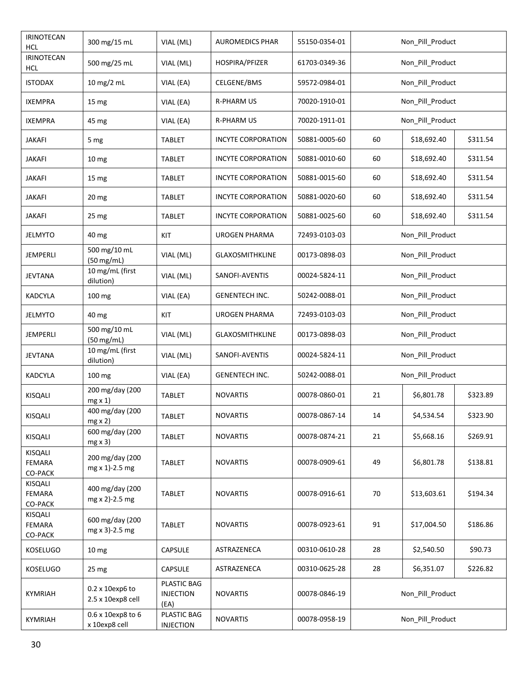| <b>IRINOTECAN</b><br><b>HCL</b> | 300 mg/15 mL                         | VIAL (ML)                               | <b>AUROMEDICS PHAR</b>    | 55150-0354-01 | Non_Pill_Product |                  |          |  |
|---------------------------------|--------------------------------------|-----------------------------------------|---------------------------|---------------|------------------|------------------|----------|--|
| <b>IRINOTECAN</b><br><b>HCL</b> | 500 mg/25 mL                         | VIAL (ML)                               | HOSPIRA/PFIZER            | 61703-0349-36 | Non_Pill_Product |                  |          |  |
| <b>ISTODAX</b>                  | $10$ mg/2 mL                         | VIAL (EA)                               | CELGENE/BMS               | 59572-0984-01 |                  | Non_Pill_Product |          |  |
| <b>IXEMPRA</b>                  | 15 mg                                | VIAL (EA)                               | <b>R-PHARM US</b>         | 70020-1910-01 |                  | Non_Pill_Product |          |  |
| <b>IXEMPRA</b>                  | 45 mg                                | VIAL (EA)                               | <b>R-PHARM US</b>         | 70020-1911-01 |                  | Non_Pill_Product |          |  |
| <b>JAKAFI</b>                   | 5 mg                                 | TABLET                                  | <b>INCYTE CORPORATION</b> | 50881-0005-60 | 60               | \$18,692.40      | \$311.54 |  |
| <b>JAKAFI</b>                   | 10 <sub>mg</sub>                     | <b>TABLET</b>                           | <b>INCYTE CORPORATION</b> | 50881-0010-60 | 60               | \$18,692.40      | \$311.54 |  |
| <b>JAKAFI</b>                   | 15 mg                                | <b>TABLET</b>                           | <b>INCYTE CORPORATION</b> | 50881-0015-60 | 60               | \$18,692.40      | \$311.54 |  |
| JAKAFI                          | 20 <sub>mg</sub>                     | <b>TABLET</b>                           | <b>INCYTE CORPORATION</b> | 50881-0020-60 | 60               | \$18,692.40      | \$311.54 |  |
| <b>JAKAFI</b>                   | 25 mg                                | <b>TABLET</b>                           | <b>INCYTE CORPORATION</b> | 50881-0025-60 | 60               | \$18,692.40      | \$311.54 |  |
| <b>JELMYTO</b>                  | 40 mg                                | KIT                                     | <b>UROGEN PHARMA</b>      | 72493-0103-03 |                  | Non_Pill_Product |          |  |
| <b>JEMPERLI</b>                 | 500 mg/10 mL<br>$(50 \, mg/ml)$      | VIAL (ML)                               | <b>GLAXOSMITHKLINE</b>    | 00173-0898-03 |                  | Non Pill Product |          |  |
| <b>JEVTANA</b>                  | 10 mg/mL (first<br>dilution)         | VIAL (ML)                               | SANOFI-AVENTIS            | 00024-5824-11 |                  | Non_Pill_Product |          |  |
| <b>KADCYLA</b>                  | 100 mg                               | VIAL (EA)                               | <b>GENENTECH INC.</b>     | 50242-0088-01 | Non_Pill_Product |                  |          |  |
| <b>JELMYTO</b>                  | 40 mg                                | KIT                                     | <b>UROGEN PHARMA</b>      | 72493-0103-03 | Non_Pill_Product |                  |          |  |
| JEMPERLI                        | 500 mg/10 mL<br>(50 mg/mL)           | VIAL (ML)                               | <b>GLAXOSMITHKLINE</b>    | 00173-0898-03 | Non_Pill_Product |                  |          |  |
| <b>JEVTANA</b>                  | 10 mg/mL (first<br>dilution)         | VIAL (ML)                               | SANOFI-AVENTIS            | 00024-5824-11 | Non_Pill_Product |                  |          |  |
| <b>KADCYLA</b>                  | 100 mg                               | VIAL (EA)                               | <b>GENENTECH INC.</b>     | 50242-0088-01 |                  | Non_Pill_Product |          |  |
| KISQALI                         | 200 mg/day (200<br>$mg \times 1$     | <b>TABLET</b>                           | <b>NOVARTIS</b>           | 00078-0860-01 | 21               | \$6,801.78       | \$323.89 |  |
| KISQALI                         | 400 mg/day (200<br>$mg \times 2$     | TABLET                                  | <b>NOVARTIS</b>           | 00078-0867-14 | 14               | \$4,534.54       | \$323.90 |  |
| KISQALI                         | 600 mg/day (200<br>$mg \times 3$     | <b>TABLET</b>                           | <b>NOVARTIS</b>           | 00078-0874-21 | 21               | \$5,668.16       | \$269.91 |  |
| KISQALI<br>FEMARA<br>CO-PACK    | 200 mg/day (200<br>mg x 1)-2.5 mg    | <b>TABLET</b>                           | <b>NOVARTIS</b>           | 00078-0909-61 | 49               | \$6,801.78       | \$138.81 |  |
| KISQALI<br>FEMARA<br>CO-PACK    | 400 mg/day (200<br>mg x 2)-2.5 mg    | <b>TABLET</b>                           | <b>NOVARTIS</b>           | 00078-0916-61 | 70               | \$13,603.61      | \$194.34 |  |
| KISQALI<br>FEMARA<br>CO-PACK    | 600 mg/day (200<br>mg x 3)-2.5 mg    | <b>TABLET</b>                           | <b>NOVARTIS</b>           | 00078-0923-61 | 91               | \$17,004.50      | \$186.86 |  |
| <b>KOSELUGO</b>                 | 10 <sub>mg</sub>                     | CAPSULE                                 | ASTRAZENECA               | 00310-0610-28 | 28               | \$2,540.50       | \$90.73  |  |
| <b>KOSELUGO</b>                 | 25 <sub>mg</sub>                     | <b>CAPSULE</b>                          | ASTRAZENECA               | 00310-0625-28 | 28               | \$6,351.07       | \$226.82 |  |
| <b>KYMRIAH</b>                  | 0.2 x 10exp6 to<br>2.5 x 10exp8 cell | PLASTIC BAG<br><b>INJECTION</b><br>(EA) | <b>NOVARTIS</b>           | 00078-0846-19 | Non_Pill_Product |                  |          |  |
| <b>KYMRIAH</b>                  | 0.6 x 10exp8 to 6<br>x 10exp8 cell   | PLASTIC BAG<br><b>INJECTION</b>         | <b>NOVARTIS</b>           | 00078-0958-19 |                  | Non_Pill_Product |          |  |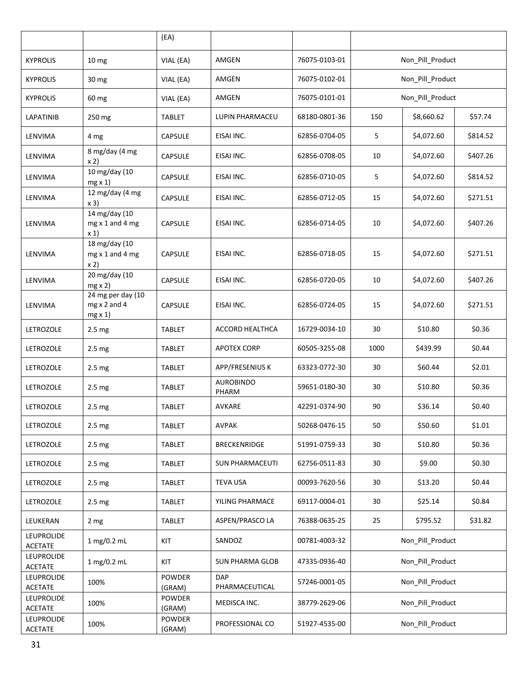|                                     |                                                           | (EA)                    |                              |               |                  |                  |          |
|-------------------------------------|-----------------------------------------------------------|-------------------------|------------------------------|---------------|------------------|------------------|----------|
| <b>KYPROLIS</b>                     | 10 <sub>mg</sub>                                          | VIAL (EA)               | AMGEN                        | 76075-0103-01 |                  | Non Pill Product |          |
| <b>KYPROLIS</b>                     | 30 mg                                                     | VIAL (EA)               | AMGEN                        | 76075-0102-01 | Non_Pill_Product |                  |          |
| <b>KYPROLIS</b>                     | 60 mg                                                     | VIAL (EA)               | AMGEN                        | 76075-0101-01 |                  | Non_Pill_Product |          |
| LAPATINIB                           | 250 mg                                                    | TABLET                  | LUPIN PHARMACEU              | 68180-0801-36 | 150              | \$8,660.62       | \$57.74  |
| LENVIMA                             | 4 mg                                                      | <b>CAPSULE</b>          | EISAI INC.                   | 62856-0704-05 | 5                | \$4,072.60       | \$814.52 |
| LENVIMA                             | 8 mg/day (4 mg<br>x 2)                                    | <b>CAPSULE</b>          | EISAI INC.                   | 62856-0708-05 | 10               | \$4,072.60       | \$407.26 |
| LENVIMA                             | 10 mg/day (10<br>$mg \times 1$                            | <b>CAPSULE</b>          | EISAI INC.                   | 62856-0710-05 | 5                | \$4,072.60       | \$814.52 |
| LENVIMA                             | 12 mg/day (4 mg<br>x 3)                                   | <b>CAPSULE</b>          | EISAI INC.                   | 62856-0712-05 | 15               | \$4,072.60       | \$271.51 |
| LENVIMA                             | 14 mg/day (10<br>mg x 1 and 4 mg<br>x 1                   | <b>CAPSULE</b>          | EISAI INC.                   | 62856-0714-05 | 10               | \$4,072.60       | \$407.26 |
| LENVIMA                             | 18 mg/day (10<br>mg x 1 and 4 mg<br>x 2)                  | <b>CAPSULE</b>          | EISAI INC.                   | 62856-0718-05 | 15               | \$4,072.60       | \$271.51 |
| LENVIMA                             | 20 mg/day (10<br>$mg \times 2$                            | <b>CAPSULE</b>          | EISAI INC.                   | 62856-0720-05 | 10               | \$4,072.60       | \$407.26 |
| LENVIMA                             | 24 mg per day (10<br>$mg \times 2$ and 4<br>$mg \times 1$ | <b>CAPSULE</b>          | EISAI INC.                   | 62856-0724-05 | 15               | \$4,072.60       | \$271.51 |
| <b>LETROZOLE</b>                    | 2.5 <sub>mg</sub>                                         | <b>TABLET</b>           | ACCORD HEALTHCA              | 16729-0034-10 | 30               | \$10.80          | \$0.36   |
| <b>LETROZOLE</b>                    | 2.5 <sub>mg</sub>                                         | TABLET                  | <b>APOTEX CORP</b>           | 60505-3255-08 | 1000             | \$439.99         | \$0.44   |
| LETROZOLE                           | 2.5 <sub>mg</sub>                                         | TABLET                  | APP/FRESENIUS K              | 63323-0772-30 | 30               | \$60.44          | \$2.01   |
| <b>LETROZOLE</b>                    | 2.5 <sub>mg</sub>                                         | TABLET                  | <b>AUROBINDO</b><br>PHARM    | 59651-0180-30 | 30               | \$10.80          | \$0.36   |
| <b>LETROZOLE</b>                    | 2.5 <sub>mg</sub>                                         | TABLET                  | AVKARE                       | 42291-0374-90 | 90               | \$36.14          | \$0.40   |
| LETROZOLE                           | 2.5 <sub>mg</sub>                                         | <b>TABLET</b>           | <b>AVPAK</b>                 | 50268-0476-15 | 50               | \$50.60          | \$1.01   |
| LETROZOLE                           | 2.5 <sub>mg</sub>                                         | TABLET                  | <b>BRECKENRIDGE</b>          | 51991-0759-33 | 30               | \$10.80          | \$0.36   |
| LETROZOLE                           | 2.5 mg                                                    | TABLET                  | <b>SUN PHARMACEUTI</b>       | 62756-0511-83 | 30               | \$9.00           | \$0.30   |
| LETROZOLE                           | 2.5 <sub>mg</sub>                                         | TABLET                  | <b>TEVA USA</b>              | 00093-7620-56 | 30               | \$13.20          | \$0.44   |
| LETROZOLE                           | 2.5 <sub>mg</sub>                                         | <b>TABLET</b>           | YILING PHARMACE              | 69117-0004-01 | 30               | \$25.14          | \$0.84   |
| LEUKERAN                            | 2 <sub>mg</sub>                                           | <b>TABLET</b>           | ASPEN/PRASCO LA              | 76388-0635-25 | 25               | \$795.52         | \$31.82  |
| <b>LEUPROLIDE</b><br><b>ACETATE</b> | 1 mg/0.2 mL                                               | KIT                     | SANDOZ                       | 00781-4003-32 |                  | Non_Pill_Product |          |
| <b>LEUPROLIDE</b><br><b>ACETATE</b> | 1 mg/0.2 mL                                               | KIT                     | <b>SUN PHARMA GLOB</b>       | 47335-0936-40 |                  | Non_Pill_Product |          |
| <b>LEUPROLIDE</b><br><b>ACETATE</b> | 100%                                                      | <b>POWDER</b><br>(GRAM) | <b>DAP</b><br>PHARMACEUTICAL | 57246-0001-05 |                  | Non_Pill_Product |          |
| <b>LEUPROLIDE</b><br><b>ACETATE</b> | 100%                                                      | POWDER<br>(GRAM)        | MEDISCA INC.                 | 38779-2629-06 |                  | Non_Pill_Product |          |
| LEUPROLIDE<br>ACETATE               | 100%                                                      | POWDER<br>(GRAM)        | PROFESSIONAL CO              | 51927-4535-00 |                  | Non_Pill_Product |          |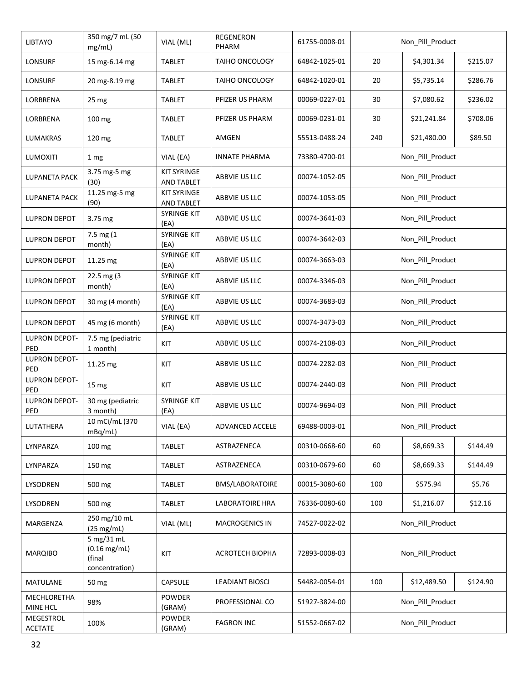| <b>LIBTAYO</b>              | 350 mg/7 mL (50<br>mg/mL)                                   | VIAL (ML)                               | <b>REGENERON</b><br>PHARM | 61755-0008-01 |                  | Non_Pill_Product |          |
|-----------------------------|-------------------------------------------------------------|-----------------------------------------|---------------------------|---------------|------------------|------------------|----------|
| <b>LONSURF</b>              | 15 mg-6.14 mg                                               | <b>TABLET</b>                           | TAIHO ONCOLOGY            | 64842-1025-01 | 20               | \$4,301.34       | \$215.07 |
| <b>LONSURF</b>              | 20 mg-8.19 mg                                               | <b>TABLET</b>                           | <b>TAIHO ONCOLOGY</b>     | 64842-1020-01 | 20               | \$5,735.14       | \$286.76 |
| LORBRENA                    | 25 mg                                                       | <b>TABLET</b>                           | PFIZER US PHARM           | 00069-0227-01 | 30               | \$7,080.62       | \$236.02 |
| LORBRENA                    | 100 mg                                                      | <b>TABLET</b>                           | PFIZER US PHARM           | 00069-0231-01 | 30               | \$21,241.84      | \$708.06 |
| LUMAKRAS                    | 120 mg                                                      | <b>TABLET</b>                           | AMGEN                     | 55513-0488-24 | 240              | \$21,480.00      | \$89.50  |
| LUMOXITI                    | 1 mg                                                        | VIAL (EA)                               | <b>INNATE PHARMA</b>      | 73380-4700-01 |                  | Non_Pill_Product |          |
| <b>LUPANETA PACK</b>        | 3.75 mg-5 mg<br>(30)                                        | <b>KIT SYRINGE</b><br><b>AND TABLET</b> | ABBVIE US LLC             | 00074-1052-05 |                  | Non_Pill_Product |          |
| LUPANETA PACK               | 11.25 mg-5 mg<br>(90)                                       | <b>KIT SYRINGE</b><br><b>AND TABLET</b> | ABBVIE US LLC             | 00074-1053-05 |                  | Non_Pill_Product |          |
| LUPRON DEPOT                | 3.75 mg                                                     | <b>SYRINGE KIT</b><br>(EA)              | ABBVIE US LLC             | 00074-3641-03 |                  | Non_Pill_Product |          |
| <b>LUPRON DEPOT</b>         | 7.5 mg (1<br>month)                                         | SYRINGE KIT<br>(EA)                     | ABBVIE US LLC             | 00074-3642-03 |                  | Non Pill Product |          |
| <b>LUPRON DEPOT</b>         | 11.25 mg                                                    | <b>SYRINGE KIT</b><br>(EA)              | ABBVIE US LLC             | 00074-3663-03 |                  | Non_Pill_Product |          |
| <b>LUPRON DEPOT</b>         | 22.5 mg (3)<br>month)                                       | SYRINGE KIT<br>(EA)                     | ABBVIE US LLC             | 00074-3346-03 |                  | Non_Pill_Product |          |
| <b>LUPRON DEPOT</b>         | 30 mg (4 month)                                             | SYRINGE KIT<br>(EA)                     | ABBVIE US LLC             | 00074-3683-03 | Non_Pill_Product |                  |          |
| <b>LUPRON DEPOT</b>         | 45 mg (6 month)                                             | <b>SYRINGE KIT</b><br>(EA)              | ABBVIE US LLC             | 00074-3473-03 | Non_Pill_Product |                  |          |
| LUPRON DEPOT-<br>PED        | 7.5 mg (pediatric<br>1 month)                               | KIT                                     | ABBVIE US LLC             | 00074-2108-03 | Non_Pill_Product |                  |          |
| <b>LUPRON DEPOT-</b><br>PED | 11.25 mg                                                    | KIT                                     | ABBVIE US LLC             | 00074-2282-03 | Non_Pill_Product |                  |          |
| LUPRON DEPOT-<br>PED        | 15 mg                                                       | KIT                                     | ABBVIE US LLC             | 00074-2440-03 |                  | Non_Pill_Product |          |
| <b>LUPRON DEPOT-</b><br>PED | 30 mg (pediatric<br>3 month)                                | <b>SYRINGE KIT</b><br>(EA)              | ABBVIE US LLC             | 00074-9694-03 |                  | Non_Pill_Product |          |
| LUTATHERA                   | 10 mCi/mL (370<br>mBq/mL)                                   | VIAL (EA)                               | ADVANCED ACCELE           | 69488-0003-01 |                  | Non_Pill_Product |          |
| LYNPARZA                    | 100 mg                                                      | <b>TABLET</b>                           | ASTRAZENECA               | 00310-0668-60 | 60               | \$8,669.33       | \$144.49 |
| LYNPARZA                    | 150 mg                                                      | <b>TABLET</b>                           | ASTRAZENECA               | 00310-0679-60 | 60               | \$8,669.33       | \$144.49 |
| LYSODREN                    | 500 mg                                                      | <b>TABLET</b>                           | BMS/LABORATOIRE           | 00015-3080-60 | 100              | \$575.94         | \$5.76   |
| LYSODREN                    | 500 mg                                                      | <b>TABLET</b>                           | <b>LABORATOIRE HRA</b>    | 76336-0080-60 | 100              | \$1,216.07       | \$12.16  |
| MARGENZA                    | 250 mg/10 mL<br>(25 mg/mL)                                  | VIAL (ML)                               | <b>MACROGENICS IN</b>     | 74527-0022-02 |                  | Non_Pill_Product |          |
| <b>MARQIBO</b>              | 5 mg/31 mL<br>$(0.16 \, mg/mL)$<br>(final<br>concentration) | KIT                                     | <b>ACROTECH BIOPHA</b>    | 72893-0008-03 | Non_Pill_Product |                  |          |
| MATULANE                    | 50 mg                                                       | <b>CAPSULE</b>                          | <b>LEADIANT BIOSCI</b>    | 54482-0054-01 | 100              | \$12,489.50      | \$124.90 |
| MECHLORETHA<br>MINE HCL     | 98%                                                         | <b>POWDER</b><br>(GRAM)                 | PROFESSIONAL CO           | 51927-3824-00 | Non_Pill_Product |                  |          |
| MEGESTROL<br><b>ACETATE</b> | 100%                                                        | POWDER<br>(GRAM)                        | <b>FAGRON INC</b>         | 51552-0667-02 |                  | Non_Pill_Product |          |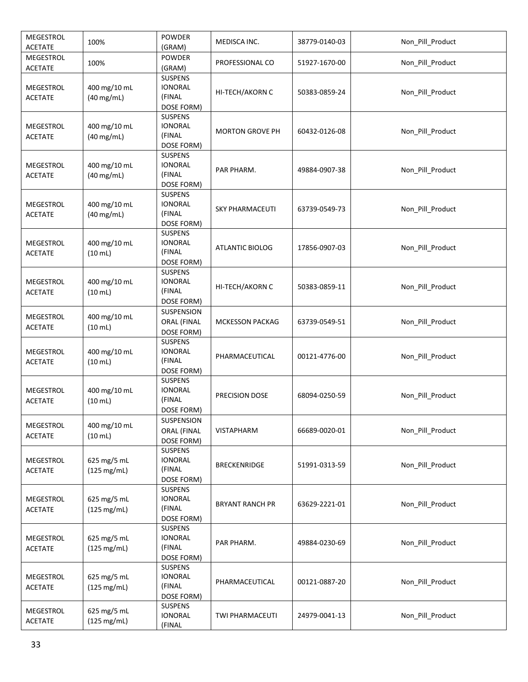| MEGESTROL<br><b>ACETATE</b>        | 100%                              | <b>POWDER</b><br>(GRAM)                                  | MEDISCA INC.           | 38779-0140-03 | Non_Pill_Product |
|------------------------------------|-----------------------------------|----------------------------------------------------------|------------------------|---------------|------------------|
| MEGESTROL<br><b>ACETATE</b>        | 100%                              | <b>POWDER</b><br>(GRAM)                                  | PROFESSIONAL CO        | 51927-1670-00 | Non_Pill_Product |
| MEGESTROL<br><b>ACETATE</b>        | 400 mg/10 mL<br>$(40$ mg/mL)      | <b>SUSPENS</b><br><b>IONORAL</b><br>(FINAL<br>DOSE FORM) | HI-TECH/AKORN C        | 50383-0859-24 | Non_Pill_Product |
| MEGESTROL<br><b>ACETATE</b>        | 400 mg/10 mL<br>$(40$ mg/mL)      | <b>SUSPENS</b><br><b>IONORAL</b><br>(FINAL<br>DOSE FORM) | <b>MORTON GROVE PH</b> | 60432-0126-08 | Non_Pill_Product |
| MEGESTROL<br><b>ACETATE</b>        | 400 mg/10 mL<br>$(40$ mg/mL)      | SUSPENS<br><b>IONORAL</b><br>(FINAL<br>DOSE FORM)        | PAR PHARM.             | 49884-0907-38 | Non_Pill_Product |
| MEGESTROL<br><b>ACETATE</b>        | 400 mg/10 mL<br>$(40$ mg/mL)      | SUSPENS<br><b>IONORAL</b><br>(FINAL<br>DOSE FORM)        | SKY PHARMACEUTI        | 63739-0549-73 | Non Pill Product |
| MEGESTROL<br><b>ACETATE</b>        | 400 mg/10 mL<br>(10 mL)           | SUSPENS<br><b>IONORAL</b><br>(FINAL<br>DOSE FORM)        | ATLANTIC BIOLOG        | 17856-0907-03 | Non_Pill_Product |
| <b>MEGESTROL</b><br><b>ACETATE</b> | 400 mg/10 mL<br>(10 mL)           | <b>SUSPENS</b><br><b>IONORAL</b><br>(FINAL<br>DOSE FORM) | HI-TECH/AKORN C        | 50383-0859-11 | Non_Pill_Product |
| MEGESTROL<br><b>ACETATE</b>        | 400 mg/10 mL<br>$(10 \text{ mL})$ | SUSPENSION<br>ORAL (FINAL<br>DOSE FORM)                  | <b>MCKESSON PACKAG</b> | 63739-0549-51 | Non_Pill_Product |
| MEGESTROL<br><b>ACETATE</b>        | 400 mg/10 mL<br>$(10 \text{ mL})$ | <b>SUSPENS</b><br><b>IONORAL</b><br>(FINAL<br>DOSE FORM) | PHARMACEUTICAL         | 00121-4776-00 | Non_Pill_Product |
| <b>MEGESTROL</b><br><b>ACETATE</b> | 400 mg/10 mL<br>(10 mL)           | <b>SUSPENS</b><br><b>IONORAL</b><br>(FINAL<br>DOSE FORM) | PRECISION DOSE         | 68094-0250-59 | Non_Pill_Product |
| MEGESTROL<br><b>ACETATE</b>        | 400 mg/10 mL<br>$(10 \text{ mL})$ | SUSPENSION<br>ORAL (FINAL<br>DOSE FORM)                  | <b>VISTAPHARM</b>      | 66689-0020-01 | Non_Pill_Product |
| MEGESTROL<br><b>ACETATE</b>        | 625 mg/5 mL<br>(125 mg/mL)        | <b>SUSPENS</b><br><b>IONORAL</b><br>(FINAL<br>DOSE FORM) | <b>BRECKENRIDGE</b>    | 51991-0313-59 | Non Pill Product |
| MEGESTROL<br><b>ACETATE</b>        | 625 mg/5 mL<br>(125 mg/mL)        | <b>SUSPENS</b><br><b>IONORAL</b><br>(FINAL<br>DOSE FORM) | <b>BRYANT RANCH PR</b> | 63629-2221-01 | Non_Pill_Product |
| MEGESTROL<br><b>ACETATE</b>        | 625 mg/5 mL<br>(125 mg/mL)        | <b>SUSPENS</b><br><b>IONORAL</b><br>(FINAL<br>DOSE FORM) | PAR PHARM.             | 49884-0230-69 | Non_Pill_Product |
| MEGESTROL<br><b>ACETATE</b>        | 625 mg/5 mL<br>(125 mg/mL)        | <b>SUSPENS</b><br><b>IONORAL</b><br>(FINAL<br>DOSE FORM) | PHARMACEUTICAL         | 00121-0887-20 | Non_Pill_Product |
| MEGESTROL<br><b>ACETATE</b>        | 625 mg/5 mL<br>(125 mg/mL)        | <b>SUSPENS</b><br><b>IONORAL</b><br>(FINAL               | TWI PHARMACEUTI        | 24979-0041-13 | Non_Pill_Product |
|                                    |                                   |                                                          |                        |               |                  |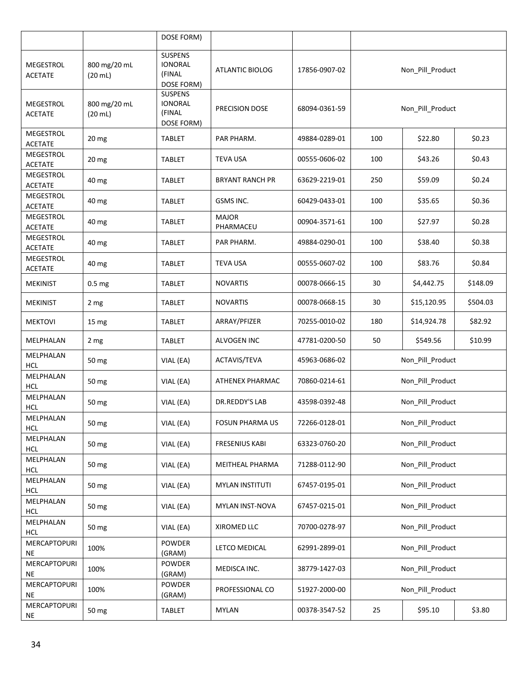|                                    |                                   | DOSE FORM)                                               |                           |               |                  |                  |          |  |
|------------------------------------|-----------------------------------|----------------------------------------------------------|---------------------------|---------------|------------------|------------------|----------|--|
| MEGESTROL<br><b>ACETATE</b>        | 800 mg/20 mL<br>$(20 \text{ mL})$ | <b>SUSPENS</b><br><b>IONORAL</b><br>(FINAL<br>DOSE FORM) | <b>ATLANTIC BIOLOG</b>    | 17856-0907-02 | Non_Pill_Product |                  |          |  |
| MEGESTROL<br><b>ACETATE</b>        | 800 mg/20 mL<br>$(20$ mL)         | <b>SUSPENS</b><br><b>IONORAL</b><br>(FINAL<br>DOSE FORM) | PRECISION DOSE            | 68094-0361-59 | Non_Pill_Product |                  |          |  |
| MEGESTROL<br><b>ACETATE</b>        | 20 mg                             | <b>TABLET</b>                                            | PAR PHARM.                | 49884-0289-01 | 100              | \$22.80          | \$0.23   |  |
| MEGESTROL<br><b>ACETATE</b>        | 20 mg                             | TABLET                                                   | <b>TEVA USA</b>           | 00555-0606-02 | 100              | \$43.26          | \$0.43   |  |
| MEGESTROL<br><b>ACETATE</b>        | 40 mg                             | TABLET                                                   | <b>BRYANT RANCH PR</b>    | 63629-2219-01 | 250              | \$59.09          | \$0.24   |  |
| MEGESTROL<br><b>ACETATE</b>        | 40 mg                             | TABLET                                                   | GSMS INC.                 | 60429-0433-01 | 100              | \$35.65          | \$0.36   |  |
| MEGESTROL<br><b>ACETATE</b>        | 40 mg                             | TABLET                                                   | <b>MAJOR</b><br>PHARMACEU | 00904-3571-61 | 100              | \$27.97          | \$0.28   |  |
| <b>MEGESTROL</b><br><b>ACETATE</b> | 40 mg                             | <b>TABLET</b>                                            | PAR PHARM.                | 49884-0290-01 | 100              | \$38.40          | \$0.38   |  |
| MEGESTROL<br><b>ACETATE</b>        | 40 mg                             | <b>TABLET</b>                                            | <b>TEVA USA</b>           | 00555-0607-02 | 100              | \$83.76          | \$0.84   |  |
| <b>MEKINIST</b>                    | 0.5 <sub>mg</sub>                 | <b>TABLET</b>                                            | <b>NOVARTIS</b>           | 00078-0666-15 | 30               | \$4,442.75       | \$148.09 |  |
| <b>MEKINIST</b>                    | 2 mg                              | TABLET                                                   | <b>NOVARTIS</b>           | 00078-0668-15 | 30               | \$15,120.95      | \$504.03 |  |
| <b>MEKTOVI</b>                     | 15 mg                             | TABLET                                                   | ARRAY/PFIZER              | 70255-0010-02 | 180              | \$14,924.78      | \$82.92  |  |
| MELPHALAN                          | 2 mg                              | TABLET                                                   | ALVOGEN INC               | 47781-0200-50 | 50               | \$549.56         | \$10.99  |  |
| MELPHALAN<br>HCL                   | 50 mg                             | VIAL (EA)                                                | ACTAVIS/TEVA              | 45963-0686-02 | Non_Pill_Product |                  |          |  |
| MELPHALAN<br><b>HCL</b>            | 50 mg                             | VIAL (EA)                                                | ATHENEX PHARMAC           | 70860-0214-61 |                  | Non_Pill_Product |          |  |
| MELPHALAN<br><b>HCL</b>            | 50 mg                             | VIAL (EA)                                                | DR.REDDY'S LAB            | 43598-0392-48 |                  | Non_Pill_Product |          |  |
| MELPHALAN<br><b>HCL</b>            | 50 mg                             | VIAL (EA)                                                | <b>FOSUN PHARMA US</b>    | 72266-0128-01 |                  | Non_Pill_Product |          |  |
| MELPHALAN<br><b>HCL</b>            | 50 mg                             | VIAL (EA)                                                | FRESENIUS KABI            | 63323-0760-20 |                  | Non_Pill_Product |          |  |
| MELPHALAN<br><b>HCL</b>            | 50 mg                             | VIAL (EA)                                                | MEITHEAL PHARMA           | 71288-0112-90 |                  | Non_Pill_Product |          |  |
| MELPHALAN<br><b>HCL</b>            | 50 mg                             | VIAL (EA)                                                | <b>MYLAN INSTITUTI</b>    | 67457-0195-01 |                  | Non_Pill_Product |          |  |
| MELPHALAN<br><b>HCL</b>            | 50 mg                             | VIAL (EA)                                                | MYLAN INST-NOVA           | 67457-0215-01 |                  | Non_Pill_Product |          |  |
| MELPHALAN<br><b>HCL</b>            | 50 mg                             | VIAL (EA)                                                | XIROMED LLC               | 70700-0278-97 |                  | Non_Pill_Product |          |  |
| MERCAPTOPURI<br><b>NE</b>          | 100%                              | POWDER<br>(GRAM)                                         | LETCO MEDICAL             | 62991-2899-01 |                  | Non_Pill_Product |          |  |
| MERCAPTOPURI<br><b>NE</b>          | 100%                              | POWDER<br>(GRAM)                                         | MEDISCA INC.              | 38779-1427-03 |                  | Non_Pill_Product |          |  |
| MERCAPTOPURI<br><b>NE</b>          | 100%                              | POWDER<br>(GRAM)                                         | PROFESSIONAL CO           | 51927-2000-00 |                  | Non_Pill_Product |          |  |
| MERCAPTOPURI<br><b>NE</b>          | 50 mg                             | TABLET                                                   | <b>MYLAN</b>              | 00378-3547-52 | 25               | \$95.10          | \$3.80   |  |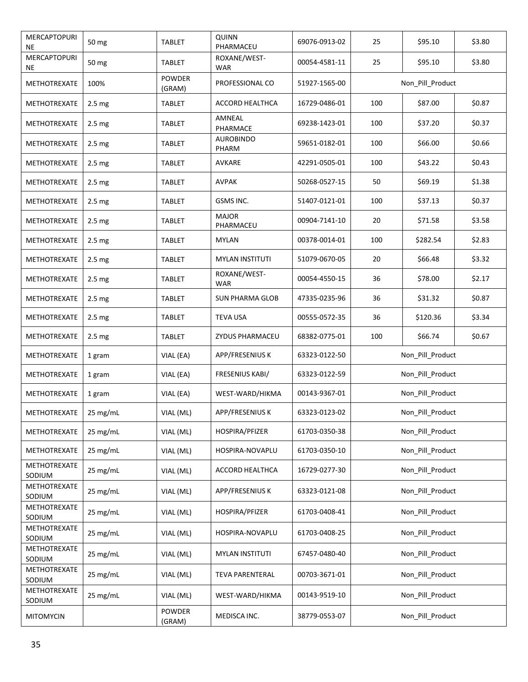| MERCAPTOPURI<br>NE        | 50 mg              | TABLET                  | <b>QUINN</b><br>PHARMACEU  | 69076-0913-02 | 25               | \$95.10          | \$3.80 |  |
|---------------------------|--------------------|-------------------------|----------------------------|---------------|------------------|------------------|--------|--|
| MERCAPTOPURI<br><b>NE</b> | 50 mg              | <b>TABLET</b>           | ROXANE/WEST-<br>WAR        | 00054-4581-11 | 25               | \$95.10          | \$3.80 |  |
| <b>METHOTREXATE</b>       | 100%               | <b>POWDER</b><br>(GRAM) | PROFESSIONAL CO            | 51927-1565-00 | Non Pill Product |                  |        |  |
| <b>METHOTREXATE</b>       | 2.5 <sub>mg</sub>  | <b>TABLET</b>           | ACCORD HEALTHCA            | 16729-0486-01 | 100              | \$87.00          | \$0.87 |  |
| METHOTREXATE              | 2.5 <sub>mg</sub>  | <b>TABLET</b>           | AMNEAL<br>PHARMACE         | 69238-1423-01 | 100              | \$37.20          | \$0.37 |  |
| METHOTREXATE              | 2.5 <sub>mg</sub>  | <b>TABLET</b>           | AUROBINDO<br>PHARM         | 59651-0182-01 | 100              | \$66.00          | \$0.66 |  |
| METHOTREXATE              | 2.5 <sub>mg</sub>  | <b>TABLET</b>           | AVKARE                     | 42291-0505-01 | 100              | \$43.22          | \$0.43 |  |
| METHOTREXATE              | 2.5 mg             | <b>TABLET</b>           | <b>AVPAK</b>               | 50268-0527-15 | 50               | \$69.19          | \$1.38 |  |
| METHOTREXATE              | 2.5 <sub>mg</sub>  | TABLET                  | GSMS INC.                  | 51407-0121-01 | 100              | \$37.13          | \$0.37 |  |
| METHOTREXATE              | 2.5 mg             | <b>TABLET</b>           | <b>MAJOR</b><br>PHARMACEU  | 00904-7141-10 | 20               | \$71.58          | \$3.58 |  |
| METHOTREXATE              | 2.5 mg             | <b>TABLET</b>           | <b>MYLAN</b>               | 00378-0014-01 | 100              | \$282.54         | \$2.83 |  |
| <b>METHOTREXATE</b>       | 2.5 <sub>mg</sub>  | TABLET                  | <b>MYLAN INSTITUTI</b>     | 51079-0670-05 | 20               | \$66.48          | \$3.32 |  |
| <b>METHOTREXATE</b>       | 2.5 <sub>mg</sub>  | <b>TABLET</b>           | ROXANE/WEST-<br><b>WAR</b> | 00054-4550-15 | 36               | \$78.00          | \$2.17 |  |
| METHOTREXATE              | 2.5 <sub>mg</sub>  | <b>TABLET</b>           | <b>SUN PHARMA GLOB</b>     | 47335-0235-96 | 36               | \$31.32          | \$0.87 |  |
| METHOTREXATE              | 2.5 <sub>mg</sub>  | <b>TABLET</b>           | <b>TEVA USA</b>            | 00555-0572-35 | 36               | \$120.36         | \$3.34 |  |
| METHOTREXATE              | 2.5 <sub>mg</sub>  | <b>TABLET</b>           | ZYDUS PHARMACEU            | 68382-0775-01 | 100              | \$66.74          | \$0.67 |  |
| METHOTREXATE              | 1 gram             | VIAL (EA)               | APP/FRESENIUS K            | 63323-0122-50 | Non_Pill_Product |                  |        |  |
| METHOTREXATE              | 1 gram             | VIAL (EA)               | FRESENIUS KABI/            | 63323-0122-59 |                  | Non_Pill_Product |        |  |
| METHOTREXATE              | 1 gram             | VIAL (EA)               | WEST-WARD/HIKMA            | 00143-9367-01 |                  | Non_Pill_Product |        |  |
| METHOTREXATE              | 25 mg/mL           | VIAL (ML)               | APP/FRESENIUS K            | 63323-0123-02 |                  | Non Pill Product |        |  |
| METHOTREXATE              | 25 mg/mL           | VIAL (ML)               | HOSPIRA/PFIZER             | 61703-0350-38 |                  | Non_Pill_Product |        |  |
| METHOTREXATE              | 25 mg/mL           | VIAL (ML)               | HOSPIRA-NOVAPLU            | 61703-0350-10 |                  | Non Pill Product |        |  |
| METHOTREXATE<br>SODIUM    | 25 mg/mL           | VIAL (ML)               | <b>ACCORD HEALTHCA</b>     | 16729-0277-30 |                  | Non_Pill_Product |        |  |
| METHOTREXATE<br>SODIUM    | $25 \text{ mg/mL}$ | VIAL (ML)               | APP/FRESENIUS K            | 63323-0121-08 |                  | Non_Pill_Product |        |  |
| METHOTREXATE<br>SODIUM    | $25$ mg/mL         | VIAL (ML)               | HOSPIRA/PFIZER             | 61703-0408-41 |                  | Non_Pill_Product |        |  |
| METHOTREXATE<br>SODIUM    | $25 \text{ mg/mL}$ | VIAL (ML)               | HOSPIRA-NOVAPLU            | 61703-0408-25 |                  | Non_Pill_Product |        |  |
| METHOTREXATE<br>SODIUM    | 25 mg/mL           | VIAL (ML)               | <b>MYLAN INSTITUTI</b>     | 67457-0480-40 |                  | Non_Pill_Product |        |  |
| METHOTREXATE<br>SODIUM    | 25 mg/mL           | VIAL (ML)               | <b>TEVA PARENTERAL</b>     | 00703-3671-01 |                  | Non_Pill_Product |        |  |
| METHOTREXATE<br>SODIUM    | 25 mg/mL           | VIAL (ML)               | WEST-WARD/HIKMA            | 00143-9519-10 |                  | Non_Pill_Product |        |  |
| <b>MITOMYCIN</b>          |                    | POWDER<br>(GRAM)        | MEDISCA INC.               | 38779-0553-07 |                  | Non_Pill_Product |        |  |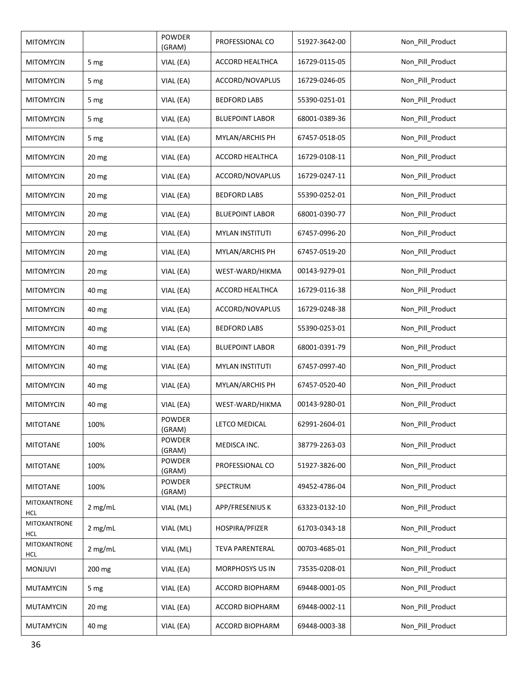| <b>MITOMYCIN</b>                  |                  | POWDER<br>(GRAM) | PROFESSIONAL CO        | 51927-3642-00 | Non_Pill_Product |
|-----------------------------------|------------------|------------------|------------------------|---------------|------------------|
| <b>MITOMYCIN</b>                  | 5 mg             | VIAL (EA)        | <b>ACCORD HEALTHCA</b> | 16729-0115-05 | Non_Pill_Product |
| <b>MITOMYCIN</b>                  | 5 mg             | VIAL (EA)        | ACCORD/NOVAPLUS        | 16729-0246-05 | Non_Pill_Product |
| <b>MITOMYCIN</b>                  | 5 mg             | VIAL (EA)        | <b>BEDFORD LABS</b>    | 55390-0251-01 | Non_Pill_Product |
| <b>MITOMYCIN</b>                  | 5 mg             | VIAL (EA)        | <b>BLUEPOINT LABOR</b> | 68001-0389-36 | Non_Pill_Product |
| <b>MITOMYCIN</b>                  | 5 mg             | VIAL (EA)        | MYLAN/ARCHIS PH        | 67457-0518-05 | Non_Pill_Product |
| <b>MITOMYCIN</b>                  | 20 <sub>mg</sub> | VIAL (EA)        | ACCORD HEALTHCA        | 16729-0108-11 | Non_Pill_Product |
| <b>MITOMYCIN</b>                  | 20 mg            | VIAL (EA)        | ACCORD/NOVAPLUS        | 16729-0247-11 | Non_Pill_Product |
| <b>MITOMYCIN</b>                  | 20 mg            | VIAL (EA)        | <b>BEDFORD LABS</b>    | 55390-0252-01 | Non_Pill_Product |
| <b>MITOMYCIN</b>                  | 20 <sub>mg</sub> | VIAL (EA)        | <b>BLUEPOINT LABOR</b> | 68001-0390-77 | Non_Pill_Product |
| <b>MITOMYCIN</b>                  | 20 mg            | VIAL (EA)        | <b>MYLAN INSTITUTI</b> | 67457-0996-20 | Non_Pill_Product |
| <b>MITOMYCIN</b>                  | 20 mg            | VIAL (EA)        | MYLAN/ARCHIS PH        | 67457-0519-20 | Non_Pill_Product |
| <b>MITOMYCIN</b>                  | 20 <sub>mg</sub> | VIAL (EA)        | WEST-WARD/HIKMA        | 00143-9279-01 | Non_Pill_Product |
| <b>MITOMYCIN</b>                  | 40 mg            | VIAL (EA)        | ACCORD HEALTHCA        | 16729-0116-38 | Non_Pill_Product |
| <b>MITOMYCIN</b>                  | 40 mg            | VIAL (EA)        | ACCORD/NOVAPLUS        | 16729-0248-38 | Non_Pill_Product |
| <b>MITOMYCIN</b>                  | 40 mg            | VIAL (EA)        | <b>BEDFORD LABS</b>    | 55390-0253-01 | Non_Pill_Product |
| <b>MITOMYCIN</b>                  | 40 mg            | VIAL (EA)        | <b>BLUEPOINT LABOR</b> | 68001-0391-79 | Non_Pill_Product |
| <b>MITOMYCIN</b>                  | 40 mg            | VIAL (EA)        | <b>MYLAN INSTITUTI</b> | 67457-0997-40 | Non_Pill_Product |
| <b>MITOMYCIN</b>                  | 40 mg            | VIAL (EA)        | MYLAN/ARCHIS PH        | 67457-0520-40 | Non_Pill_Product |
| <b>MITOMYCIN</b>                  | 40 mg            | VIAL (EA)        | WEST-WARD/HIKMA        | 00143-9280-01 | Non_Pill_Product |
| <b>MITOTANE</b>                   | 100%             | POWDER<br>(GRAM) | LETCO MEDICAL          | 62991-2604-01 | Non Pill Product |
| <b>MITOTANE</b>                   | 100%             | POWDER<br>(GRAM) | MEDISCA INC.           | 38779-2263-03 | Non_Pill_Product |
| MITOTANE                          | 100%             | POWDER<br>(GRAM) | PROFESSIONAL CO        | 51927-3826-00 | Non_Pill_Product |
| <b>MITOTANE</b>                   | 100%             | POWDER<br>(GRAM) | SPECTRUM               | 49452-4786-04 | Non_Pill_Product |
| <b>MITOXANTRONE</b><br><b>HCL</b> | 2 mg/mL          | VIAL (ML)        | APP/FRESENIUS K        | 63323-0132-10 | Non_Pill_Product |
| <b>MITOXANTRONE</b><br><b>HCL</b> | 2 mg/mL          | VIAL (ML)        | HOSPIRA/PFIZER         | 61703-0343-18 | Non_Pill_Product |
| <b>MITOXANTRONE</b><br><b>HCL</b> | 2 mg/mL          | VIAL (ML)        | <b>TEVA PARENTERAL</b> | 00703-4685-01 | Non_Pill_Product |
| <b>MONJUVI</b>                    | 200 mg           | VIAL (EA)        | <b>MORPHOSYS US IN</b> | 73535-0208-01 | Non_Pill_Product |
| <b>MUTAMYCIN</b>                  | 5 mg             | VIAL (EA)        | ACCORD BIOPHARM        | 69448-0001-05 | Non_Pill_Product |
| MUTAMYCIN                         | 20 mg            | VIAL (EA)        | ACCORD BIOPHARM        | 69448-0002-11 | Non_Pill_Product |
| MUTAMYCIN                         | 40 mg            | VIAL (EA)        | ACCORD BIOPHARM        | 69448-0003-38 | Non_Pill_Product |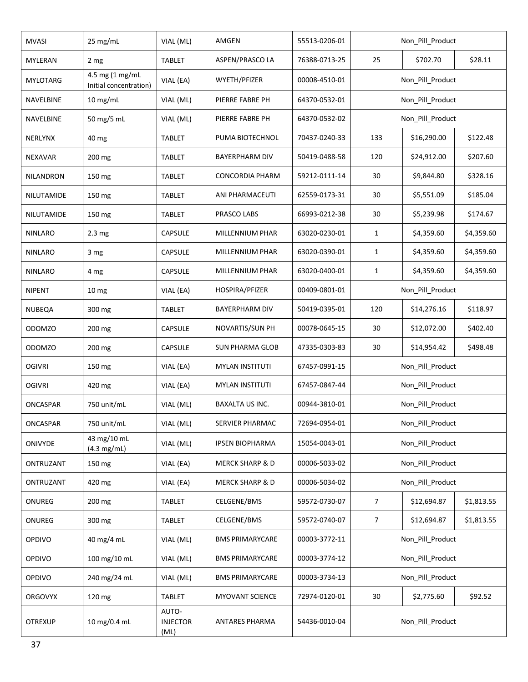| <b>MVASI</b>     | 25 mg/mL                                  | VIAL (ML)                        | AMGEN                      | 55513-0206-01 |                                          | Non_Pill_Product        |            |  |
|------------------|-------------------------------------------|----------------------------------|----------------------------|---------------|------------------------------------------|-------------------------|------------|--|
| <b>MYLERAN</b>   | 2 mg                                      | TABLET                           | ASPEN/PRASCO LA            | 76388-0713-25 | 25                                       | \$702.70                | \$28.11    |  |
| <b>MYLOTARG</b>  | 4.5 mg (1 mg/mL<br>Initial concentration) | VIAL (EA)                        | WYETH/PFIZER               | 00008-4510-01 |                                          | Non_Pill_Product        |            |  |
| NAVELBINE        | 10 mg/mL                                  | VIAL (ML)                        | PIERRE FABRE PH            | 64370-0532-01 |                                          | Non_Pill_Product        |            |  |
| NAVELBINE        | 50 mg/5 mL                                | VIAL (ML)                        | PIERRE FABRE PH            | 64370-0532-02 |                                          | Non_Pill_Product        |            |  |
| <b>NERLYNX</b>   | 40 mg                                     | TABLET                           | PUMA BIOTECHNOL            | 70437-0240-33 | 133                                      | \$16,290.00<br>\$122.48 |            |  |
| <b>NEXAVAR</b>   | 200 mg                                    | TABLET                           | BAYERPHARM DIV             | 50419-0488-58 | 120                                      | \$24,912.00             | \$207.60   |  |
| <b>NILANDRON</b> | 150 mg                                    | TABLET                           | <b>CONCORDIA PHARM</b>     | 59212-0111-14 | 30                                       | \$9,844.80              | \$328.16   |  |
| NILUTAMIDE       | 150 mg                                    | <b>TABLET</b>                    | ANI PHARMACEUTI            | 62559-0173-31 | 30                                       | \$5,551.09              | \$185.04   |  |
| NILUTAMIDE       | 150 mg                                    | <b>TABLET</b>                    | PRASCO LABS                | 66993-0212-38 | 30                                       | \$5,239.98              | \$174.67   |  |
| <b>NINLARO</b>   | 2.3 <sub>mg</sub>                         | <b>CAPSULE</b>                   | MILLENNIUM PHAR            | 63020-0230-01 | $\mathbf{1}$                             | \$4,359.60              | \$4,359.60 |  |
| <b>NINLARO</b>   | 3 mg                                      | <b>CAPSULE</b>                   | MILLENNIUM PHAR            | 63020-0390-01 | $\mathbf{1}$                             | \$4,359.60              | \$4,359.60 |  |
| <b>NINLARO</b>   | 4 mg                                      | <b>CAPSULE</b>                   | MILLENNIUM PHAR            | 63020-0400-01 | \$4,359.60<br>\$4,359.60<br>$\mathbf{1}$ |                         |            |  |
| <b>NIPENT</b>    | 10 <sub>mg</sub>                          | VIAL (EA)                        | HOSPIRA/PFIZER             | 00409-0801-01 | Non_Pill_Product                         |                         |            |  |
| <b>NUBEQA</b>    | 300 mg                                    | <b>TABLET</b>                    | <b>BAYERPHARM DIV</b>      | 50419-0395-01 | 120                                      | \$14,276.16             | \$118.97   |  |
| <b>ODOMZO</b>    | 200 mg                                    | CAPSULE                          | NOVARTIS/SUN PH            | 00078-0645-15 | 30                                       | \$12,072.00             | \$402.40   |  |
| <b>ODOMZO</b>    | 200 mg                                    | CAPSULE                          | <b>SUN PHARMA GLOB</b>     | 47335-0303-83 | 30                                       | \$14,954.42             | \$498.48   |  |
| <b>OGIVRI</b>    | 150 mg                                    | VIAL (EA)                        | <b>MYLAN INSTITUTI</b>     | 67457-0991-15 |                                          | Non_Pill_Product        |            |  |
| <b>OGIVRI</b>    | 420 mg                                    | VIAL (EA)                        | <b>MYLAN INSTITUTI</b>     | 67457-0847-44 |                                          | Non_Pill_Product        |            |  |
| ONCASPAR         | 750 unit/mL                               | VIAL (ML)                        | <b>BAXALTA US INC.</b>     | 00944-3810-01 |                                          | Non_Pill_Product        |            |  |
| ONCASPAR         | 750 unit/mL                               | VIAL (ML)                        | SERVIER PHARMAC            | 72694-0954-01 |                                          | Non_Pill_Product        |            |  |
| <b>ONIVYDE</b>   | 43 mg/10 mL<br>(4.3 mg/mL)                | VIAL (ML)                        | <b>IPSEN BIOPHARMA</b>     | 15054-0043-01 |                                          | Non_Pill_Product        |            |  |
| ONTRUZANT        | 150 mg                                    | VIAL (EA)                        | <b>MERCK SHARP &amp; D</b> | 00006-5033-02 |                                          | Non_Pill_Product        |            |  |
| ONTRUZANT        | 420 mg                                    | VIAL (EA)                        | <b>MERCK SHARP &amp; D</b> | 00006-5034-02 |                                          | Non_Pill_Product        |            |  |
| ONUREG           | 200 mg                                    | <b>TABLET</b>                    | CELGENE/BMS                | 59572-0730-07 | $\overline{7}$                           | \$12,694.87             | \$1,813.55 |  |
| ONUREG           | 300 mg                                    | <b>TABLET</b>                    | CELGENE/BMS                | 59572-0740-07 | $\overline{7}$                           | \$12,694.87             | \$1,813.55 |  |
| <b>OPDIVO</b>    | 40 mg/4 mL                                | VIAL (ML)                        | <b>BMS PRIMARYCARE</b>     | 00003-3772-11 |                                          | Non_Pill_Product        |            |  |
| <b>OPDIVO</b>    | 100 mg/10 mL                              | VIAL (ML)                        | <b>BMS PRIMARYCARE</b>     | 00003-3774-12 |                                          | Non_Pill_Product        |            |  |
| <b>OPDIVO</b>    | 240 mg/24 mL                              | VIAL (ML)                        | <b>BMS PRIMARYCARE</b>     | 00003-3734-13 |                                          | Non_Pill_Product        |            |  |
| <b>ORGOVYX</b>   | 120 mg                                    | <b>TABLET</b>                    | <b>MYOVANT SCIENCE</b>     | 72974-0120-01 | 30                                       | \$2,775.60<br>\$92.52   |            |  |
| <b>OTREXUP</b>   | 10 mg/0.4 mL                              | AUTO-<br><b>INJECTOR</b><br>(ML) | ANTARES PHARMA             | 54436-0010-04 |                                          | Non_Pill_Product        |            |  |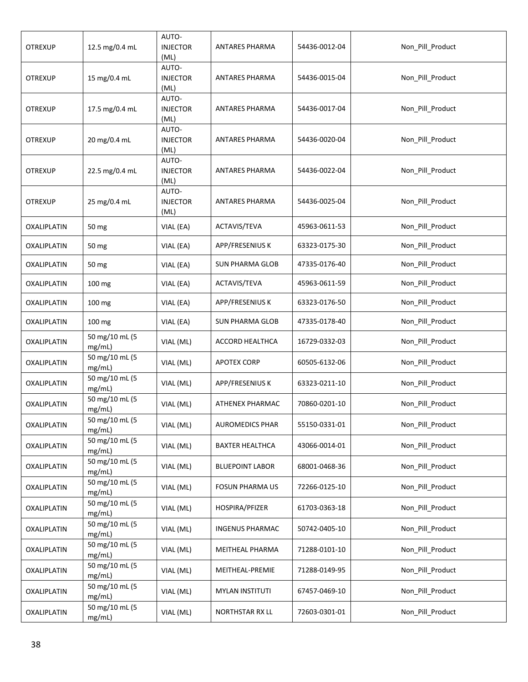| <b>OTREXUP</b> | 12.5 mg/0.4 mL           | AUTO-<br><b>INJECTOR</b><br>(ML) | <b>ANTARES PHARMA</b>  | 54436-0012-04 | Non_Pill_Product |
|----------------|--------------------------|----------------------------------|------------------------|---------------|------------------|
| <b>OTREXUP</b> | 15 mg/0.4 mL             | AUTO-<br><b>INJECTOR</b><br>(ML) | ANTARES PHARMA         | 54436-0015-04 | Non_Pill_Product |
| <b>OTREXUP</b> | 17.5 mg/0.4 mL           | AUTO-<br><b>INJECTOR</b><br>(ML) | ANTARES PHARMA         | 54436-0017-04 | Non_Pill_Product |
| <b>OTREXUP</b> | 20 mg/0.4 mL             | AUTO-<br><b>INJECTOR</b><br>(ML) | ANTARES PHARMA         | 54436-0020-04 | Non_Pill_Product |
| <b>OTREXUP</b> | 22.5 mg/0.4 mL           | AUTO-<br><b>INJECTOR</b><br>(ML) | <b>ANTARES PHARMA</b>  | 54436-0022-04 | Non_Pill_Product |
| <b>OTREXUP</b> | 25 mg/0.4 mL             | AUTO-<br><b>INJECTOR</b><br>(ML) | <b>ANTARES PHARMA</b>  | 54436-0025-04 | Non_Pill_Product |
| OXALIPLATIN    | 50 mg                    | VIAL (EA)                        | ACTAVIS/TEVA           | 45963-0611-53 | Non_Pill_Product |
| OXALIPLATIN    | 50 mg                    | VIAL (EA)                        | APP/FRESENIUS K        | 63323-0175-30 | Non Pill Product |
| OXALIPLATIN    | 50 mg                    | VIAL (EA)                        | <b>SUN PHARMA GLOB</b> | 47335-0176-40 | Non_Pill_Product |
| OXALIPLATIN    | 100 mg                   | VIAL (EA)                        | ACTAVIS/TEVA           | 45963-0611-59 | Non_Pill_Product |
| OXALIPLATIN    | 100 mg                   | VIAL (EA)                        | APP/FRESENIUS K        | 63323-0176-50 | Non_Pill_Product |
| OXALIPLATIN    | 100 mg                   | VIAL (EA)                        | SUN PHARMA GLOB        | 47335-0178-40 | Non_Pill_Product |
| OXALIPLATIN    | 50 mg/10 mL (5<br>mg/mL) | VIAL (ML)                        | ACCORD HEALTHCA        | 16729-0332-03 | Non_Pill_Product |
| OXALIPLATIN    | 50 mg/10 mL (5<br>mg/mL) | VIAL (ML)                        | <b>APOTEX CORP</b>     | 60505-6132-06 | Non_Pill_Product |
| OXALIPLATIN    | 50 mg/10 mL (5<br>mg/mL) | VIAL (ML)                        | APP/FRESENIUS K        | 63323-0211-10 | Non_Pill_Product |
| OXALIPLATIN    | 50 mg/10 mL (5<br>mg/mL) | VIAL (ML)                        | ATHENEX PHARMAC        | 70860-0201-10 | Non_Pill_Product |
| OXALIPLATIN    | 50 mg/10 mL (5<br>mg/mL) | VIAL (ML)                        | <b>AUROMEDICS PHAR</b> | 55150-0331-01 | Non_Pill_Product |
| OXALIPLATIN    | 50 mg/10 mL (5<br>mg/mL) | VIAL (ML)                        | <b>BAXTER HEALTHCA</b> | 43066-0014-01 | Non_Pill_Product |
| OXALIPLATIN    | 50 mg/10 mL (5<br>mg/mL) | VIAL (ML)                        | <b>BLUEPOINT LABOR</b> | 68001-0468-36 | Non_Pill_Product |
| OXALIPLATIN    | 50 mg/10 mL (5<br>mg/mL) | VIAL (ML)                        | <b>FOSUN PHARMA US</b> | 72266-0125-10 | Non_Pill_Product |
| OXALIPLATIN    | 50 mg/10 mL (5<br>mg/mL) | VIAL (ML)                        | HOSPIRA/PFIZER         | 61703-0363-18 | Non Pill Product |
| OXALIPLATIN    | 50 mg/10 mL (5<br>mg/mL) | VIAL (ML)                        | <b>INGENUS PHARMAC</b> | 50742-0405-10 | Non_Pill_Product |
| OXALIPLATIN    | 50 mg/10 mL (5<br>mg/mL) | VIAL (ML)                        | MEITHEAL PHARMA        | 71288-0101-10 | Non_Pill_Product |
| OXALIPLATIN    | 50 mg/10 mL (5<br>mg/mL) | VIAL (ML)                        | MEITHEAL-PREMIE        | 71288-0149-95 | Non_Pill_Product |
| OXALIPLATIN    | 50 mg/10 mL (5<br>mg/mL) | VIAL (ML)                        | <b>MYLAN INSTITUTI</b> | 67457-0469-10 | Non_Pill_Product |
| OXALIPLATIN    | 50 mg/10 mL (5<br>mg/mL) | VIAL (ML)                        | NORTHSTAR RX LL        | 72603-0301-01 | Non_Pill_Product |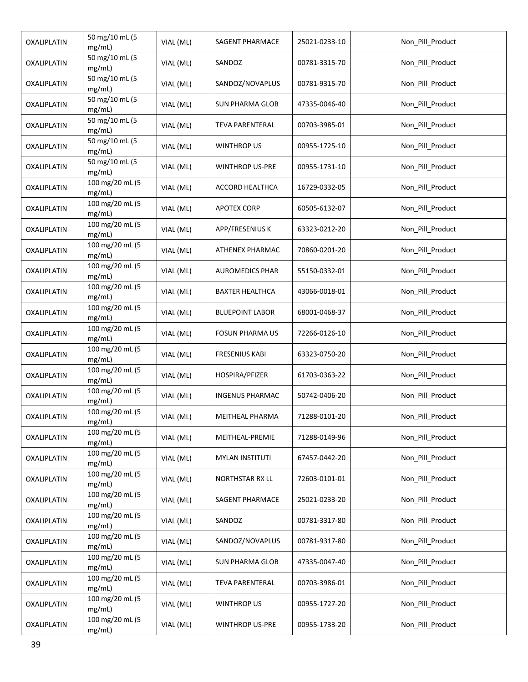| OXALIPLATIN | 50 mg/10 mL (5<br>mg/mL)  | VIAL (ML) | SAGENT PHARMACE        | 25021-0233-10 | Non_Pill_Product |
|-------------|---------------------------|-----------|------------------------|---------------|------------------|
| OXALIPLATIN | 50 mg/10 mL (5<br>mg/mL)  | VIAL (ML) | SANDOZ                 | 00781-3315-70 | Non Pill Product |
| OXALIPLATIN | 50 mg/10 mL (5<br>mg/mL)  | VIAL (ML) | SANDOZ/NOVAPLUS        | 00781-9315-70 | Non_Pill_Product |
| OXALIPLATIN | 50 mg/10 mL (5<br>mg/mL)  | VIAL (ML) | SUN PHARMA GLOB        | 47335-0046-40 | Non_Pill_Product |
| OXALIPLATIN | 50 mg/10 mL (5<br>mg/mL)  | VIAL (ML) | <b>TEVA PARENTERAL</b> | 00703-3985-01 | Non_Pill_Product |
| OXALIPLATIN | 50 mg/10 mL (5<br>mg/mL)  | VIAL (ML) | <b>WINTHROP US</b>     | 00955-1725-10 | Non_Pill_Product |
| OXALIPLATIN | 50 mg/10 mL (5<br>mg/mL)  | VIAL (ML) | <b>WINTHROP US-PRE</b> | 00955-1731-10 | Non_Pill_Product |
| OXALIPLATIN | 100 mg/20 mL (5<br>mg/mL) | VIAL (ML) | ACCORD HEALTHCA        | 16729-0332-05 | Non Pill Product |
| OXALIPLATIN | 100 mg/20 mL (5<br>mg/mL) | VIAL (ML) | <b>APOTEX CORP</b>     | 60505-6132-07 | Non_Pill_Product |
| OXALIPLATIN | 100 mg/20 mL (5<br>mg/mL) | VIAL (ML) | APP/FRESENIUS K        | 63323-0212-20 | Non_Pill_Product |
| OXALIPLATIN | 100 mg/20 mL (5<br>mg/mL) | VIAL (ML) | ATHENEX PHARMAC        | 70860-0201-20 | Non Pill Product |
| OXALIPLATIN | 100 mg/20 mL (5<br>mg/mL) | VIAL (ML) | <b>AUROMEDICS PHAR</b> | 55150-0332-01 | Non Pill Product |
| OXALIPLATIN | 100 mg/20 mL (5<br>mg/mL) | VIAL (ML) | <b>BAXTER HEALTHCA</b> | 43066-0018-01 | Non_Pill_Product |
| OXALIPLATIN | 100 mg/20 mL (5<br>mg/mL) | VIAL (ML) | <b>BLUEPOINT LABOR</b> | 68001-0468-37 | Non_Pill_Product |
| OXALIPLATIN | 100 mg/20 mL (5<br>mg/mL) | VIAL (ML) | <b>FOSUN PHARMA US</b> | 72266-0126-10 | Non_Pill_Product |
| OXALIPLATIN | 100 mg/20 mL (5<br>mg/mL) | VIAL (ML) | <b>FRESENIUS KABI</b>  | 63323-0750-20 | Non_Pill_Product |
| OXALIPLATIN | 100 mg/20 mL (5<br>mg/mL) | VIAL (ML) | HOSPIRA/PFIZER         | 61703-0363-22 | Non_Pill_Product |
| OXALIPLATIN | 100 mg/20 mL (5<br>mg/mL) | VIAL (ML) | <b>INGENUS PHARMAC</b> | 50742-0406-20 | Non_Pill_Product |
| OXALIPLATIN | 100 mg/20 mL (5<br>mg/mL) | VIAL (ML) | MEITHEAL PHARMA        | 71288-0101-20 | Non_Pill_Product |
| OXALIPLATIN | 100 mg/20 mL (5<br>mg/mL) | VIAL (ML) | MEITHEAL-PREMIE        | 71288-0149-96 | Non_Pill_Product |
| OXALIPLATIN | 100 mg/20 mL (5<br>mg/mL) | VIAL (ML) | <b>MYLAN INSTITUTI</b> | 67457-0442-20 | Non_Pill_Product |
| OXALIPLATIN | 100 mg/20 mL (5<br>mg/mL) | VIAL (ML) | NORTHSTAR RX LL        | 72603-0101-01 | Non_Pill_Product |
| OXALIPLATIN | 100 mg/20 mL (5<br>mg/mL) | VIAL (ML) | SAGENT PHARMACE        | 25021-0233-20 | Non_Pill_Product |
| OXALIPLATIN | 100 mg/20 mL (5<br>mg/mL) | VIAL (ML) | SANDOZ                 | 00781-3317-80 | Non_Pill_Product |
| OXALIPLATIN | 100 mg/20 mL (5<br>mg/mL) | VIAL (ML) | SANDOZ/NOVAPLUS        | 00781-9317-80 | Non_Pill_Product |
| OXALIPLATIN | 100 mg/20 mL (5<br>mg/mL) | VIAL (ML) | <b>SUN PHARMA GLOB</b> | 47335-0047-40 | Non_Pill_Product |
| OXALIPLATIN | 100 mg/20 mL (5<br>mg/mL) | VIAL (ML) | <b>TEVA PARENTERAL</b> | 00703-3986-01 | Non_Pill_Product |
| OXALIPLATIN | 100 mg/20 mL (5<br>mg/mL) | VIAL (ML) | <b>WINTHROP US</b>     | 00955-1727-20 | Non_Pill_Product |
| OXALIPLATIN | 100 mg/20 mL (5<br>mg/mL) | VIAL (ML) | <b>WINTHROP US-PRE</b> | 00955-1733-20 | Non_Pill_Product |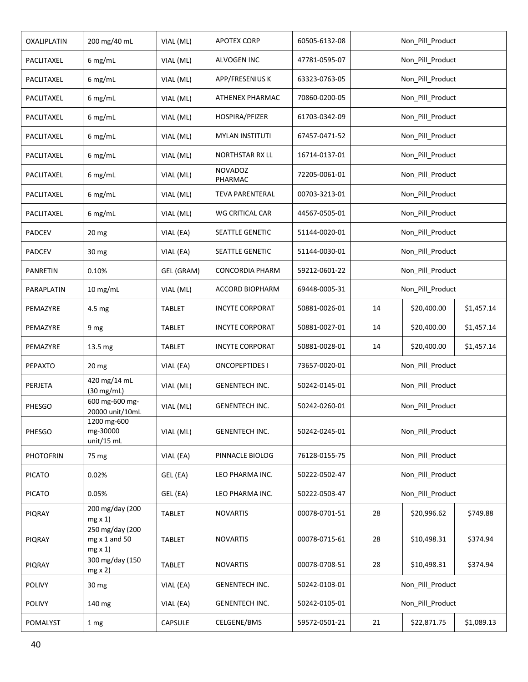| OXALIPLATIN      | 200 mg/40 mL                                             | VIAL (ML)     | <b>APOTEX CORP</b>        | 60505-6132-08 |                  | Non_Pill_Product |            |  |
|------------------|----------------------------------------------------------|---------------|---------------------------|---------------|------------------|------------------|------------|--|
| PACLITAXEL       | 6 mg/mL                                                  | VIAL (ML)     | ALVOGEN INC               | 47781-0595-07 |                  | Non Pill Product |            |  |
| PACLITAXEL       | 6 mg/mL                                                  | VIAL (ML)     | APP/FRESENIUS K           | 63323-0763-05 |                  | Non Pill Product |            |  |
| PACLITAXEL       | 6 mg/mL                                                  | VIAL (ML)     | ATHENEX PHARMAC           | 70860-0200-05 |                  | Non_Pill_Product |            |  |
| PACLITAXEL       | 6 mg/mL                                                  | VIAL (ML)     | HOSPIRA/PFIZER            | 61703-0342-09 |                  | Non_Pill_Product |            |  |
| PACLITAXEL       | 6 mg/mL                                                  | VIAL (ML)     | <b>MYLAN INSTITUTI</b>    | 67457-0471-52 |                  | Non_Pill_Product |            |  |
| PACLITAXEL       | 6 mg/mL                                                  | VIAL (ML)     | <b>NORTHSTAR RX LL</b>    | 16714-0137-01 |                  | Non_Pill_Product |            |  |
| PACLITAXEL       | 6 mg/mL                                                  | VIAL (ML)     | <b>NOVADOZ</b><br>PHARMAC | 72205-0061-01 |                  | Non_Pill_Product |            |  |
| PACLITAXEL       | 6 mg/mL                                                  | VIAL (ML)     | <b>TEVA PARENTERAL</b>    | 00703-3213-01 |                  | Non_Pill_Product |            |  |
| PACLITAXEL       | 6 mg/mL                                                  | VIAL (ML)     | WG CRITICAL CAR           | 44567-0505-01 |                  | Non_Pill_Product |            |  |
| PADCEV           | 20 mg                                                    | VIAL (EA)     | SEATTLE GENETIC           | 51144-0020-01 |                  | Non_Pill_Product |            |  |
| <b>PADCEV</b>    | 30 mg                                                    | VIAL (EA)     | SEATTLE GENETIC           | 51144-0030-01 |                  | Non_Pill_Product |            |  |
| PANRETIN         | 0.10%                                                    | GEL (GRAM)    | <b>CONCORDIA PHARM</b>    | 59212-0601-22 | Non_Pill_Product |                  |            |  |
| PARAPLATIN       | $10$ mg/mL                                               | VIAL (ML)     | ACCORD BIOPHARM           | 69448-0005-31 | Non_Pill_Product |                  |            |  |
| PEMAZYRE         | 4.5 mg                                                   | <b>TABLET</b> | <b>INCYTE CORPORAT</b>    | 50881-0026-01 | 14               | \$20,400.00      | \$1,457.14 |  |
| PEMAZYRE         | 9 mg                                                     | <b>TABLET</b> | <b>INCYTE CORPORAT</b>    | 50881-0027-01 | 14               | \$20,400.00      | \$1,457.14 |  |
| PEMAZYRE         | 13.5 mg                                                  | TABLET        | <b>INCYTE CORPORAT</b>    | 50881-0028-01 | 14               | \$20,400.00      | \$1,457.14 |  |
| PEPAXTO          | 20 <sub>mg</sub>                                         | VIAL (EA)     | <b>ONCOPEPTIDES I</b>     | 73657-0020-01 |                  | Non_Pill_Product |            |  |
| PERJETA          | 420 mg/14 mL<br>(30 mg/mL)                               | VIAL (ML)     | <b>GENENTECH INC.</b>     | 50242-0145-01 |                  | Non_Pill_Product |            |  |
| PHESGO           | 600 mg-600 mg-<br>20000 unit/10mL                        | VIAL (ML)     | <b>GENENTECH INC.</b>     | 50242-0260-01 |                  | Non_Pill_Product |            |  |
| PHESGO           | 1200 mg-600<br>mg-30000<br>unit/15 mL                    | VIAL (ML)     | <b>GENENTECH INC.</b>     | 50242-0245-01 |                  | Non_Pill_Product |            |  |
| <b>PHOTOFRIN</b> | 75 mg                                                    | VIAL (EA)     | PINNACLE BIOLOG           | 76128-0155-75 |                  | Non Pill Product |            |  |
| <b>PICATO</b>    | 0.02%                                                    | GEL (EA)      | LEO PHARMA INC.           | 50222-0502-47 |                  | Non_Pill_Product |            |  |
| <b>PICATO</b>    | 0.05%                                                    | GEL (EA)      | LEO PHARMA INC.           | 50222-0503-47 |                  | Non_Pill_Product |            |  |
| PIQRAY           | 200 mg/day (200<br>$mg \times 1$                         | <b>TABLET</b> | <b>NOVARTIS</b>           | 00078-0701-51 | 28               | \$20,996.62      | \$749.88   |  |
| PIQRAY           | 250 mg/day (200<br>$mg \times 1$ and 50<br>$mg \times 1$ | <b>TABLET</b> | <b>NOVARTIS</b>           | 00078-0715-61 | 28               | \$10,498.31      | \$374.94   |  |
| <b>PIQRAY</b>    | 300 mg/day (150<br>$mg \times 2$                         | <b>TABLET</b> | <b>NOVARTIS</b>           | 00078-0708-51 | 28               | \$10,498.31      | \$374.94   |  |
| <b>POLIVY</b>    | 30 mg                                                    | VIAL (EA)     | GENENTECH INC.            | 50242-0103-01 |                  | Non_Pill_Product |            |  |
| <b>POLIVY</b>    | 140 mg                                                   | VIAL (EA)     | <b>GENENTECH INC.</b>     | 50242-0105-01 |                  | Non_Pill_Product |            |  |
| POMALYST         | 1 <sub>mg</sub>                                          | CAPSULE       | CELGENE/BMS               | 59572-0501-21 | 21               | \$22,871.75      | \$1,089.13 |  |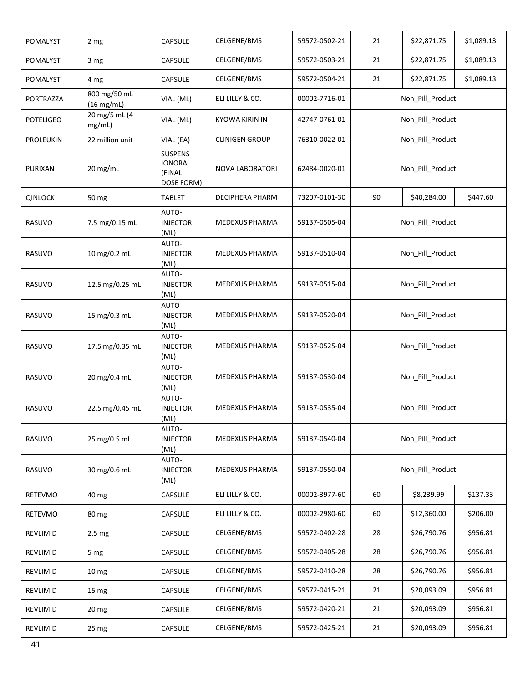| POMALYST         | 2 <sub>mg</sub>              | <b>CAPSULE</b>                                           | CELGENE/BMS            | 59572-0502-21 | 21               | \$22,871.75      | \$1,089.13 |  |
|------------------|------------------------------|----------------------------------------------------------|------------------------|---------------|------------------|------------------|------------|--|
| POMALYST         | 3 mg                         | CAPSULE                                                  | CELGENE/BMS            | 59572-0503-21 | 21               | \$22,871.75      | \$1,089.13 |  |
| POMALYST         | 4 mg                         | CAPSULE                                                  | CELGENE/BMS            | 59572-0504-21 | 21               | \$22,871.75      | \$1,089.13 |  |
| PORTRAZZA        | 800 mg/50 mL<br>$(16$ mg/mL) | VIAL (ML)                                                | ELI LILLY & CO.        | 00002-7716-01 |                  | Non_Pill_Product |            |  |
| <b>POTELIGEO</b> | 20 mg/5 mL (4<br>mg/mL)      | VIAL (ML)                                                | <b>KYOWA KIRIN IN</b>  | 42747-0761-01 |                  | Non_Pill_Product |            |  |
| <b>PROLEUKIN</b> | 22 million unit              | VIAL (EA)                                                | <b>CLINIGEN GROUP</b>  | 76310-0022-01 |                  | Non Pill Product |            |  |
| PURIXAN          | 20 mg/mL                     | <b>SUSPENS</b><br><b>IONORAL</b><br>(FINAL<br>DOSE FORM) | NOVA LABORATORI        | 62484-0020-01 |                  | Non_Pill_Product |            |  |
| <b>QINLOCK</b>   | 50 mg                        | <b>TABLET</b>                                            | <b>DECIPHERA PHARM</b> | 73207-0101-30 | 90               | \$40,284.00      | \$447.60   |  |
| RASUVO           | 7.5 mg/0.15 mL               | AUTO-<br><b>INJECTOR</b><br>(ML)                         | MEDEXUS PHARMA         | 59137-0505-04 |                  | Non_Pill_Product |            |  |
| RASUVO           | 10 mg/0.2 mL                 | AUTO-<br><b>INJECTOR</b><br>(ML)                         | MEDEXUS PHARMA         | 59137-0510-04 |                  | Non_Pill_Product |            |  |
| RASUVO           | 12.5 mg/0.25 mL              | AUTO-<br><b>INJECTOR</b><br>(ML)                         | MEDEXUS PHARMA         | 59137-0515-04 | Non_Pill_Product |                  |            |  |
| RASUVO           | 15 mg/0.3 mL                 | AUTO-<br><b>INJECTOR</b><br>(ML)                         | MEDEXUS PHARMA         | 59137-0520-04 | Non_Pill_Product |                  |            |  |
| RASUVO           | 17.5 mg/0.35 mL              | AUTO-<br><b>INJECTOR</b><br>(ML)                         | MEDEXUS PHARMA         | 59137-0525-04 |                  | Non_Pill_Product |            |  |
| RASUVO           | 20 mg/0.4 mL                 | AUTO-<br><b>INJECTOR</b><br>(ML)                         | MEDEXUS PHARMA         | 59137-0530-04 |                  | Non_Pill_Product |            |  |
| RASUVO           | 22.5 mg/0.45 mL              | AUTO-<br><b>INJECTOR</b><br>(ML)                         | MEDEXUS PHARMA         | 59137-0535-04 |                  | Non_Pill_Product |            |  |
| RASUVO           | 25 mg/0.5 mL                 | AUTO-<br><b>INJECTOR</b><br>(ML)                         | MEDEXUS PHARMA         | 59137-0540-04 |                  | Non Pill Product |            |  |
| RASUVO           | 30 mg/0.6 mL                 | AUTO-<br><b>INJECTOR</b><br>(ML)                         | MEDEXUS PHARMA         | 59137-0550-04 |                  | Non_Pill_Product |            |  |
| RETEVMO          | 40 mg                        | CAPSULE                                                  | ELI LILLY & CO.        | 00002-3977-60 | 60               | \$8,239.99       | \$137.33   |  |
| RETEVMO          | 80 mg                        | CAPSULE                                                  | ELI LILLY & CO.        | 00002-2980-60 | 60               | \$12,360.00      | \$206.00   |  |
| REVLIMID         | 2.5 <sub>mg</sub>            | <b>CAPSULE</b>                                           | CELGENE/BMS            | 59572-0402-28 | 28               | \$26,790.76      | \$956.81   |  |
| REVLIMID         | 5 mg                         | CAPSULE                                                  | CELGENE/BMS            | 59572-0405-28 | 28               | \$26,790.76      | \$956.81   |  |
| REVLIMID         | 10 <sub>mg</sub>             | CAPSULE                                                  | CELGENE/BMS            | 59572-0410-28 | 28               | \$26,790.76      | \$956.81   |  |
| REVLIMID         | 15 mg                        | CAPSULE                                                  | CELGENE/BMS            | 59572-0415-21 | 21               | \$20,093.09      | \$956.81   |  |
| REVLIMID         | 20 mg                        | <b>CAPSULE</b>                                           | CELGENE/BMS            | 59572-0420-21 | 21               | \$20,093.09      | \$956.81   |  |
| REVLIMID         | 25 mg                        | CAPSULE                                                  | CELGENE/BMS            | 59572-0425-21 | 21               | \$20,093.09      | \$956.81   |  |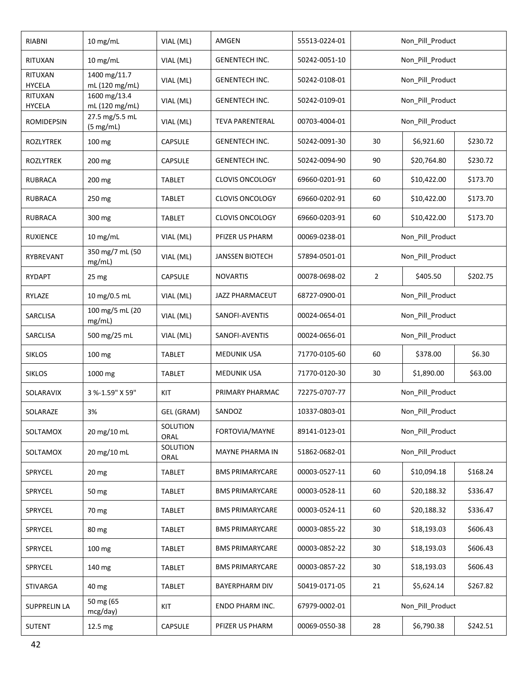| RIABNI                   | $10$ mg/mL                     | VIAL (ML)        | AMGEN                  | 55513-0224-01 |                                        | Non_Pill_Product       |          |  |
|--------------------------|--------------------------------|------------------|------------------------|---------------|----------------------------------------|------------------------|----------|--|
| RITUXAN                  | 10 mg/mL                       | VIAL (ML)        | <b>GENENTECH INC.</b>  | 50242-0051-10 |                                        | Non_Pill_Product       |          |  |
| RITUXAN<br><b>HYCELA</b> | 1400 mg/11.7<br>mL (120 mg/mL) | VIAL (ML)        | <b>GENENTECH INC.</b>  | 50242-0108-01 |                                        | Non_Pill_Product       |          |  |
| RITUXAN<br><b>HYCELA</b> | 1600 mg/13.4<br>mL (120 mg/mL) | VIAL (ML)        | <b>GENENTECH INC.</b>  | 50242-0109-01 |                                        | Non_Pill_Product       |          |  |
| <b>ROMIDEPSIN</b>        | 27.5 mg/5.5 mL<br>(5 mg/mL)    | VIAL (ML)        | <b>TEVA PARENTERAL</b> | 00703-4004-01 |                                        | Non_Pill_Product       |          |  |
| <b>ROZLYTREK</b>         | 100 mg                         | CAPSULE          | <b>GENENTECH INC.</b>  | 50242-0091-30 | 30                                     | \$6,921.60<br>\$230.72 |          |  |
| <b>ROZLYTREK</b>         | 200 mg                         | <b>CAPSULE</b>   | <b>GENENTECH INC.</b>  | 50242-0094-90 | 90                                     | \$20,764.80            | \$230.72 |  |
| RUBRACA                  | 200 mg                         | <b>TABLET</b>    | <b>CLOVIS ONCOLOGY</b> | 69660-0201-91 | 60                                     | \$10,422.00            | \$173.70 |  |
| <b>RUBRACA</b>           | 250 mg                         | <b>TABLET</b>    | <b>CLOVIS ONCOLOGY</b> | 69660-0202-91 | 60                                     | \$10,422.00            | \$173.70 |  |
| <b>RUBRACA</b>           | 300 mg                         | <b>TABLET</b>    | <b>CLOVIS ONCOLOGY</b> | 69660-0203-91 | 60                                     | \$10,422.00            | \$173.70 |  |
| <b>RUXIENCE</b>          | 10 mg/mL                       | VIAL (ML)        | PFIZER US PHARM        | 00069-0238-01 |                                        | Non_Pill_Product       |          |  |
| RYBREVANT                | 350 mg/7 mL (50<br>mg/mL)      | VIAL (ML)        | <b>JANSSEN BIOTECH</b> | 57894-0501-01 | Non_Pill_Product                       |                        |          |  |
| RYDAPT                   | 25 <sub>mg</sub>               | CAPSULE          | <b>NOVARTIS</b>        | 00078-0698-02 | $\overline{2}$<br>\$405.50<br>\$202.75 |                        |          |  |
| RYLAZE                   | 10 mg/0.5 mL                   | VIAL (ML)        | JAZZ PHARMACEUT        | 68727-0900-01 | Non_Pill_Product                       |                        |          |  |
| SARCLISA                 | 100 mg/5 mL (20<br>mg/mL)      | VIAL (ML)        | SANOFI-AVENTIS         | 00024-0654-01 | Non_Pill_Product                       |                        |          |  |
| SARCLISA                 | 500 mg/25 mL                   | VIAL (ML)        | SANOFI-AVENTIS         | 00024-0656-01 | Non_Pill_Product                       |                        |          |  |
| <b>SIKLOS</b>            | 100 mg                         | <b>TABLET</b>    | <b>MEDUNIK USA</b>     | 71770-0105-60 | 60                                     | \$378.00               | \$6.30   |  |
| <b>SIKLOS</b>            | 1000 mg                        | TABLET           | <b>MEDUNIK USA</b>     | 71770-0120-30 | 30                                     | \$1,890.00             | \$63.00  |  |
| SOLARAVIX                | 3 %-1.59" X 59"                | KIT              | PRIMARY PHARMAC        | 72275-0707-77 |                                        | Non_Pill_Product       |          |  |
| SOLARAZE                 | 3%                             | GEL (GRAM)       | SANDOZ                 | 10337-0803-01 |                                        | Non_Pill_Product       |          |  |
| SOLTAMOX                 | 20 mg/10 mL                    | SOLUTION<br>ORAL | FORTOVIA/MAYNE         | 89141-0123-01 |                                        | Non_Pill_Product       |          |  |
| SOLTAMOX                 | 20 mg/10 mL                    | SOLUTION<br>ORAL | MAYNE PHARMA IN        | 51862-0682-01 |                                        | Non Pill Product       |          |  |
| SPRYCEL                  | 20 <sub>mg</sub>               | TABLET           | <b>BMS PRIMARYCARE</b> | 00003-0527-11 | 60                                     | \$10,094.18            | \$168.24 |  |
| SPRYCEL                  | 50 mg                          | <b>TABLET</b>    | <b>BMS PRIMARYCARE</b> | 00003-0528-11 | 60                                     | \$20,188.32            | \$336.47 |  |
| <b>SPRYCEL</b>           | 70 mg                          | <b>TABLET</b>    | <b>BMS PRIMARYCARE</b> | 00003-0524-11 | 60                                     | \$20,188.32            | \$336.47 |  |
| SPRYCEL                  | 80 mg                          | <b>TABLET</b>    | <b>BMS PRIMARYCARE</b> | 00003-0855-22 | 30                                     | \$18,193.03            | \$606.43 |  |
| SPRYCEL                  | 100 mg                         | <b>TABLET</b>    | <b>BMS PRIMARYCARE</b> | 00003-0852-22 | 30                                     | \$18,193.03            | \$606.43 |  |
| <b>SPRYCEL</b>           | 140 mg                         | <b>TABLET</b>    | <b>BMS PRIMARYCARE</b> | 00003-0857-22 | $30\,$                                 | \$18,193.03            | \$606.43 |  |
| <b>STIVARGA</b>          | 40 mg                          | TABLET           | BAYERPHARM DIV         | 50419-0171-05 | 21                                     | \$5,624.14             | \$267.82 |  |
| <b>SUPPRELIN LA</b>      | 50 mg (65<br>mcg/day)          | KIT              | ENDO PHARM INC.        | 67979-0002-01 |                                        | Non_Pill_Product       |          |  |
| <b>SUTENT</b>            | 12.5 mg                        | CAPSULE          | PFIZER US PHARM        | 00069-0550-38 | 28                                     | \$6,790.38             | \$242.51 |  |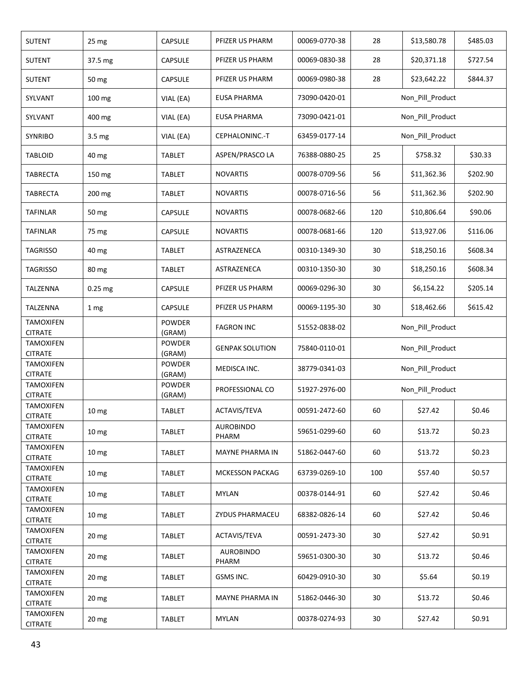| <b>SUTENT</b>                                        | 25 mg            | CAPSULE                           | PFIZER US PHARM           | 00069-0770-38 | 28               | \$13,580.78      | \$485.03 |  |
|------------------------------------------------------|------------------|-----------------------------------|---------------------------|---------------|------------------|------------------|----------|--|
| <b>SUTENT</b>                                        | 37.5 mg          | CAPSULE                           | PFIZER US PHARM           | 00069-0830-38 | 28               | \$20,371.18      | \$727.54 |  |
| <b>SUTENT</b>                                        | 50 mg            | <b>CAPSULE</b>                    | PFIZER US PHARM           | 00069-0980-38 | 28               | \$23,642.22      | \$844.37 |  |
| SYLVANT                                              | 100 mg           | VIAL (EA)                         | <b>EUSA PHARMA</b>        | 73090-0420-01 |                  | Non_Pill_Product |          |  |
| SYLVANT                                              | 400 mg           | VIAL (EA)                         | <b>EUSA PHARMA</b>        | 73090-0421-01 |                  | Non_Pill_Product |          |  |
| <b>SYNRIBO</b>                                       | 3.5 mg           | VIAL (EA)                         | CEPHALONINC.-T            | 63459-0177-14 |                  | Non_Pill_Product |          |  |
| <b>TABLOID</b>                                       | 40 mg            | <b>TABLET</b>                     | ASPEN/PRASCO LA           | 76388-0880-25 | 25               | \$758.32         | \$30.33  |  |
| <b>TABRECTA</b>                                      | 150 mg           | <b>TABLET</b>                     | <b>NOVARTIS</b>           | 00078-0709-56 | 56               | \$11,362.36      | \$202.90 |  |
| TABRECTA                                             | 200 mg           | <b>TABLET</b>                     | <b>NOVARTIS</b>           | 00078-0716-56 | 56               | \$11,362.36      | \$202.90 |  |
| TAFINLAR                                             | 50 mg            | <b>CAPSULE</b>                    | <b>NOVARTIS</b>           | 00078-0682-66 | 120              | \$10,806.64      | \$90.06  |  |
| <b>TAFINLAR</b>                                      | 75 mg            | <b>CAPSULE</b>                    | <b>NOVARTIS</b>           | 00078-0681-66 | 120              | \$13,927.06      | \$116.06 |  |
| <b>TAGRISSO</b>                                      | 40 mg            | <b>TABLET</b>                     | ASTRAZENECA               | 00310-1349-30 | 30               | \$18,250.16      | \$608.34 |  |
| <b>TAGRISSO</b>                                      | 80 mg            | TABLET                            | ASTRAZENECA               | 00310-1350-30 | 30               | \$18,250.16      | \$608.34 |  |
| TALZENNA                                             | 0.25 mg          | CAPSULE                           | PFIZER US PHARM           | 00069-0296-30 | 30               | \$6,154.22       | \$205.14 |  |
| TALZENNA                                             | 1 mg             | CAPSULE                           | PFIZER US PHARM           | 00069-1195-30 | 30               | \$18,462.66      | \$615.42 |  |
| <b>TAMOXIFEN</b><br><b>CITRATE</b>                   |                  | <b>POWDER</b><br>(GRAM)           | <b>FAGRON INC</b>         | 51552-0838-02 | Non_Pill_Product |                  |          |  |
| <b>TAMOXIFEN</b><br><b>CITRATE</b>                   |                  | POWDER<br>(GRAM)                  | <b>GENPAK SOLUTION</b>    | 75840-0110-01 | Non_Pill_Product |                  |          |  |
| <b>TAMOXIFEN</b>                                     |                  | <b>POWDER</b>                     | MEDISCA INC.              | 38779-0341-03 |                  | Non_Pill_Product |          |  |
| <b>CITRATE</b><br><b>TAMOXIFEN</b><br><b>CITRATE</b> |                  | (GRAM)<br><b>POWDER</b><br>(GRAM) | PROFESSIONAL CO           | 51927-2976-00 |                  | Non_Pill_Product |          |  |
| <b>TAMOXIFEN</b><br><b>CITRATE</b>                   | 10 <sub>mg</sub> | <b>TABLET</b>                     | ACTAVIS/TEVA              | 00591-2472-60 | 60               | \$27.42          | \$0.46   |  |
| <b>TAMOXIFEN</b><br><b>CITRATE</b>                   | 10 <sub>mg</sub> | TABLET                            | <b>AUROBINDO</b><br>PHARM | 59651-0299-60 | 60               | \$13.72          | \$0.23   |  |
| TAMOXIFEN<br><b>CITRATE</b>                          | 10 <sub>mg</sub> | TABLET                            | MAYNE PHARMA IN           | 51862-0447-60 | 60               | \$13.72          | \$0.23   |  |
| TAMOXIFEN<br><b>CITRATE</b>                          | 10 <sub>mg</sub> | TABLET                            | <b>MCKESSON PACKAG</b>    | 63739-0269-10 | 100              | \$57.40          | \$0.57   |  |
| <b>TAMOXIFEN</b><br><b>CITRATE</b>                   | 10 <sub>mg</sub> | <b>TABLET</b>                     | <b>MYLAN</b>              | 00378-0144-91 | 60               | \$27.42          | \$0.46   |  |
| <b>TAMOXIFEN</b><br><b>CITRATE</b>                   | 10 <sub>mg</sub> | TABLET                            | ZYDUS PHARMACEU           | 68382-0826-14 | 60               | \$27.42          | \$0.46   |  |
| <b>TAMOXIFEN</b><br><b>CITRATE</b>                   | 20 <sub>mg</sub> | TABLET                            | ACTAVIS/TEVA              | 00591-2473-30 | 30               | \$27.42          | \$0.91   |  |
| <b>TAMOXIFEN</b><br><b>CITRATE</b>                   | 20 mg            | TABLET                            | <b>AUROBINDO</b><br>PHARM | 59651-0300-30 | 30               | \$13.72          | \$0.46   |  |
| <b>TAMOXIFEN</b>                                     | 20 mg            | TABLET                            | GSMS INC.                 | 60429-0910-30 | 30               | \$5.64           | \$0.19   |  |
| <b>CITRATE</b><br><b>TAMOXIFEN</b>                   | 20 mg            | TABLET                            | MAYNE PHARMA IN           | 51862-0446-30 | 30               | \$13.72          | \$0.46   |  |
| <b>CITRATE</b><br><b>TAMOXIFEN</b><br><b>CITRATE</b> | 20 mg            | TABLET                            | <b>MYLAN</b>              | 00378-0274-93 | 30               | \$27.42          | \$0.91   |  |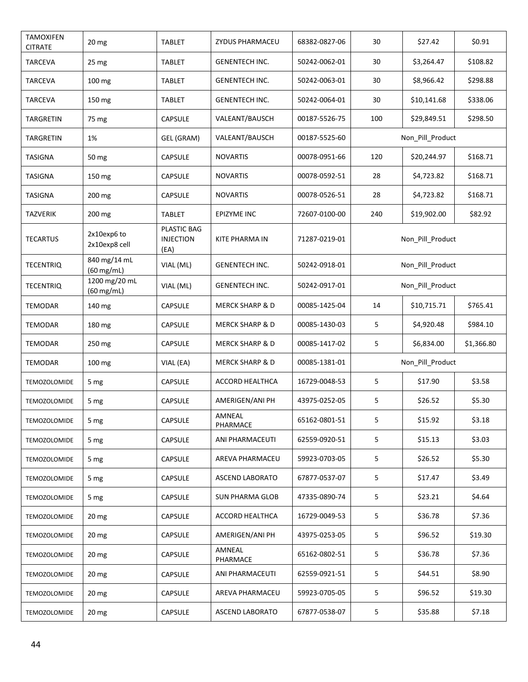| <b>TAMOXIFEN</b><br><b>CITRATE</b> | 20 mg                        | <b>TABLET</b>                           | <b>ZYDUS PHARMACEU</b>     | 68382-0827-06 | 30               | \$27.42          | \$0.91     |  |
|------------------------------------|------------------------------|-----------------------------------------|----------------------------|---------------|------------------|------------------|------------|--|
| TARCEVA                            | 25 mg                        | TABLET                                  | <b>GENENTECH INC.</b>      | 50242-0062-01 | 30               | \$3,264.47       | \$108.82   |  |
| <b>TARCEVA</b>                     | 100 mg                       | <b>TABLET</b>                           | <b>GENENTECH INC.</b>      | 50242-0063-01 | 30               | \$8,966.42       | \$298.88   |  |
| <b>TARCEVA</b>                     | 150 mg                       | TABLET                                  | <b>GENENTECH INC.</b>      | 50242-0064-01 | 30               | \$10,141.68      | \$338.06   |  |
| TARGRETIN                          | 75 mg                        | <b>CAPSULE</b>                          | VALEANT/BAUSCH             | 00187-5526-75 | 100              | \$29,849.51      | \$298.50   |  |
| TARGRETIN                          | 1%                           | GEL (GRAM)                              | VALEANT/BAUSCH             | 00187-5525-60 |                  | Non_Pill_Product |            |  |
| <b>TASIGNA</b>                     | 50 mg                        | <b>CAPSULE</b>                          | <b>NOVARTIS</b>            | 00078-0951-66 | 120              | \$20,244.97      | \$168.71   |  |
| <b>TASIGNA</b>                     | 150 mg                       | <b>CAPSULE</b>                          | <b>NOVARTIS</b>            | 00078-0592-51 | 28               | \$4,723.82       | \$168.71   |  |
| <b>TASIGNA</b>                     | 200 mg                       | <b>CAPSULE</b>                          | <b>NOVARTIS</b>            | 00078-0526-51 | 28               | \$4,723.82       | \$168.71   |  |
| TAZVERIK                           | 200 mg                       | <b>TABLET</b>                           | EPIZYME INC                | 72607-0100-00 | 240              | \$19,902.00      | \$82.92    |  |
| <b>TECARTUS</b>                    | 2x10exp6 to<br>2x10exp8 cell | PLASTIC BAG<br><b>INJECTION</b><br>(EA) | KITE PHARMA IN             | 71287-0219-01 |                  | Non_Pill_Product |            |  |
| <b>TECENTRIQ</b>                   | 840 mg/14 mL<br>(60 mg/mL)   | VIAL (ML)                               | <b>GENENTECH INC.</b>      | 50242-0918-01 | Non_Pill_Product |                  |            |  |
| <b>TECENTRIQ</b>                   | 1200 mg/20 mL<br>(60 mg/mL)  | VIAL (ML)                               | <b>GENENTECH INC.</b>      | 50242-0917-01 | Non_Pill_Product |                  |            |  |
| TEMODAR                            | 140 mg                       | CAPSULE                                 | <b>MERCK SHARP &amp; D</b> | 00085-1425-04 | 14               | \$10,715.71      | \$765.41   |  |
| <b>TEMODAR</b>                     | 180 mg                       | <b>CAPSULE</b>                          | <b>MERCK SHARP &amp; D</b> | 00085-1430-03 | 5                | \$4,920.48       | \$984.10   |  |
| TEMODAR                            | 250 mg                       | <b>CAPSULE</b>                          | <b>MERCK SHARP &amp; D</b> | 00085-1417-02 | 5                | \$6,834.00       | \$1,366.80 |  |
| TEMODAR                            | 100 mg                       | VIAL (EA)                               | <b>MERCK SHARP &amp; D</b> | 00085-1381-01 |                  | Non_Pill_Product |            |  |
| TEMOZOLOMIDE                       | 5 mg                         | CAPSULE                                 | ACCORD HEALTHCA            | 16729-0048-53 | 5                | \$17.90          | \$3.58     |  |
| <b>TEMOZOLOMIDE</b>                | 5 mg                         | CAPSULE                                 | AMERIGEN/ANI PH            | 43975-0252-05 | 5                | \$26.52          | \$5.30     |  |
| <b>TEMOZOLOMIDE</b>                | 5 mg                         | CAPSULE                                 | AMNEAL<br>PHARMACE         | 65162-0801-51 | 5                | \$15.92          | \$3.18     |  |
| <b>TEMOZOLOMIDE</b>                | 5 <sub>mg</sub>              | CAPSULE                                 | ANI PHARMACEUTI            | 62559-0920-51 | 5                | \$15.13          | \$3.03     |  |
| <b>TEMOZOLOMIDE</b>                | 5 <sub>mg</sub>              | <b>CAPSULE</b>                          | AREVA PHARMACEU            | 59923-0703-05 | 5                | \$26.52          | \$5.30     |  |
| <b>TEMOZOLOMIDE</b>                | 5 <sub>mg</sub>              | <b>CAPSULE</b>                          | <b>ASCEND LABORATO</b>     | 67877-0537-07 | 5                | \$17.47          | \$3.49     |  |
| <b>TEMOZOLOMIDE</b>                | 5 mg                         | <b>CAPSULE</b>                          | <b>SUN PHARMA GLOB</b>     | 47335-0890-74 | 5                | \$23.21          | \$4.64     |  |
| TEMOZOLOMIDE                       | $20 \, mg$                   | <b>CAPSULE</b>                          | ACCORD HEALTHCA            | 16729-0049-53 | 5                | \$36.78          | \$7.36     |  |
| <b>TEMOZOLOMIDE</b>                | 20 mg                        | <b>CAPSULE</b>                          | AMERIGEN/ANI PH            | 43975-0253-05 | 5                | \$96.52          | \$19.30    |  |
| <b>TEMOZOLOMIDE</b>                | 20 mg                        | <b>CAPSULE</b>                          | AMNEAL<br>PHARMACE         | 65162-0802-51 | 5                | \$36.78          | \$7.36     |  |
| <b>TEMOZOLOMIDE</b>                | $20 \, mg$                   | <b>CAPSULE</b>                          | ANI PHARMACEUTI            | 62559-0921-51 | 5                | \$44.51          | \$8.90     |  |
| <b>TEMOZOLOMIDE</b>                | $20 \, mg$                   | <b>CAPSULE</b>                          | AREVA PHARMACEU            | 59923-0705-05 | 5                | \$96.52          | \$19.30    |  |
| <b>TEMOZOLOMIDE</b>                | 20 mg                        | CAPSULE                                 | ASCEND LABORATO            | 67877-0538-07 | 5                | \$35.88          | \$7.18     |  |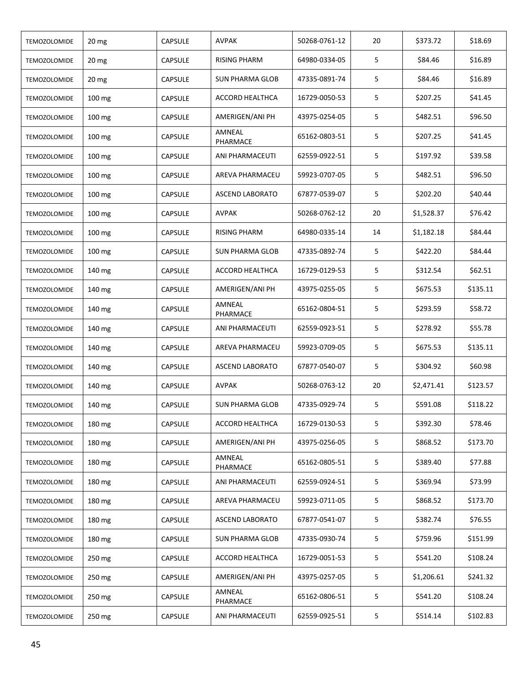| <b>TEMOZOLOMIDE</b> | 20 mg            | CAPSULE        | AVPAK                  | 50268-0761-12 | 20              | \$373.72   | \$18.69  |
|---------------------|------------------|----------------|------------------------|---------------|-----------------|------------|----------|
| <b>TEMOZOLOMIDE</b> | 20 <sub>mg</sub> | CAPSULE        | <b>RISING PHARM</b>    | 64980-0334-05 | 5               | \$84.46    | \$16.89  |
| <b>TEMOZOLOMIDE</b> | 20 <sub>mg</sub> | <b>CAPSULE</b> | <b>SUN PHARMA GLOB</b> | 47335-0891-74 | 5               | \$84.46    | \$16.89  |
| <b>TEMOZOLOMIDE</b> | 100 mg           | <b>CAPSULE</b> | ACCORD HEALTHCA        | 16729-0050-53 | 5               | \$207.25   | \$41.45  |
| <b>TEMOZOLOMIDE</b> | 100 mg           | <b>CAPSULE</b> | AMERIGEN/ANI PH        | 43975-0254-05 | 5               | \$482.51   | \$96.50  |
| <b>TEMOZOLOMIDE</b> | 100 mg           | <b>CAPSULE</b> | AMNEAL<br>PHARMACE     | 65162-0803-51 | 5               | \$207.25   | \$41.45  |
| <b>TEMOZOLOMIDE</b> | 100 mg           | <b>CAPSULE</b> | ANI PHARMACEUTI        | 62559-0922-51 | 5               | \$197.92   | \$39.58  |
| <b>TEMOZOLOMIDE</b> | 100 mg           | <b>CAPSULE</b> | AREVA PHARMACEU        | 59923-0707-05 | 5               | \$482.51   | \$96.50  |
| <b>TEMOZOLOMIDE</b> | 100 mg           | CAPSULE        | <b>ASCEND LABORATO</b> | 67877-0539-07 | 5               | \$202.20   | \$40.44  |
| <b>TEMOZOLOMIDE</b> | 100 mg           | <b>CAPSULE</b> | <b>AVPAK</b>           | 50268-0762-12 | 20              | \$1,528.37 | \$76.42  |
| <b>TEMOZOLOMIDE</b> | 100 mg           | <b>CAPSULE</b> | RISING PHARM           | 64980-0335-14 | 14              | \$1,182.18 | \$84.44  |
| <b>TEMOZOLOMIDE</b> | 100 mg           | <b>CAPSULE</b> | <b>SUN PHARMA GLOB</b> | 47335-0892-74 | 5               | \$422.20   | \$84.44  |
| <b>TEMOZOLOMIDE</b> | 140 mg           | <b>CAPSULE</b> | ACCORD HEALTHCA        | 16729-0129-53 | 5               | \$312.54   | \$62.51  |
| <b>TEMOZOLOMIDE</b> | 140 mg           | <b>CAPSULE</b> | AMERIGEN/ANI PH        | 43975-0255-05 | 5               | \$675.53   | \$135.11 |
| <b>TEMOZOLOMIDE</b> | 140 mg           | <b>CAPSULE</b> | AMNEAL<br>PHARMACE     | 65162-0804-51 | 5               | \$293.59   | \$58.72  |
| <b>TEMOZOLOMIDE</b> | 140 mg           | CAPSULE        | ANI PHARMACEUTI        | 62559-0923-51 | 5               | \$278.92   | \$55.78  |
| <b>TEMOZOLOMIDE</b> | 140 mg           | <b>CAPSULE</b> | AREVA PHARMACEU        | 59923-0709-05 | 5               | \$675.53   | \$135.11 |
| <b>TEMOZOLOMIDE</b> | 140 mg           | <b>CAPSULE</b> | <b>ASCEND LABORATO</b> | 67877-0540-07 | 5               | \$304.92   | \$60.98  |
| <b>TEMOZOLOMIDE</b> | 140 mg           | <b>CAPSULE</b> | AVPAK                  | 50268-0763-12 | 20              | \$2,471.41 | \$123.57 |
| <b>TEMOZOLOMIDE</b> | 140 mg           | <b>CAPSULE</b> | <b>SUN PHARMA GLOB</b> | 47335-0929-74 | 5               | \$591.08   | \$118.22 |
| TEMOZOLOMIDE        | 180 mg           | CAPSULE        | <b>ACCORD HEALTHCA</b> | 16729-0130-53 | 5               | \$392.30   | \$78.46  |
| <b>TEMOZOLOMIDE</b> | 180 mg           | <b>CAPSULE</b> | AMERIGEN/ANI PH        | 43975-0256-05 | 5               | \$868.52   | \$173.70 |
| <b>TEMOZOLOMIDE</b> | 180 mg           | <b>CAPSULE</b> | AMNEAL<br>PHARMACE     | 65162-0805-51 | 5               | \$389.40   | \$77.88  |
| <b>TEMOZOLOMIDE</b> | 180 mg           | <b>CAPSULE</b> | ANI PHARMACEUTI        | 62559-0924-51 | 5               | \$369.94   | \$73.99  |
| <b>TEMOZOLOMIDE</b> | 180 mg           | <b>CAPSULE</b> | AREVA PHARMACEU        | 59923-0711-05 | $5\phantom{.0}$ | \$868.52   | \$173.70 |
| <b>TEMOZOLOMIDE</b> | 180 mg           | <b>CAPSULE</b> | ASCEND LABORATO        | 67877-0541-07 | 5               | \$382.74   | \$76.55  |
| <b>TEMOZOLOMIDE</b> | 180 mg           | <b>CAPSULE</b> | <b>SUN PHARMA GLOB</b> | 47335-0930-74 | 5               | \$759.96   | \$151.99 |
| TEMOZOLOMIDE        | 250 mg           | <b>CAPSULE</b> | ACCORD HEALTHCA        | 16729-0051-53 | 5               | \$541.20   | \$108.24 |
| <b>TEMOZOLOMIDE</b> | 250 mg           | <b>CAPSULE</b> | AMERIGEN/ANI PH        | 43975-0257-05 | 5               | \$1,206.61 | \$241.32 |
| <b>TEMOZOLOMIDE</b> | 250 mg           | <b>CAPSULE</b> | AMNEAL<br>PHARMACE     | 65162-0806-51 | 5               | \$541.20   | \$108.24 |
| TEMOZOLOMIDE        | 250 mg           | CAPSULE        | ANI PHARMACEUTI        | 62559-0925-51 | 5               | \$514.14   | \$102.83 |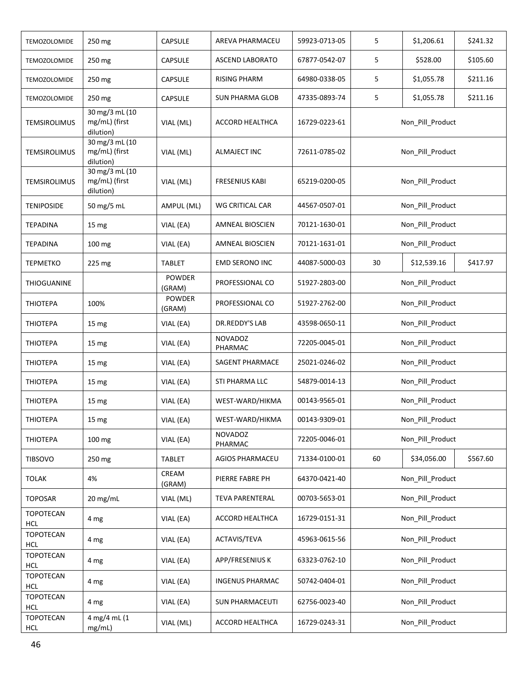| <b>TEMOZOLOMIDE</b>            | 250 mg                                                         | CAPSULE                 | AREVA PHARMACEU           | 59923-0713-05 | 5                | \$1,206.61       | \$241.32 |  |
|--------------------------------|----------------------------------------------------------------|-------------------------|---------------------------|---------------|------------------|------------------|----------|--|
| <b>TEMOZOLOMIDE</b>            | 250 mg                                                         | <b>CAPSULE</b>          | <b>ASCEND LABORATO</b>    | 67877-0542-07 | 5                | \$528.00         | \$105.60 |  |
| <b>TEMOZOLOMIDE</b>            | 250 mg                                                         | CAPSULE                 | <b>RISING PHARM</b>       | 64980-0338-05 | 5                | \$1,055.78       | \$211.16 |  |
| <b>TEMOZOLOMIDE</b>            | 250 mg                                                         | <b>CAPSULE</b>          | <b>SUN PHARMA GLOB</b>    | 47335-0893-74 | 5                | \$1,055.78       | \$211.16 |  |
| <b>TEMSIROLIMUS</b>            | $\frac{30 \text{ mg}}{3}$ mL (10<br>mg/mL) (first<br>dilution) | VIAL (ML)               | <b>ACCORD HEALTHCA</b>    | 16729-0223-61 |                  | Non Pill Product |          |  |
| <b>TEMSIROLIMUS</b>            | 30 mg/3 mL (10<br>mg/mL) (first<br>dilution)                   | VIAL (ML)               | ALMAJECT INC              | 72611-0785-02 |                  | Non_Pill_Product |          |  |
| <b>TEMSIROLIMUS</b>            | 30 mg/3 mL (10<br>mg/mL) (first<br>dilution)                   | VIAL (ML)               | <b>FRESENIUS KABI</b>     | 65219-0200-05 |                  | Non_Pill_Product |          |  |
| <b>TENIPOSIDE</b>              | 50 mg/5 mL                                                     | AMPUL (ML)              | WG CRITICAL CAR           | 44567-0507-01 |                  | Non_Pill_Product |          |  |
| TEPADINA                       | 15 mg                                                          | VIAL (EA)               | AMNEAL BIOSCIEN           | 70121-1630-01 |                  | Non_Pill_Product |          |  |
| TEPADINA                       | 100 mg                                                         | VIAL (EA)               | AMNEAL BIOSCIEN           | 70121-1631-01 |                  | Non_Pill_Product |          |  |
| <b>TEPMETKO</b>                | 225 mg                                                         | <b>TABLET</b>           | <b>EMD SERONO INC</b>     | 44087-5000-03 | 30               | \$12,539.16      | \$417.97 |  |
| THIOGUANINE                    |                                                                | <b>POWDER</b><br>(GRAM) | PROFESSIONAL CO           | 51927-2803-00 | Non_Pill_Product |                  |          |  |
| <b>THIOTEPA</b>                | 100%                                                           | <b>POWDER</b><br>(GRAM) | PROFESSIONAL CO           | 51927-2762-00 | Non_Pill_Product |                  |          |  |
| <b>THIOTEPA</b>                | 15 <sub>mg</sub>                                               | VIAL (EA)               | DR.REDDY'S LAB            | 43598-0650-11 | Non_Pill_Product |                  |          |  |
| <b>THIOTEPA</b>                | 15 mg                                                          | VIAL (EA)               | <b>NOVADOZ</b><br>PHARMAC | 72205-0045-01 | Non_Pill_Product |                  |          |  |
| <b>THIOTEPA</b>                | 15 mg                                                          | VIAL (EA)               | SAGENT PHARMACE           | 25021-0246-02 | Non_Pill_Product |                  |          |  |
| <b>THIOTEPA</b>                | 15 <sub>mg</sub>                                               | VIAL (EA)               | STI PHARMA LLC            | 54879-0014-13 |                  | Non_Pill_Product |          |  |
| <b>THIOTEPA</b>                | 15 mg                                                          | VIAL (EA)               | WEST-WARD/HIKMA           | 00143-9565-01 |                  | Non_Pill_Product |          |  |
| <b>THIOTEPA</b>                | 15 mg                                                          | VIAL (EA)               | WEST-WARD/HIKMA           | 00143-9309-01 |                  | Non Pill Product |          |  |
| <b>THIOTEPA</b>                | 100 mg                                                         | VIAL (EA)               | <b>NOVADOZ</b><br>PHARMAC | 72205-0046-01 |                  | Non Pill Product |          |  |
| <b>TIBSOVO</b>                 | 250 mg                                                         | <b>TABLET</b>           | <b>AGIOS PHARMACEU</b>    | 71334-0100-01 | 60               | \$34,056.00      | \$567.60 |  |
| <b>TOLAK</b>                   | 4%                                                             | CREAM<br>(GRAM)         | PIERRE FABRE PH           | 64370-0421-40 |                  | Non_Pill_Product |          |  |
| <b>TOPOSAR</b>                 | 20 mg/mL                                                       | VIAL (ML)               | <b>TEVA PARENTERAL</b>    | 00703-5653-01 |                  | Non_Pill_Product |          |  |
| TOPOTECAN<br><b>HCL</b>        | 4 mg                                                           | VIAL (EA)               | ACCORD HEALTHCA           | 16729-0151-31 |                  | Non Pill Product |          |  |
| <b>TOPOTECAN</b><br><b>HCL</b> | 4 mg                                                           | VIAL (EA)               | ACTAVIS/TEVA              | 45963-0615-56 |                  | Non_Pill_Product |          |  |
| TOPOTECAN<br><b>HCL</b>        | 4 mg                                                           | VIAL (EA)               | APP/FRESENIUS K           | 63323-0762-10 |                  | Non_Pill_Product |          |  |
| TOPOTECAN<br><b>HCL</b>        | 4 mg                                                           | VIAL (EA)               | <b>INGENUS PHARMAC</b>    | 50742-0404-01 |                  | Non_Pill_Product |          |  |
| TOPOTECAN<br><b>HCL</b>        | 4 mg                                                           | VIAL (EA)               | <b>SUN PHARMACEUTI</b>    | 62756-0023-40 |                  | Non_Pill_Product |          |  |
| <b>TOPOTECAN</b><br>HCL        | 4 mg/4 mL (1<br>mg/mL)                                         | VIAL (ML)               | ACCORD HEALTHCA           | 16729-0243-31 |                  | Non_Pill_Product |          |  |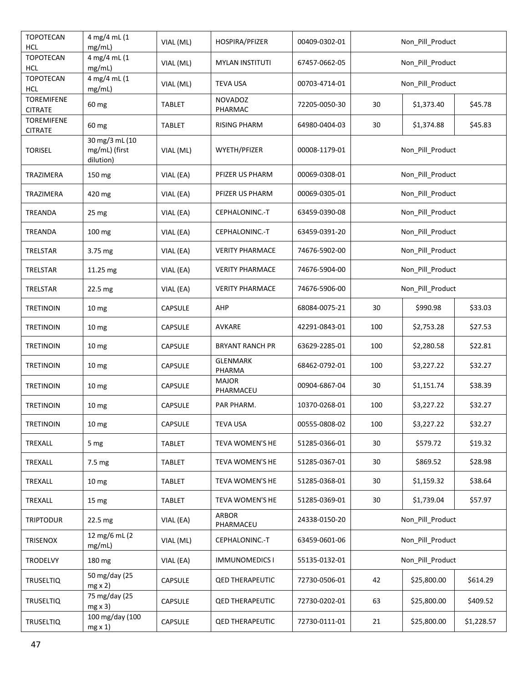| TOPOTECAN<br><b>HCL</b>             | 4 mg/4 mL (1<br>mg/mL)                       | VIAL (ML)      | HOSPIRA/PFIZER            | 00409-0302-01 |                  | Non_Pill_Product      |            |  |
|-------------------------------------|----------------------------------------------|----------------|---------------------------|---------------|------------------|-----------------------|------------|--|
| <b>TOPOTECAN</b><br><b>HCL</b>      | 4 mg/4 mL (1<br>mg/mL)                       | VIAL (ML)      | <b>MYLAN INSTITUTI</b>    | 67457-0662-05 |                  | Non_Pill_Product      |            |  |
| TOPOTECAN<br><b>HCL</b>             | 4 mg/4 mL (1<br>mg/mL)                       | VIAL (ML)      | <b>TEVA USA</b>           | 00703-4714-01 |                  | Non_Pill_Product      |            |  |
| <b>TOREMIFENE</b><br><b>CITRATE</b> | 60 mg                                        | TABLET         | <b>NOVADOZ</b><br>PHARMAC | 72205-0050-30 | 30               | \$1,373.40            | \$45.78    |  |
| <b>TOREMIFENE</b><br><b>CITRATE</b> | 60 mg                                        | TABLET         | <b>RISING PHARM</b>       | 64980-0404-03 | 30               | \$1,374.88            | \$45.83    |  |
| <b>TORISEL</b>                      | 30 mg/3 mL (10<br>mg/mL) (first<br>dilution) | VIAL (ML)      | WYETH/PFIZER              | 00008-1179-01 |                  | Non_Pill_Product      |            |  |
| TRAZIMERA                           | 150 mg                                       | VIAL (EA)      | PFIZER US PHARM           | 00069-0308-01 |                  | Non_Pill_Product      |            |  |
| TRAZIMERA                           | 420 mg                                       | VIAL (EA)      | PFIZER US PHARM           | 00069-0305-01 |                  | Non_Pill_Product      |            |  |
| TREANDA                             | 25 mg                                        | VIAL (EA)      | CEPHALONINC.-T            | 63459-0390-08 |                  | Non_Pill_Product      |            |  |
| <b>TREANDA</b>                      | 100 mg                                       | VIAL (EA)      | CEPHALONINC.-T            | 63459-0391-20 |                  | Non_Pill_Product      |            |  |
| TRELSTAR                            | 3.75 mg                                      | VIAL (EA)      | <b>VERITY PHARMACE</b>    | 74676-5902-00 |                  | Non_Pill_Product      |            |  |
| TRELSTAR                            | 11.25 mg                                     | VIAL (EA)      | <b>VERITY PHARMACE</b>    | 74676-5904-00 | Non_Pill_Product |                       |            |  |
| TRELSTAR                            | 22.5 mg                                      | VIAL (EA)      | <b>VERITY PHARMACE</b>    | 74676-5906-00 | Non_Pill_Product |                       |            |  |
| <b>TRETINOIN</b>                    | 10 <sub>mg</sub>                             | CAPSULE        | AHP                       | 68084-0075-21 | 30               | \$990.98              | \$33.03    |  |
| <b>TRETINOIN</b>                    | 10 <sub>mg</sub>                             | <b>CAPSULE</b> | AVKARE                    | 42291-0843-01 | 100              | \$2,753.28            | \$27.53    |  |
| <b>TRETINOIN</b>                    | 10 <sub>mg</sub>                             | <b>CAPSULE</b> | <b>BRYANT RANCH PR</b>    | 63629-2285-01 | 100              | \$2,280.58            | \$22.81    |  |
| <b>TRETINOIN</b>                    | 10 <sub>mg</sub>                             | <b>CAPSULE</b> | <b>GLENMARK</b><br>PHARMA | 68462-0792-01 | 100              | \$3,227.22<br>\$32.27 |            |  |
| <b>TRETINOIN</b>                    | 10 <sub>mg</sub>                             | CAPSULE        | <b>MAJOR</b><br>PHARMACEU | 00904-6867-04 | 30               | \$1,151.74            | \$38.39    |  |
| <b>TRETINOIN</b>                    | 10 <sub>mg</sub>                             | CAPSULE        | PAR PHARM.                | 10370-0268-01 | 100              | \$3,227.22            | \$32.27    |  |
| <b>TRETINOIN</b>                    | 10 <sub>mg</sub>                             | CAPSULE        | <b>TEVA USA</b>           | 00555-0808-02 | 100              | \$3,227.22            | \$32.27    |  |
| TREXALL                             | 5 mg                                         | <b>TABLET</b>  | TEVA WOMEN'S HE           | 51285-0366-01 | 30               | \$579.72              | \$19.32    |  |
| TREXALL                             | 7.5 mg                                       | <b>TABLET</b>  | TEVA WOMEN'S HE           | 51285-0367-01 | 30               | \$869.52              | \$28.98    |  |
| TREXALL                             | 10 <sub>mg</sub>                             | <b>TABLET</b>  | TEVA WOMEN'S HE           | 51285-0368-01 | 30               | \$1,159.32            | \$38.64    |  |
| TREXALL                             | 15 mg                                        | <b>TABLET</b>  | TEVA WOMEN'S HE           | 51285-0369-01 | 30               | \$1,739.04            | \$57.97    |  |
| <b>TRIPTODUR</b>                    | 22.5 mg                                      | VIAL (EA)      | <b>ARBOR</b><br>PHARMACEU | 24338-0150-20 |                  | Non_Pill_Product      |            |  |
| TRISENOX                            | 12 mg/6 mL (2<br>mg/mL)                      | VIAL (ML)      | CEPHALONINC.-T            | 63459-0601-06 |                  | Non_Pill_Product      |            |  |
| TRODELVY                            | 180 mg                                       | VIAL (EA)      | <b>IMMUNOMEDICS I</b>     | 55135-0132-01 |                  | Non_Pill_Product      |            |  |
| <b>TRUSELTIQ</b>                    | 50 mg/day (25<br>$mg \times 2$               | <b>CAPSULE</b> | <b>QED THERAPEUTIC</b>    | 72730-0506-01 | 42               | \$25,800.00           | \$614.29   |  |
| <b>TRUSELTIQ</b>                    | 75 mg/day (25<br>$mg \times 3$               | CAPSULE        | <b>QED THERAPEUTIC</b>    | 72730-0202-01 | 63               | \$25,800.00           | \$409.52   |  |
| <b>TRUSELTIQ</b>                    | 100 mg/day (100<br>$mg \times 1$             | CAPSULE        | <b>QED THERAPEUTIC</b>    | 72730-0111-01 | 21               | \$25,800.00           | \$1,228.57 |  |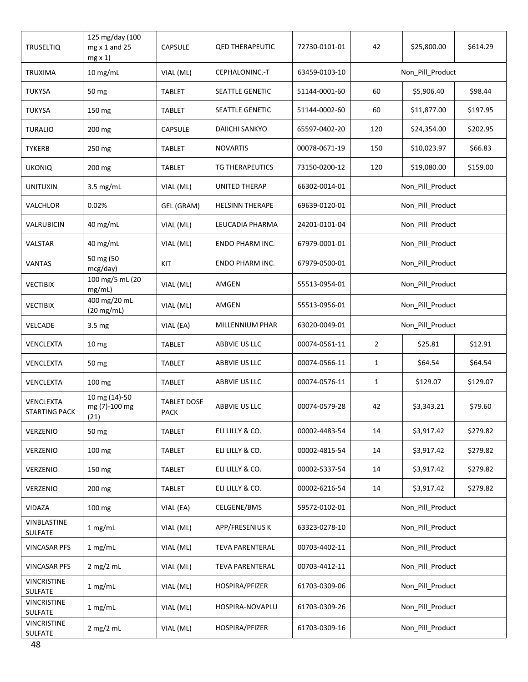| <b>TRUSELTIQ</b>                  | 125 mg/day (100<br>$mg \times 1$ and 25<br>$mg \times 1$ | CAPSULE                    | <b>QED THERAPEUTIC</b> | 72730-0101-01 | 42               | \$25,800.00           | \$614.29 |  |
|-----------------------------------|----------------------------------------------------------|----------------------------|------------------------|---------------|------------------|-----------------------|----------|--|
| <b>TRUXIMA</b>                    | $10$ mg/mL                                               | VIAL (ML)                  | CEPHALONINC.-T         | 63459-0103-10 |                  | Non_Pill_Product      |          |  |
| <b>TUKYSA</b>                     | 50 mg                                                    | <b>TABLET</b>              | SEATTLE GENETIC        | 51144-0001-60 | 60               | \$5,906.40<br>\$98.44 |          |  |
| <b>TUKYSA</b>                     | 150 mg                                                   | <b>TABLET</b>              | SEATTLE GENETIC        | 51144-0002-60 | 60               | \$11,877.00           | \$197.95 |  |
| <b>TURALIO</b>                    | 200 mg                                                   | CAPSULE                    | <b>DAIICHI SANKYO</b>  | 65597-0402-20 | 120              | \$24,354.00           | \$202.95 |  |
| <b>TYKERB</b>                     | 250 mg                                                   | <b>TABLET</b>              | <b>NOVARTIS</b>        | 00078-0671-19 | 150              | \$10,023.97           | \$66.83  |  |
| <b>UKONIQ</b>                     | 200 mg                                                   | TABLET                     | TG THERAPEUTICS        | 73150-0200-12 | 120              | \$19,080.00           | \$159.00 |  |
| <b>UNITUXIN</b>                   | $3.5$ mg/mL                                              | VIAL (ML)                  | UNITED THERAP          | 66302-0014-01 |                  | Non_Pill_Product      |          |  |
| VALCHLOR                          | 0.02%                                                    | GEL (GRAM)                 | <b>HELSINN THERAPE</b> | 69639-0120-01 |                  | Non_Pill_Product      |          |  |
| VALRUBICIN                        | 40 mg/mL                                                 | VIAL (ML)                  | LEUCADIA PHARMA        | 24201-0101-04 |                  | Non_Pill_Product      |          |  |
| VALSTAR                           | 40 mg/mL                                                 | VIAL (ML)                  | ENDO PHARM INC.        | 67979-0001-01 |                  | Non_Pill_Product      |          |  |
| <b>VANTAS</b>                     | 50 mg (50<br>mcg/day)                                    | KIT                        | ENDO PHARM INC.        | 67979-0500-01 |                  | Non_Pill_Product      |          |  |
| <b>VECTIBIX</b>                   | 100 mg/5 mL (20<br>mg/mL)                                | VIAL (ML)                  | AMGEN                  | 55513-0954-01 | Non_Pill_Product |                       |          |  |
| <b>VECTIBIX</b>                   | 400 mg/20 mL<br>$(20 \text{ mg/mL})$                     | VIAL (ML)                  | AMGEN                  | 55513-0956-01 | Non_Pill_Product |                       |          |  |
| VELCADE                           | 3.5 mg                                                   | VIAL (EA)                  | MILLENNIUM PHAR        | 63020-0049-01 | Non_Pill_Product |                       |          |  |
| VENCLEXTA                         | 10 <sub>mg</sub>                                         | TABLET                     | ABBVIE US LLC          | 00074-0561-11 | $\overline{2}$   | \$25.81<br>\$12.91    |          |  |
| VENCLEXTA                         | 50 mg                                                    | <b>TABLET</b>              | ABBVIE US LLC          | 00074-0566-11 | $\mathbf{1}$     | \$64.54               | \$64.54  |  |
| VENCLEXTA                         | 100 mg                                                   | <b>TABLET</b>              | ABBVIE US LLC          | 00074-0576-11 | $\mathbf{1}$     | \$129.07              | \$129.07 |  |
| VENCLEXTA<br><b>STARTING PACK</b> | 10 mg (14)-50<br>mg (7)-100 mg<br>(21)                   | <b>TABLET DOSE</b><br>PACK | ABBVIE US LLC          | 00074-0579-28 | 42               | \$3,343.21            | \$79.60  |  |
| VERZENIO                          | 50 mg                                                    | <b>TABLET</b>              | ELI LILLY & CO.        | 00002-4483-54 | 14               | \$3,917.42            | \$279.82 |  |
| VERZENIO                          | 100 mg                                                   | <b>TABLET</b>              | ELI LILLY & CO.        | 00002-4815-54 | 14               | \$3,917.42            | \$279.82 |  |
| VERZENIO                          | 150 mg                                                   | <b>TABLET</b>              | ELI LILLY & CO.        | 00002-5337-54 | 14               | \$3,917.42            | \$279.82 |  |
| VERZENIO                          | 200 mg                                                   | TABLET                     | ELI LILLY & CO.        | 00002-6216-54 | 14               | \$3,917.42            | \$279.82 |  |
| VIDAZA                            | 100 mg                                                   | VIAL (EA)                  | CELGENE/BMS            | 59572-0102-01 |                  | Non_Pill_Product      |          |  |
| VINBLASTINE<br>SULFATE            | 1 mg/mL                                                  | VIAL (ML)                  | APP/FRESENIUS K        | 63323-0278-10 |                  | Non_Pill_Product      |          |  |
| <b>VINCASAR PFS</b>               | 1 mg/mL                                                  | VIAL (ML)                  | TEVA PARENTERAL        | 00703-4402-11 |                  | Non_Pill_Product      |          |  |
| <b>VINCASAR PFS</b>               | $2$ mg/ $2$ mL                                           | VIAL (ML)                  | <b>TEVA PARENTERAL</b> | 00703-4412-11 |                  | Non_Pill_Product      |          |  |
| <b>VINCRISTINE</b><br>SULFATE     | 1 mg/mL                                                  | VIAL (ML)                  | HOSPIRA/PFIZER         | 61703-0309-06 |                  | Non_Pill_Product      |          |  |
| <b>VINCRISTINE</b><br>SULFATE     | 1 mg/mL                                                  | VIAL (ML)                  | HOSPIRA-NOVAPLU        | 61703-0309-26 |                  | Non_Pill_Product      |          |  |
| <b>VINCRISTINE</b><br>SULFATE     | $2$ mg/ $2$ mL                                           | VIAL (ML)                  | HOSPIRA/PFIZER         | 61703-0309-16 |                  | Non_Pill_Product      |          |  |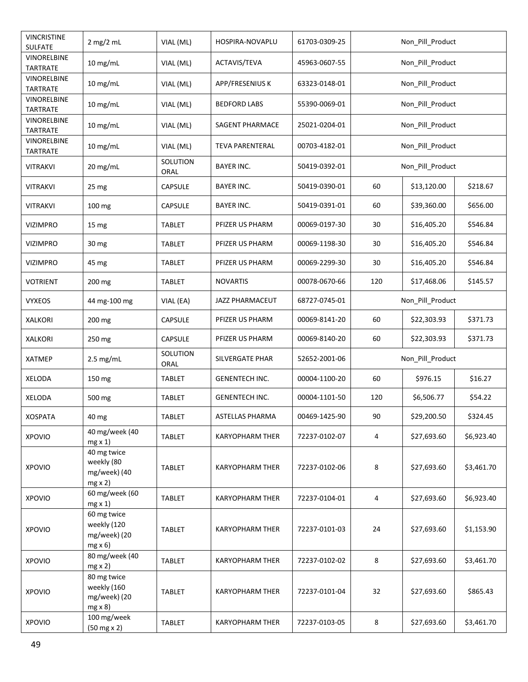| <b>VINCRISTINE</b><br><b>SULFATE</b>  | $2 \text{ mg}/2 \text{ mL}$                                 | VIAL (ML)        | HOSPIRA-NOVAPLU        | 61703-0309-25 | Non_Pill_Product |             |            |
|---------------------------------------|-------------------------------------------------------------|------------------|------------------------|---------------|------------------|-------------|------------|
| VINORELBINE<br><b>TARTRATE</b>        | $10$ mg/mL                                                  | VIAL (ML)        | ACTAVIS/TEVA           | 45963-0607-55 | Non_Pill_Product |             |            |
| VINORELBINE<br>TARTRATE               | $10$ mg/mL                                                  | VIAL (ML)        | APP/FRESENIUS K        | 63323-0148-01 | Non_Pill_Product |             |            |
| VINORELBINE<br><b>TARTRATE</b>        | $10$ mg/mL                                                  | VIAL (ML)        | <b>BEDFORD LABS</b>    | 55390-0069-01 | Non Pill Product |             |            |
| VINORELBINE<br><b>TARTRATE</b>        | 10 mg/mL                                                    | VIAL (ML)        | SAGENT PHARMACE        | 25021-0204-01 | Non Pill Product |             |            |
| <b>VINORELBINE</b><br><b>TARTRATE</b> | $10$ mg/mL                                                  | VIAL (ML)        | <b>TEVA PARENTERAL</b> | 00703-4182-01 | Non_Pill_Product |             |            |
| <b>VITRAKVI</b>                       | 20 mg/mL                                                    | SOLUTION<br>ORAL | <b>BAYER INC.</b>      | 50419-0392-01 | Non_Pill_Product |             |            |
| <b>VITRAKVI</b>                       | 25 mg                                                       | CAPSULE          | <b>BAYER INC.</b>      | 50419-0390-01 | 60               | \$13,120.00 | \$218.67   |
| VITRAKVI                              | 100 mg                                                      | <b>CAPSULE</b>   | <b>BAYER INC.</b>      | 50419-0391-01 | 60               | \$39,360.00 | \$656.00   |
| <b>VIZIMPRO</b>                       | 15 <sub>mg</sub>                                            | <b>TABLET</b>    | PFIZER US PHARM        | 00069-0197-30 | 30               | \$16,405.20 | \$546.84   |
| <b>VIZIMPRO</b>                       | 30 mg                                                       | <b>TABLET</b>    | PFIZER US PHARM        | 00069-1198-30 | 30               | \$16,405.20 | \$546.84   |
| <b>VIZIMPRO</b>                       | 45 mg                                                       | <b>TABLET</b>    | PFIZER US PHARM        | 00069-2299-30 | 30               | \$16,405.20 | \$546.84   |
| VOTRIENT                              | 200 mg                                                      | TABLET           | <b>NOVARTIS</b>        | 00078-0670-66 | 120              | \$17,468.06 | \$145.57   |
| <b>VYXEOS</b>                         | 44 mg-100 mg                                                | VIAL (EA)        | JAZZ PHARMACEUT        | 68727-0745-01 | Non_Pill_Product |             |            |
| <b>XALKORI</b>                        | 200 mg                                                      | CAPSULE          | PFIZER US PHARM        | 00069-8141-20 | 60               | \$22,303.93 | \$371.73   |
| <b>XALKORI</b>                        | 250 mg                                                      | CAPSULE          | PFIZER US PHARM        | 00069-8140-20 | 60               | \$22,303.93 | \$371.73   |
| <b>XATMEP</b>                         | $2.5$ mg/mL                                                 | SOLUTION<br>ORAL | SILVERGATE PHAR        | 52652-2001-06 | Non_Pill_Product |             |            |
| <b>XELODA</b>                         | 150 mg                                                      | <b>TABLET</b>    | GENENTECH INC.         | 00004-1100-20 | 60               | \$976.15    | \$16.27    |
| <b>XELODA</b>                         | 500 mg                                                      | <b>TABLET</b>    | <b>GENENTECH INC.</b>  | 00004-1101-50 | 120              | \$6,506.77  | \$54.22    |
| <b>XOSPATA</b>                        | 40 mg                                                       | <b>TABLET</b>    | <b>ASTELLAS PHARMA</b> | 00469-1425-90 | 90               | \$29,200.50 | \$324.45   |
| <b>XPOVIO</b>                         | 40 mg/week (40<br>$mg \times 1$                             | <b>TABLET</b>    | <b>KARYOPHARM THER</b> | 72237-0102-07 | $\overline{4}$   | \$27,693.60 | \$6,923.40 |
| <b>XPOVIO</b>                         | 40 mg twice<br>weekly (80<br>mg/week) (40<br>$mg \times 2$  | <b>TABLET</b>    | <b>KARYOPHARM THER</b> | 72237-0102-06 | 8                | \$27,693.60 | \$3,461.70 |
| <b>XPOVIO</b>                         | 60 mg/week (60<br>$mg \times 1$                             | <b>TABLET</b>    | <b>KARYOPHARM THER</b> | 72237-0104-01 | 4                | \$27,693.60 | \$6,923.40 |
| <b>XPOVIO</b>                         | 60 mg twice<br>weekly (120<br>mg/week) (20<br>$mg \times 6$ | <b>TABLET</b>    | <b>KARYOPHARM THER</b> | 72237-0101-03 | 24               | \$27,693.60 | \$1,153.90 |
| <b>XPOVIO</b>                         | 80 mg/week (40<br>$mg \times 2$                             | <b>TABLET</b>    | <b>KARYOPHARM THER</b> | 72237-0102-02 | 8                | \$27,693.60 | \$3,461.70 |
| <b>XPOVIO</b>                         | 80 mg twice<br>weekly (160<br>mg/week) (20<br>$mg \times 8$ | TABLET           | <b>KARYOPHARM THER</b> | 72237-0101-04 | 32               | \$27,693.60 | \$865.43   |
| <b>XPOVIO</b>                         | 100 mg/week<br>$(50 mg \times 2)$                           | <b>TABLET</b>    | <b>KARYOPHARM THER</b> | 72237-0103-05 | 8                | \$27,693.60 | \$3,461.70 |